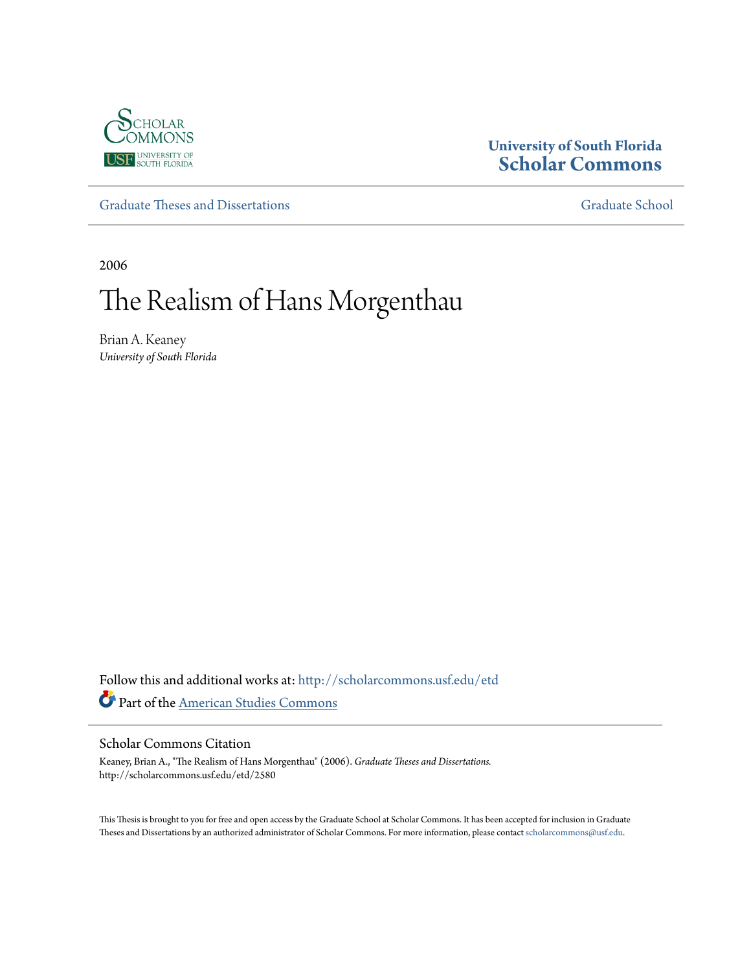

## **University of South Florida [Scholar Commons](http://scholarcommons.usf.edu?utm_source=scholarcommons.usf.edu%2Fetd%2F2580&utm_medium=PDF&utm_campaign=PDFCoverPages)**

[Graduate Theses and Dissertations](http://scholarcommons.usf.edu/etd?utm_source=scholarcommons.usf.edu%2Fetd%2F2580&utm_medium=PDF&utm_campaign=PDFCoverPages) [Graduate School](http://scholarcommons.usf.edu/grad?utm_source=scholarcommons.usf.edu%2Fetd%2F2580&utm_medium=PDF&utm_campaign=PDFCoverPages) Craduate School

2006

# The Realism of Hans Morgenthau

Brian A. Keaney *University of South Florida*

Follow this and additional works at: [http://scholarcommons.usf.edu/etd](http://scholarcommons.usf.edu/etd?utm_source=scholarcommons.usf.edu%2Fetd%2F2580&utm_medium=PDF&utm_campaign=PDFCoverPages) Part of the [American Studies Commons](http://network.bepress.com/hgg/discipline/439?utm_source=scholarcommons.usf.edu%2Fetd%2F2580&utm_medium=PDF&utm_campaign=PDFCoverPages)

#### Scholar Commons Citation

Keaney, Brian A., "The Realism of Hans Morgenthau" (2006). *Graduate Theses and Dissertations.* http://scholarcommons.usf.edu/etd/2580

This Thesis is brought to you for free and open access by the Graduate School at Scholar Commons. It has been accepted for inclusion in Graduate Theses and Dissertations by an authorized administrator of Scholar Commons. For more information, please contact [scholarcommons@usf.edu.](mailto:scholarcommons@usf.edu)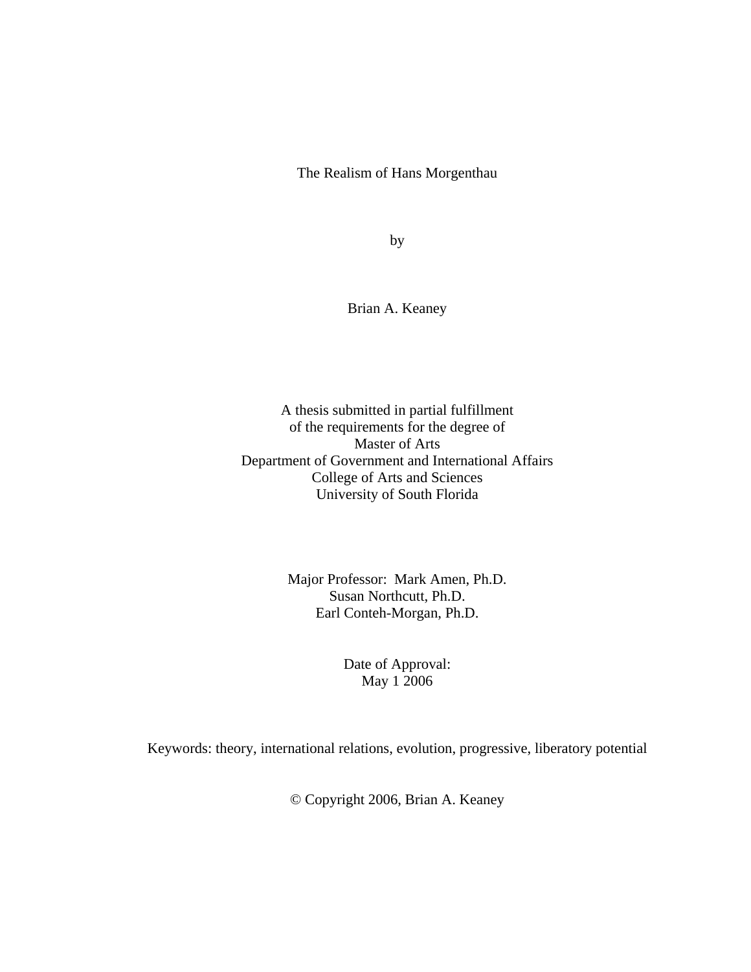The Realism of Hans Morgenthau

by

Brian A. Keaney

A thesis submitted in partial fulfillment of the requirements for the degree of Master of Arts Department of Government and International Affairs College of Arts and Sciences University of South Florida

> Major Professor: Mark Amen, Ph.D. Susan Northcutt, Ph.D. Earl Conteh-Morgan, Ph.D.

> > Date of Approval: May 1 2006

Keywords: theory, international relations, evolution, progressive, liberatory potential

© Copyright 2006, Brian A. Keaney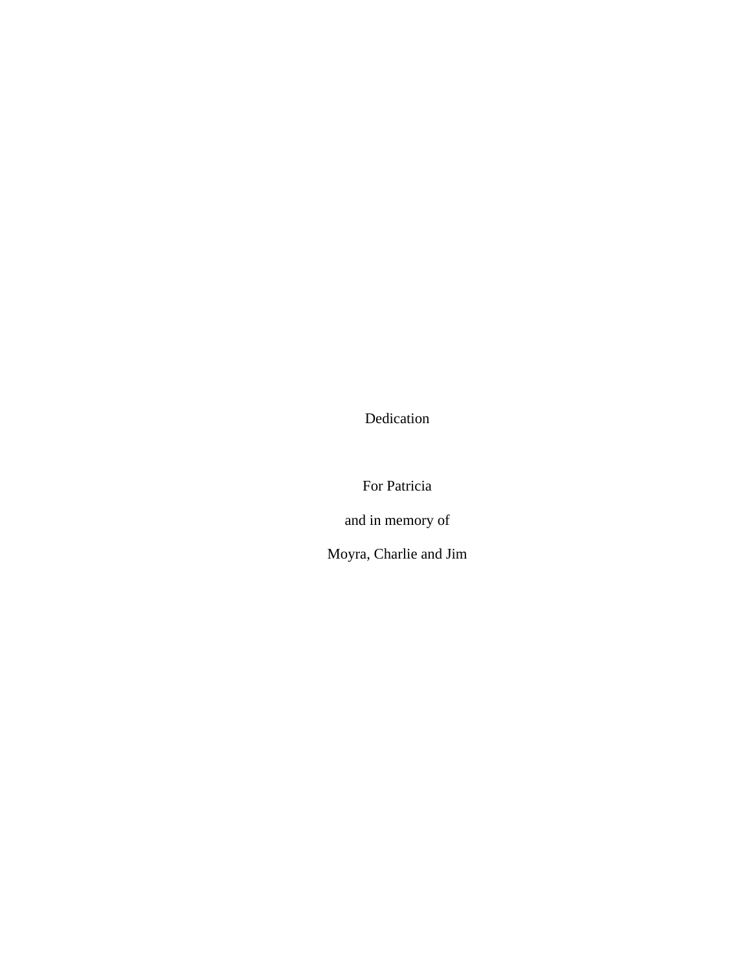Dedication

For Patricia

and in memory of

Moyra, Charlie and Jim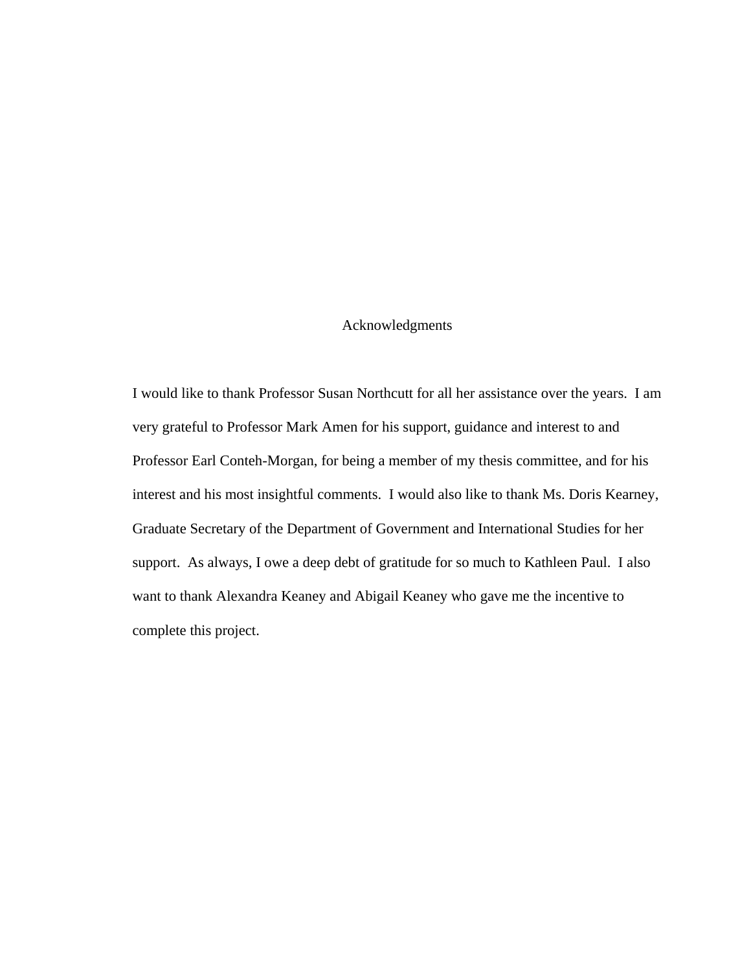#### Acknowledgments

I would like to thank Professor Susan Northcutt for all her assistance over the years. I am very grateful to Professor Mark Amen for his support, guidance and interest to and Professor Earl Conteh-Morgan, for being a member of my thesis committee, and for his interest and his most insightful comments. I would also like to thank Ms. Doris Kearney, Graduate Secretary of the Department of Government and International Studies for her support. As always, I owe a deep debt of gratitude for so much to Kathleen Paul. I also want to thank Alexandra Keaney and Abigail Keaney who gave me the incentive to complete this project.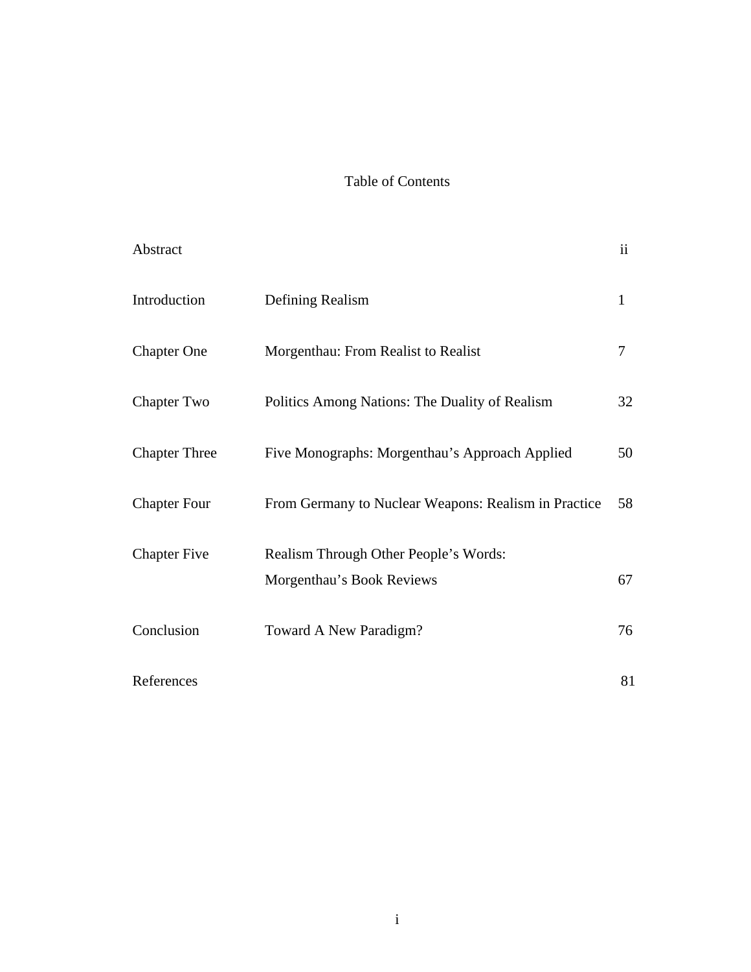### Table of Contents

| Abstract             |                                                                    | $\overline{\mathbf{u}}$ |
|----------------------|--------------------------------------------------------------------|-------------------------|
| Introduction         | Defining Realism                                                   | $\mathbf{1}$            |
| <b>Chapter One</b>   | Morgenthau: From Realist to Realist                                | $\overline{7}$          |
| <b>Chapter Two</b>   | Politics Among Nations: The Duality of Realism                     | 32                      |
| <b>Chapter Three</b> | Five Monographs: Morgenthau's Approach Applied                     | 50                      |
| <b>Chapter Four</b>  | From Germany to Nuclear Weapons: Realism in Practice               | 58                      |
| <b>Chapter Five</b>  | Realism Through Other People's Words:<br>Morgenthau's Book Reviews | 67                      |
| Conclusion           | Toward A New Paradigm?                                             | 76                      |
| References           |                                                                    | 81                      |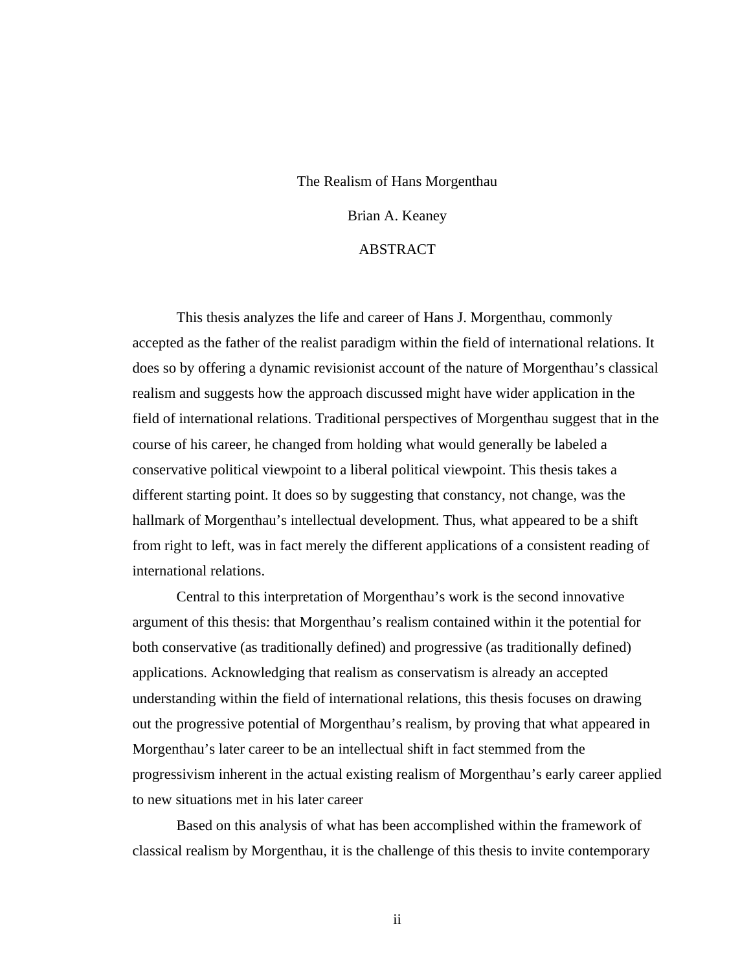#### The Realism of Hans Morgenthau

#### Brian A. Keaney

#### **ABSTRACT**

This thesis analyzes the life and career of Hans J. Morgenthau, commonly accepted as the father of the realist paradigm within the field of international relations. It does so by offering a dynamic revisionist account of the nature of Morgenthau's classical realism and suggests how the approach discussed might have wider application in the field of international relations. Traditional perspectives of Morgenthau suggest that in the course of his career, he changed from holding what would generally be labeled a conservative political viewpoint to a liberal political viewpoint. This thesis takes a different starting point. It does so by suggesting that constancy, not change, was the hallmark of Morgenthau's intellectual development. Thus, what appeared to be a shift from right to left, was in fact merely the different applications of a consistent reading of international relations.

Central to this interpretation of Morgenthau's work is the second innovative argument of this thesis: that Morgenthau's realism contained within it the potential for both conservative (as traditionally defined) and progressive (as traditionally defined) applications. Acknowledging that realism as conservatism is already an accepted understanding within the field of international relations, this thesis focuses on drawing out the progressive potential of Morgenthau's realism, by proving that what appeared in Morgenthau's later career to be an intellectual shift in fact stemmed from the progressivism inherent in the actual existing realism of Morgenthau's early career applied to new situations met in his later career

Based on this analysis of what has been accomplished within the framework of classical realism by Morgenthau, it is the challenge of this thesis to invite contemporary

ii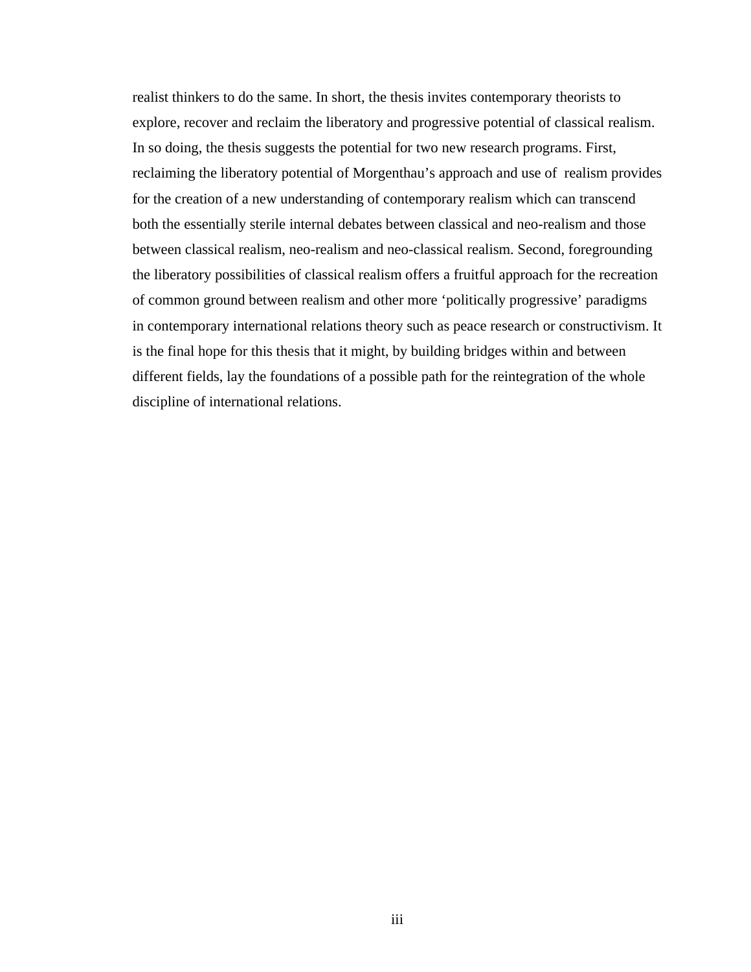realist thinkers to do the same. In short, the thesis invites contemporary theorists to explore, recover and reclaim the liberatory and progressive potential of classical realism. In so doing, the thesis suggests the potential for two new research programs. First, reclaiming the liberatory potential of Morgenthau's approach and use of realism provides for the creation of a new understanding of contemporary realism which can transcend both the essentially sterile internal debates between classical and neo-realism and those between classical realism, neo-realism and neo-classical realism. Second, foregrounding the liberatory possibilities of classical realism offers a fruitful approach for the recreation of common ground between realism and other more 'politically progressive' paradigms in contemporary international relations theory such as peace research or constructivism. It is the final hope for this thesis that it might, by building bridges within and between different fields, lay the foundations of a possible path for the reintegration of the whole discipline of international relations.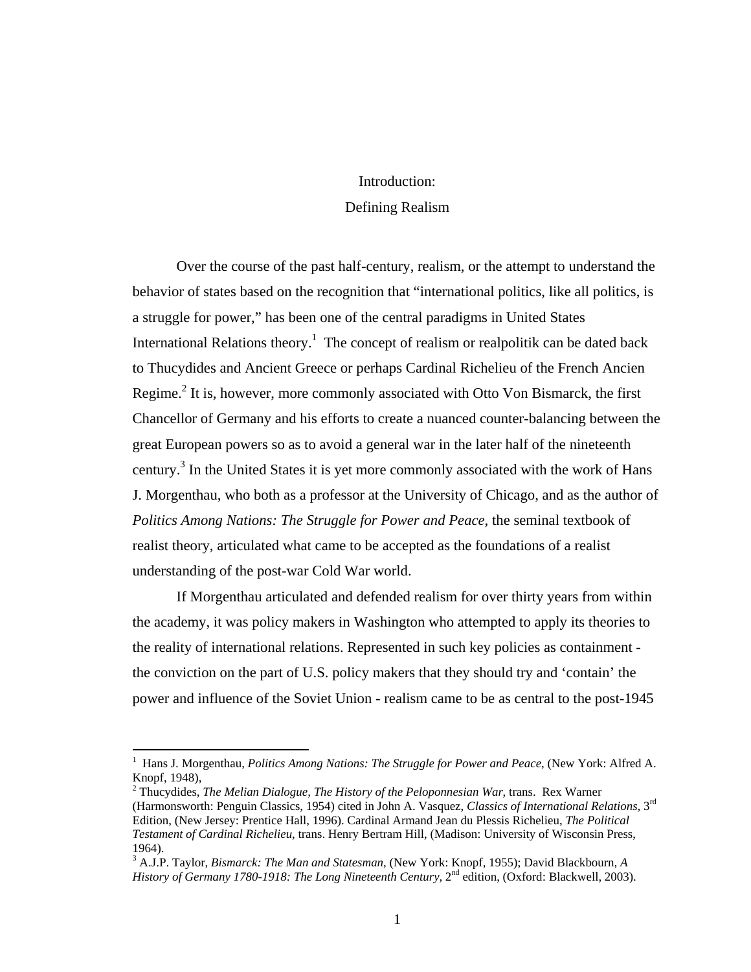# Introduction: Defining Realism

Over the course of the past half-century, realism, or the attempt to understand the behavior of states based on the recognition that "international politics, like all politics, is a struggle for power," has been one of the central paradigms in United States International Relations theory.<sup>1</sup> The concept of realism or realpolitik can be dated back to Thucydides and Ancient Greece or perhaps Cardinal Richelieu of the French Ancien Regime. $<sup>2</sup>$  It is, however, more commonly associated with Otto Von Bismarck, the first</sup> Chancellor of Germany and his efforts to create a nuanced counter-balancing between the great European powers so as to avoid a general war in the later half of the nineteenth century.<sup>3</sup> In the United States it is yet more commonly associated with the work of Hans J. Morgenthau, who both as a professor at the University of Chicago, and as the author of *Politics Among Nations: The Struggle for Power and Peace*, the seminal textbook of realist theory, articulated what came to be accepted as the foundations of a realist understanding of the post-war Cold War world.

If Morgenthau articulated and defended realism for over thirty years from within the academy, it was policy makers in Washington who attempted to apply its theories to the reality of international relations. Represented in such key policies as containment the conviction on the part of U.S. policy makers that they should try and 'contain' the power and influence of the Soviet Union - realism came to be as central to the post-1945

1

<sup>1</sup> Hans J. Morgenthau, *Politics Among Nations: The Struggle for Power and Peace*, (New York: Alfred A. Knopf, 1948),

<sup>2</sup> Thucydides, *The Melian Dialogue, The History of the Peloponnesian War*, trans. Rex Warner (Harmonsworth: Penguin Classics, 1954) cited in John A. Vasquez, *Classics of International Relations*, 3rd Edition, (New Jersey: Prentice Hall, 1996). Cardinal Armand Jean du Plessis Richelieu, *The Political Testament of Cardinal Richelieu*, trans. Henry Bertram Hill, (Madison: University of Wisconsin Press, 1964).

<sup>3</sup> A.J.P. Taylor, *Bismarck: The Man and Statesman*, (New York: Knopf, 1955); David Blackbourn, *A History of Germany 1780-1918: The Long Nineteenth Century*, 2<sup>nd</sup> edition, (Oxford: Blackwell, 2003).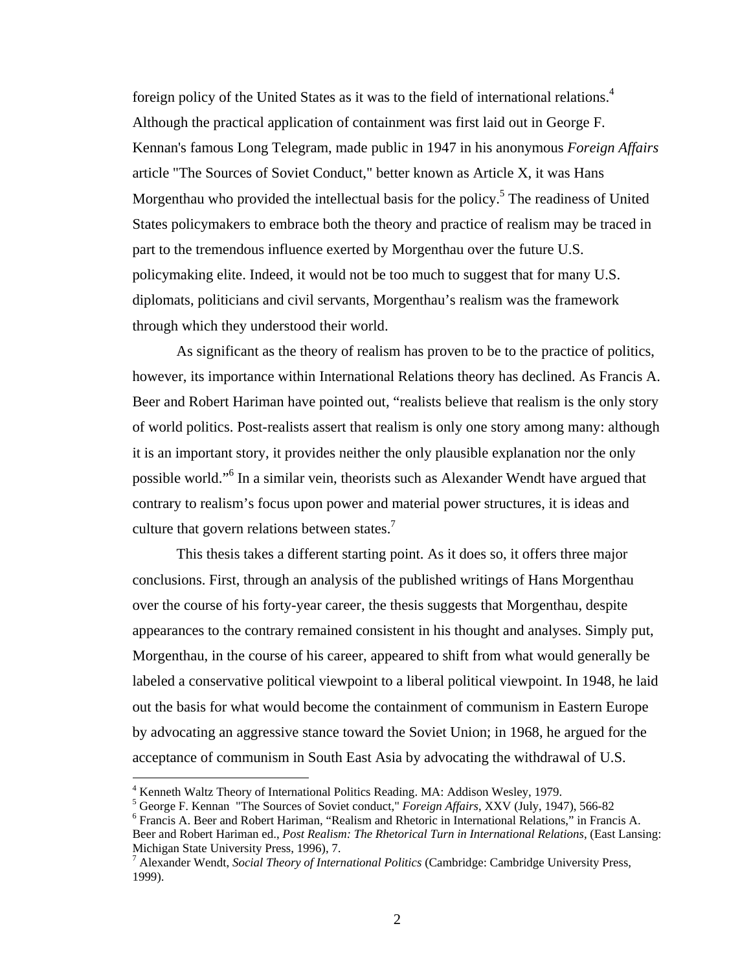foreign policy of the United States as it was to the field of international relations.<sup>4</sup> Although the practical application of containment was first laid out in George F. Kennan's famous Long Telegram, made public in 1947 in his anonymous *Foreign Affairs* article "The Sources of Soviet Conduct," better known as Article X, it was Hans Morgenthau who provided the intellectual basis for the policy.<sup>5</sup> The readiness of United States policymakers to embrace both the theory and practice of realism may be traced in part to the tremendous influence exerted by Morgenthau over the future U.S. policymaking elite. Indeed, it would not be too much to suggest that for many U.S. diplomats, politicians and civil servants, Morgenthau's realism was the framework through which they understood their world.

 As significant as the theory of realism has proven to be to the practice of politics, however, its importance within International Relations theory has declined. As Francis A. Beer and Robert Hariman have pointed out, "realists believe that realism is the only story of world politics. Post-realists assert that realism is only one story among many: although it is an important story, it provides neither the only plausible explanation nor the only possible world."<sup>6</sup> In a similar vein, theorists such as Alexander Wendt have argued that contrary to realism's focus upon power and material power structures, it is ideas and culture that govern relations between states.<sup>7</sup>

This thesis takes a different starting point. As it does so, it offers three major conclusions. First, through an analysis of the published writings of Hans Morgenthau over the course of his forty-year career, the thesis suggests that Morgenthau, despite appearances to the contrary remained consistent in his thought and analyses. Simply put, Morgenthau, in the course of his career, appeared to shift from what would generally be labeled a conservative political viewpoint to a liberal political viewpoint. In 1948, he laid out the basis for what would become the containment of communism in Eastern Europe by advocating an aggressive stance toward the Soviet Union; in 1968, he argued for the acceptance of communism in South East Asia by advocating the withdrawal of U.S.

<sup>4</sup> Kenneth Waltz Theory of International Politics Reading. MA: Addison Wesley, 1979.

<sup>&</sup>lt;sup>5</sup> George F. Kennan "The Sources of Soviet conduct," *Foreign Affairs*, XXV (July, 1947), 566-82<br><sup>6</sup> Francis A. Bear and Bobert Heriman. "Beelign and Bhataria in International Belations" in Franc

Francis A. Beer and Robert Hariman, "Realism and Rhetoric in International Relations," in Francis A.

Beer and Robert Hariman ed., *Post Realism: The Rhetorical Turn in International Relations*, (East Lansing: Michigan State University Press, 1996), 7.

Alexander Wendt, *Social Theory of International Politics* (Cambridge: Cambridge University Press, 1999).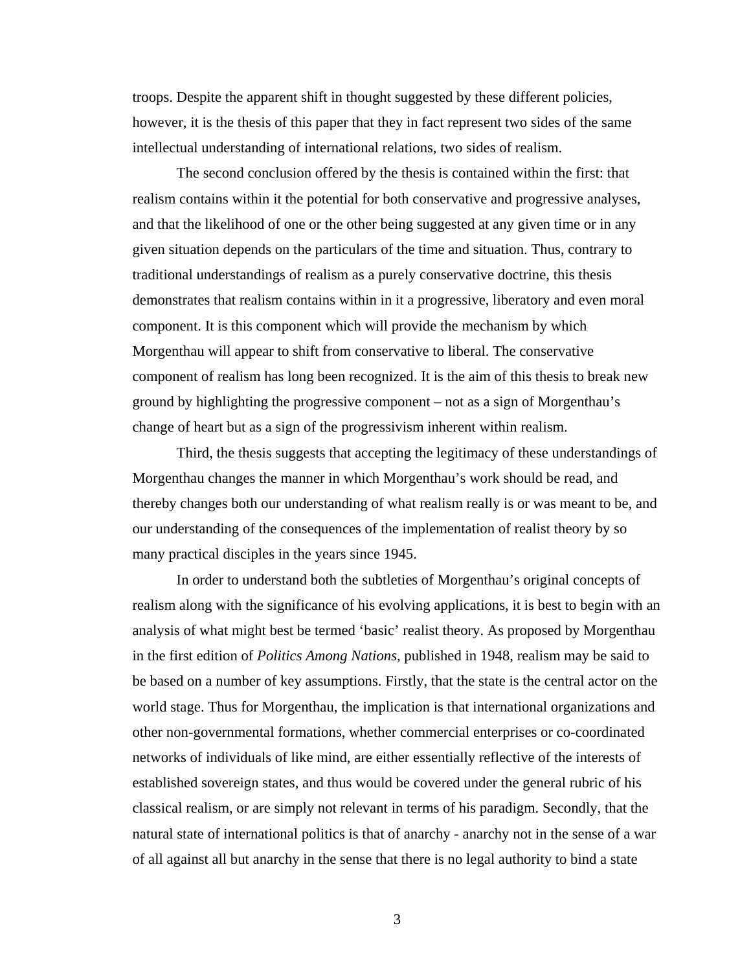troops. Despite the apparent shift in thought suggested by these different policies, however, it is the thesis of this paper that they in fact represent two sides of the same intellectual understanding of international relations, two sides of realism.

The second conclusion offered by the thesis is contained within the first: that realism contains within it the potential for both conservative and progressive analyses, and that the likelihood of one or the other being suggested at any given time or in any given situation depends on the particulars of the time and situation. Thus, contrary to traditional understandings of realism as a purely conservative doctrine, this thesis demonstrates that realism contains within in it a progressive, liberatory and even moral component. It is this component which will provide the mechanism by which Morgenthau will appear to shift from conservative to liberal. The conservative component of realism has long been recognized. It is the aim of this thesis to break new ground by highlighting the progressive component – not as a sign of Morgenthau's change of heart but as a sign of the progressivism inherent within realism.

Third, the thesis suggests that accepting the legitimacy of these understandings of Morgenthau changes the manner in which Morgenthau's work should be read, and thereby changes both our understanding of what realism really is or was meant to be, and our understanding of the consequences of the implementation of realist theory by so many practical disciples in the years since 1945.

 In order to understand both the subtleties of Morgenthau's original concepts of realism along with the significance of his evolving applications, it is best to begin with an analysis of what might best be termed 'basic' realist theory. As proposed by Morgenthau in the first edition of *Politics Among Nations,* published in 1948, realism may be said to be based on a number of key assumptions. Firstly, that the state is the central actor on the world stage. Thus for Morgenthau, the implication is that international organizations and other non-governmental formations, whether commercial enterprises or co-coordinated networks of individuals of like mind, are either essentially reflective of the interests of established sovereign states, and thus would be covered under the general rubric of his classical realism, or are simply not relevant in terms of his paradigm. Secondly, that the natural state of international politics is that of anarchy - anarchy not in the sense of a war of all against all but anarchy in the sense that there is no legal authority to bind a state

3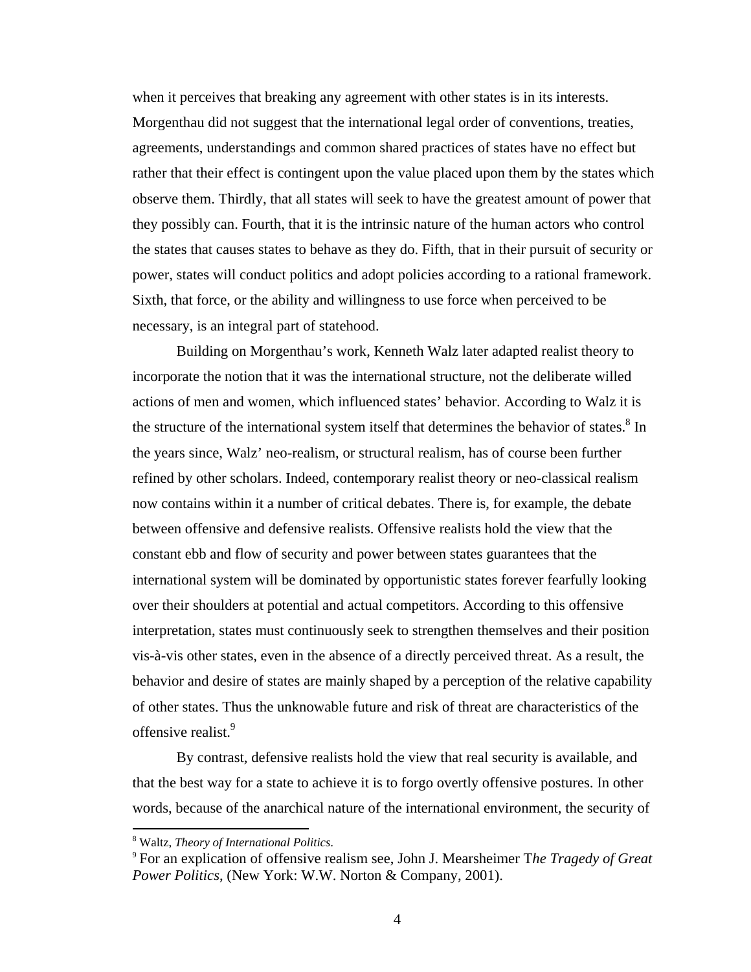when it perceives that breaking any agreement with other states is in its interests. Morgenthau did not suggest that the international legal order of conventions, treaties, agreements, understandings and common shared practices of states have no effect but rather that their effect is contingent upon the value placed upon them by the states which observe them. Thirdly, that all states will seek to have the greatest amount of power that they possibly can. Fourth, that it is the intrinsic nature of the human actors who control the states that causes states to behave as they do. Fifth, that in their pursuit of security or power, states will conduct politics and adopt policies according to a rational framework. Sixth, that force, or the ability and willingness to use force when perceived to be necessary, is an integral part of statehood.

 Building on Morgenthau's work, Kenneth Walz later adapted realist theory to incorporate the notion that it was the international structure, not the deliberate willed actions of men and women, which influenced states' behavior. According to Walz it is the structure of the international system itself that determines the behavior of states.<sup>8</sup> In the years since, Walz' neo-realism, or structural realism, has of course been further refined by other scholars. Indeed, contemporary realist theory or neo-classical realism now contains within it a number of critical debates. There is, for example, the debate between offensive and defensive realists. Offensive realists hold the view that the constant ebb and flow of security and power between states guarantees that the international system will be dominated by opportunistic states forever fearfully looking over their shoulders at potential and actual competitors. According to this offensive interpretation, states must continuously seek to strengthen themselves and their position vis-à-vis other states, even in the absence of a directly perceived threat. As a result, the behavior and desire of states are mainly shaped by a perception of the relative capability of other states. Thus the unknowable future and risk of threat are characteristics of the offensive realist.<sup>9</sup>

By contrast, defensive realists hold the view that real security is available, and that the best way for a state to achieve it is to forgo overtly offensive postures. In other words, because of the anarchical nature of the international environment, the security of

1

<sup>&</sup>lt;sup>8</sup> Waltz, Theory of International Politics.

<sup>&</sup>lt;sup>9</sup> For an explication of offensive realism see, John J. Mearsheimer The Tragedy of Great *Power Politics*, (New York: W.W. Norton & Company, 2001).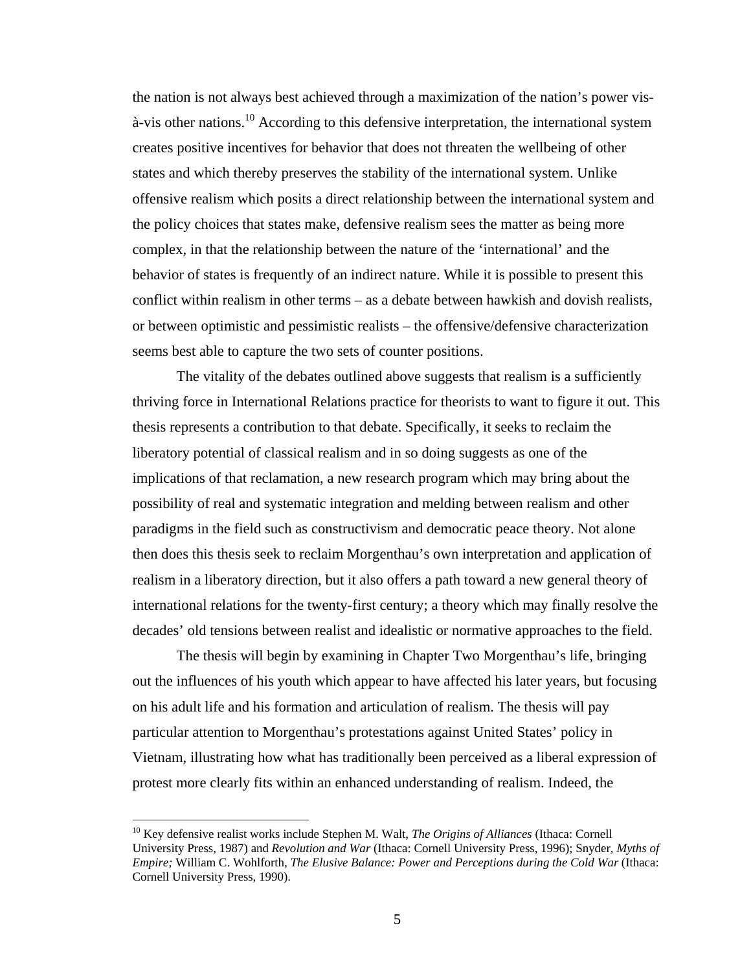the nation is not always best achieved through a maximization of the nation's power vis- $\hat{a}$ -vis other nations.<sup>10</sup> According to this defensive interpretation, the international system creates positive incentives for behavior that does not threaten the wellbeing of other states and which thereby preserves the stability of the international system. Unlike offensive realism which posits a direct relationship between the international system and the policy choices that states make, defensive realism sees the matter as being more complex, in that the relationship between the nature of the 'international' and the behavior of states is frequently of an indirect nature. While it is possible to present this conflict within realism in other terms – as a debate between hawkish and dovish realists, or between optimistic and pessimistic realists – the offensive/defensive characterization seems best able to capture the two sets of counter positions.

The vitality of the debates outlined above suggests that realism is a sufficiently thriving force in International Relations practice for theorists to want to figure it out. This thesis represents a contribution to that debate. Specifically, it seeks to reclaim the liberatory potential of classical realism and in so doing suggests as one of the implications of that reclamation, a new research program which may bring about the possibility of real and systematic integration and melding between realism and other paradigms in the field such as constructivism and democratic peace theory. Not alone then does this thesis seek to reclaim Morgenthau's own interpretation and application of realism in a liberatory direction, but it also offers a path toward a new general theory of international relations for the twenty-first century; a theory which may finally resolve the decades' old tensions between realist and idealistic or normative approaches to the field.

The thesis will begin by examining in Chapter Two Morgenthau's life, bringing out the influences of his youth which appear to have affected his later years, but focusing on his adult life and his formation and articulation of realism. The thesis will pay particular attention to Morgenthau's protestations against United States' policy in Vietnam, illustrating how what has traditionally been perceived as a liberal expression of protest more clearly fits within an enhanced understanding of realism. Indeed, the

<sup>10</sup> Key defensive realist works include Stephen M. Walt, *The Origins of Alliances* (Ithaca: Cornell University Press, 1987) and *Revolution and War* (Ithaca: Cornell University Press, 1996); Snyder, *Myths of Empire;* William C. Wohlforth, *The Elusive Balance: Power and Perceptions during the Cold War* (Ithaca: Cornell University Press, 1990).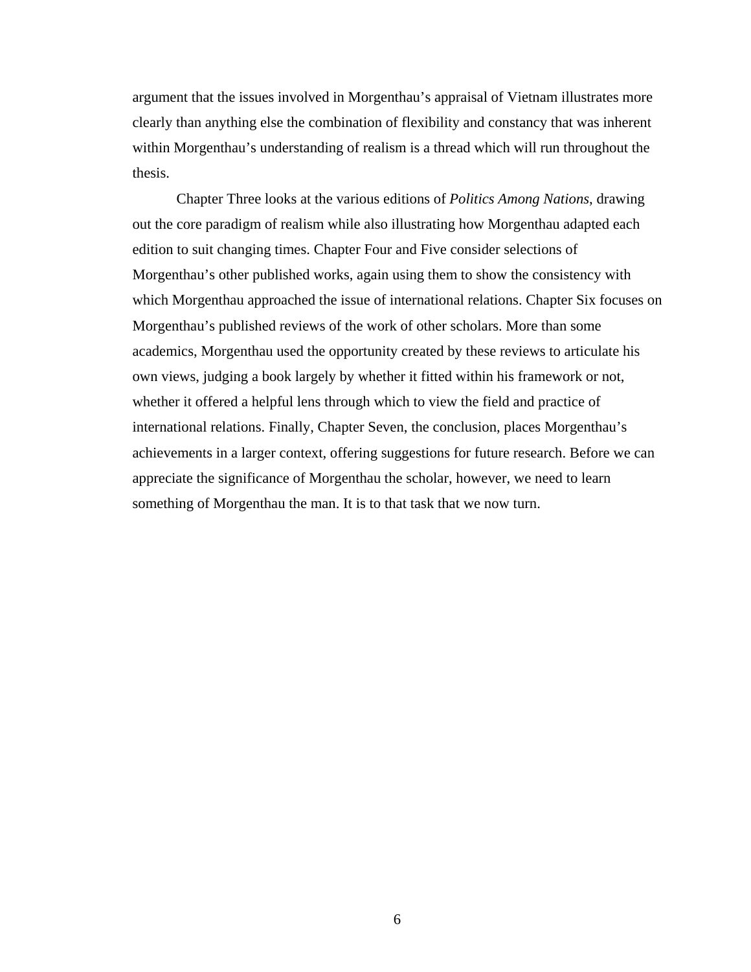argument that the issues involved in Morgenthau's appraisal of Vietnam illustrates more clearly than anything else the combination of flexibility and constancy that was inherent within Morgenthau's understanding of realism is a thread which will run throughout the thesis.

Chapter Three looks at the various editions of *Politics Among Nations*, drawing out the core paradigm of realism while also illustrating how Morgenthau adapted each edition to suit changing times. Chapter Four and Five consider selections of Morgenthau's other published works, again using them to show the consistency with which Morgenthau approached the issue of international relations. Chapter Six focuses on Morgenthau's published reviews of the work of other scholars. More than some academics, Morgenthau used the opportunity created by these reviews to articulate his own views, judging a book largely by whether it fitted within his framework or not, whether it offered a helpful lens through which to view the field and practice of international relations. Finally, Chapter Seven, the conclusion, places Morgenthau's achievements in a larger context, offering suggestions for future research. Before we can appreciate the significance of Morgenthau the scholar, however, we need to learn something of Morgenthau the man. It is to that task that we now turn.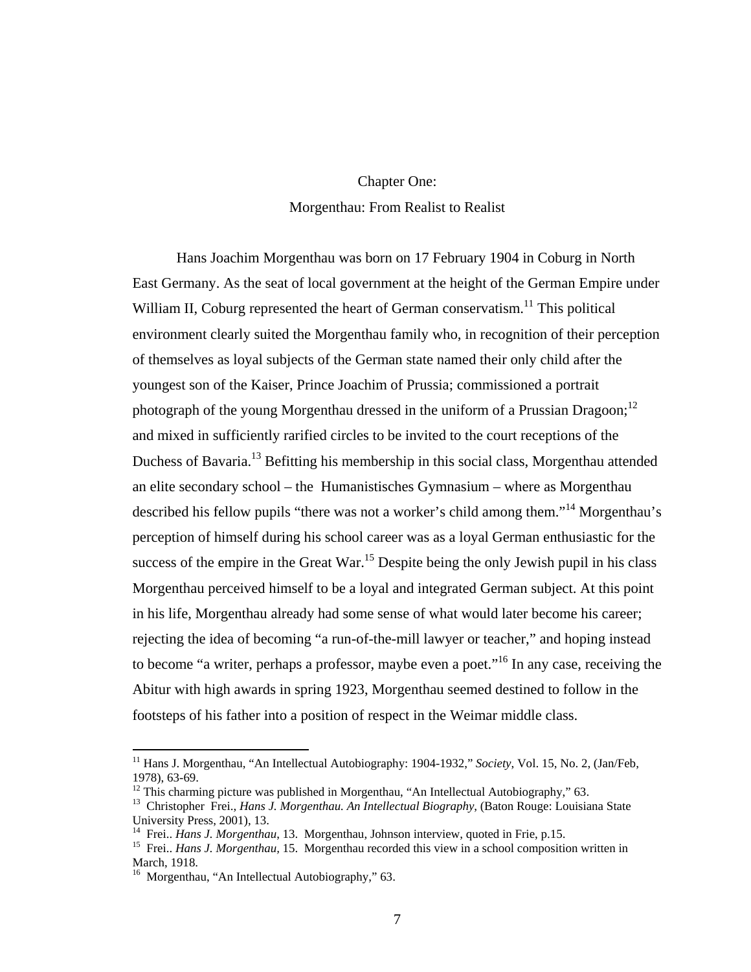## Chapter One: Morgenthau: From Realist to Realist

Hans Joachim Morgenthau was born on 17 February 1904 in Coburg in North East Germany. As the seat of local government at the height of the German Empire under William II, Coburg represented the heart of German conservatism.<sup>11</sup> This political environment clearly suited the Morgenthau family who, in recognition of their perception of themselves as loyal subjects of the German state named their only child after the youngest son of the Kaiser, Prince Joachim of Prussia; commissioned a portrait photograph of the young Morgenthau dressed in the uniform of a Prussian Dragoon;<sup>12</sup> and mixed in sufficiently rarified circles to be invited to the court receptions of the Duchess of Bavaria.13 Befitting his membership in this social class, Morgenthau attended an elite secondary school – the Humanistisches Gymnasium – where as Morgenthau described his fellow pupils "there was not a worker's child among them."<sup>14</sup> Morgenthau's perception of himself during his school career was as a loyal German enthusiastic for the success of the empire in the Great War.<sup>15</sup> Despite being the only Jewish pupil in his class Morgenthau perceived himself to be a loyal and integrated German subject. At this point in his life, Morgenthau already had some sense of what would later become his career; rejecting the idea of becoming "a run-of-the-mill lawyer or teacher," and hoping instead to become "a writer, perhaps a professor, maybe even a poet."<sup>16</sup> In any case, receiving the Abitur with high awards in spring 1923, Morgenthau seemed destined to follow in the footsteps of his father into a position of respect in the Weimar middle class.

<sup>11</sup> Hans J. Morgenthau, "An Intellectual Autobiography: 1904-1932," *Society*, Vol. 15, No. 2, (Jan/Feb, 1978), 63-69.

<sup>&</sup>lt;sup>12</sup> This charming picture was published in Morgenthau, "An Intellectual Autobiography," 63.

<sup>&</sup>lt;sup>13</sup> Christopher Frei., *Hans J. Morgenthau. An Intellectual Biography*, (Baton Rouge: Louisiana State University Press, 2001), 13.<br><sup>14</sup> Frei.. *Hans J. Morgenthau*, 13. Morgenthau, Johnson interview, quoted in Frie, p.15.

<sup>&</sup>lt;sup>15</sup> Frei.. *Hans J. Morgenthau*, 15. Morgenthau recorded this view in a school composition written in March, 1918.

<sup>&</sup>lt;sup>16</sup> Morgenthau, "An Intellectual Autobiography," 63.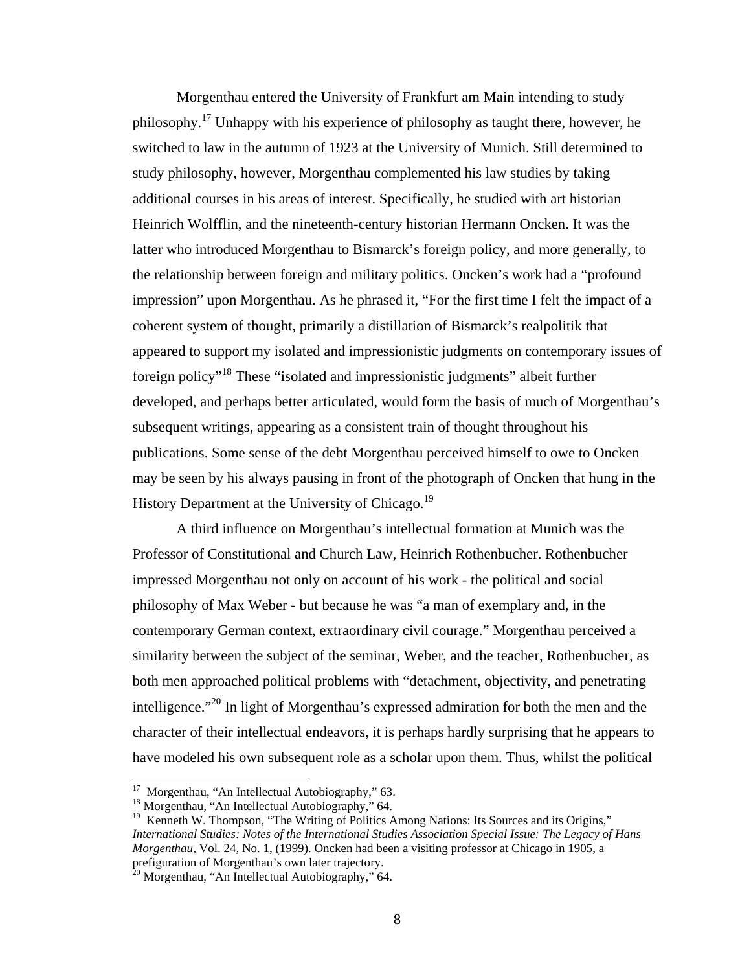Morgenthau entered the University of Frankfurt am Main intending to study philosophy.<sup>17</sup> Unhappy with his experience of philosophy as taught there, however, he switched to law in the autumn of 1923 at the University of Munich. Still determined to study philosophy, however, Morgenthau complemented his law studies by taking additional courses in his areas of interest. Specifically, he studied with art historian Heinrich Wolfflin, and the nineteenth-century historian Hermann Oncken. It was the latter who introduced Morgenthau to Bismarck's foreign policy, and more generally, to the relationship between foreign and military politics. Oncken's work had a "profound impression" upon Morgenthau. As he phrased it, "For the first time I felt the impact of a coherent system of thought, primarily a distillation of Bismarck's realpolitik that appeared to support my isolated and impressionistic judgments on contemporary issues of foreign policy<sup>",18</sup> These "isolated and impressionistic judgments" albeit further developed, and perhaps better articulated, would form the basis of much of Morgenthau's subsequent writings, appearing as a consistent train of thought throughout his publications. Some sense of the debt Morgenthau perceived himself to owe to Oncken may be seen by his always pausing in front of the photograph of Oncken that hung in the History Department at the University of Chicago.<sup>19</sup>

A third influence on Morgenthau's intellectual formation at Munich was the Professor of Constitutional and Church Law, Heinrich Rothenbucher. Rothenbucher impressed Morgenthau not only on account of his work - the political and social philosophy of Max Weber - but because he was "a man of exemplary and, in the contemporary German context, extraordinary civil courage." Morgenthau perceived a similarity between the subject of the seminar, Weber, and the teacher, Rothenbucher, as both men approached political problems with "detachment, objectivity, and penetrating intelligence."20 In light of Morgenthau's expressed admiration for both the men and the character of their intellectual endeavors, it is perhaps hardly surprising that he appears to have modeled his own subsequent role as a scholar upon them. Thus, whilst the political

<u>.</u>

<sup>&</sup>lt;sup>17</sup> Morgenthau, "An Intellectual Autobiography," 63.

<sup>&</sup>lt;sup>18</sup> Morgenthau, "An Intellectual Autobiography," 64.

<sup>&</sup>lt;sup>19</sup> Kenneth W. Thompson, "The Writing of Politics Among Nations: Its Sources and its Origins," *International Studies: Notes of the International Studies Association Special Issue: The Legacy of Hans Morgenthau*, Vol. 24, No. 1, (1999). Oncken had been a visiting professor at Chicago in 1905, a prefiguration of Morgenthau's own later trajectory.<br><sup>20</sup> Morgenthau, "An Intellectual Autobiography," 64.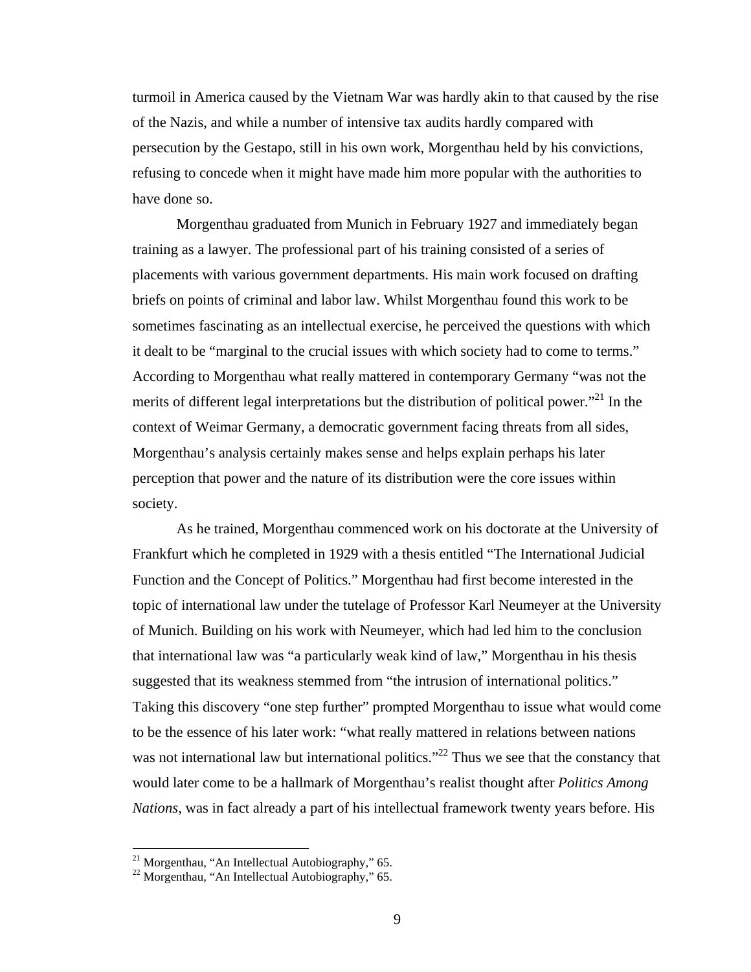turmoil in America caused by the Vietnam War was hardly akin to that caused by the rise of the Nazis, and while a number of intensive tax audits hardly compared with persecution by the Gestapo, still in his own work, Morgenthau held by his convictions, refusing to concede when it might have made him more popular with the authorities to have done so.

Morgenthau graduated from Munich in February 1927 and immediately began training as a lawyer. The professional part of his training consisted of a series of placements with various government departments. His main work focused on drafting briefs on points of criminal and labor law. Whilst Morgenthau found this work to be sometimes fascinating as an intellectual exercise, he perceived the questions with which it dealt to be "marginal to the crucial issues with which society had to come to terms." According to Morgenthau what really mattered in contemporary Germany "was not the merits of different legal interpretations but the distribution of political power."<sup>21</sup> In the context of Weimar Germany, a democratic government facing threats from all sides, Morgenthau's analysis certainly makes sense and helps explain perhaps his later perception that power and the nature of its distribution were the core issues within society.

As he trained, Morgenthau commenced work on his doctorate at the University of Frankfurt which he completed in 1929 with a thesis entitled "The International Judicial Function and the Concept of Politics." Morgenthau had first become interested in the topic of international law under the tutelage of Professor Karl Neumeyer at the University of Munich. Building on his work with Neumeyer, which had led him to the conclusion that international law was "a particularly weak kind of law," Morgenthau in his thesis suggested that its weakness stemmed from "the intrusion of international politics." Taking this discovery "one step further" prompted Morgenthau to issue what would come to be the essence of his later work: "what really mattered in relations between nations was not international law but international politics."<sup>22</sup> Thus we see that the constancy that would later come to be a hallmark of Morgenthau's realist thought after *Politics Among Nations*, was in fact already a part of his intellectual framework twenty years before. His

 $21$  Morgenthau, "An Intellectual Autobiography," 65.

<sup>22</sup> Morgenthau, "An Intellectual Autobiography," 65.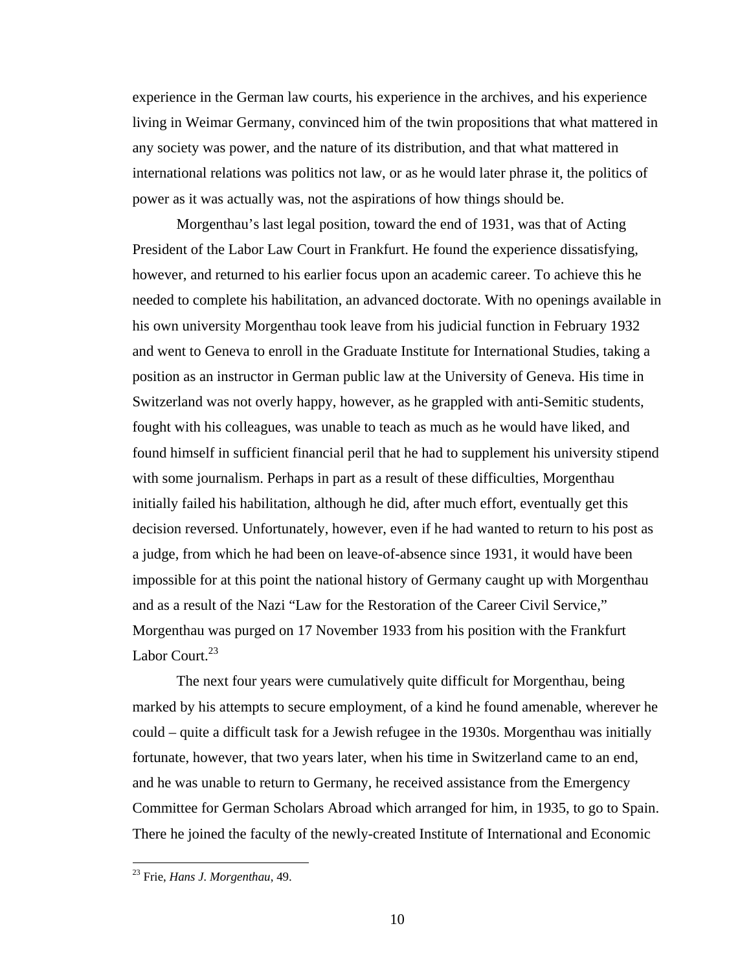experience in the German law courts, his experience in the archives, and his experience living in Weimar Germany, convinced him of the twin propositions that what mattered in any society was power, and the nature of its distribution, and that what mattered in international relations was politics not law, or as he would later phrase it, the politics of power as it was actually was, not the aspirations of how things should be.

Morgenthau's last legal position, toward the end of 1931, was that of Acting President of the Labor Law Court in Frankfurt. He found the experience dissatisfying, however, and returned to his earlier focus upon an academic career. To achieve this he needed to complete his habilitation, an advanced doctorate. With no openings available in his own university Morgenthau took leave from his judicial function in February 1932 and went to Geneva to enroll in the Graduate Institute for International Studies, taking a position as an instructor in German public law at the University of Geneva. His time in Switzerland was not overly happy, however, as he grappled with anti-Semitic students, fought with his colleagues, was unable to teach as much as he would have liked, and found himself in sufficient financial peril that he had to supplement his university stipend with some journalism. Perhaps in part as a result of these difficulties, Morgenthau initially failed his habilitation, although he did, after much effort, eventually get this decision reversed. Unfortunately, however, even if he had wanted to return to his post as a judge, from which he had been on leave-of-absence since 1931, it would have been impossible for at this point the national history of Germany caught up with Morgenthau and as a result of the Nazi "Law for the Restoration of the Career Civil Service," Morgenthau was purged on 17 November 1933 from his position with the Frankfurt Labor Court. $^{23}$ 

The next four years were cumulatively quite difficult for Morgenthau, being marked by his attempts to secure employment, of a kind he found amenable, wherever he could – quite a difficult task for a Jewish refugee in the 1930s. Morgenthau was initially fortunate, however, that two years later, when his time in Switzerland came to an end, and he was unable to return to Germany, he received assistance from the Emergency Committee for German Scholars Abroad which arranged for him, in 1935, to go to Spain. There he joined the faculty of the newly-created Institute of International and Economic

<sup>23</sup> Frie, *Hans J. Morgenthau*, 49.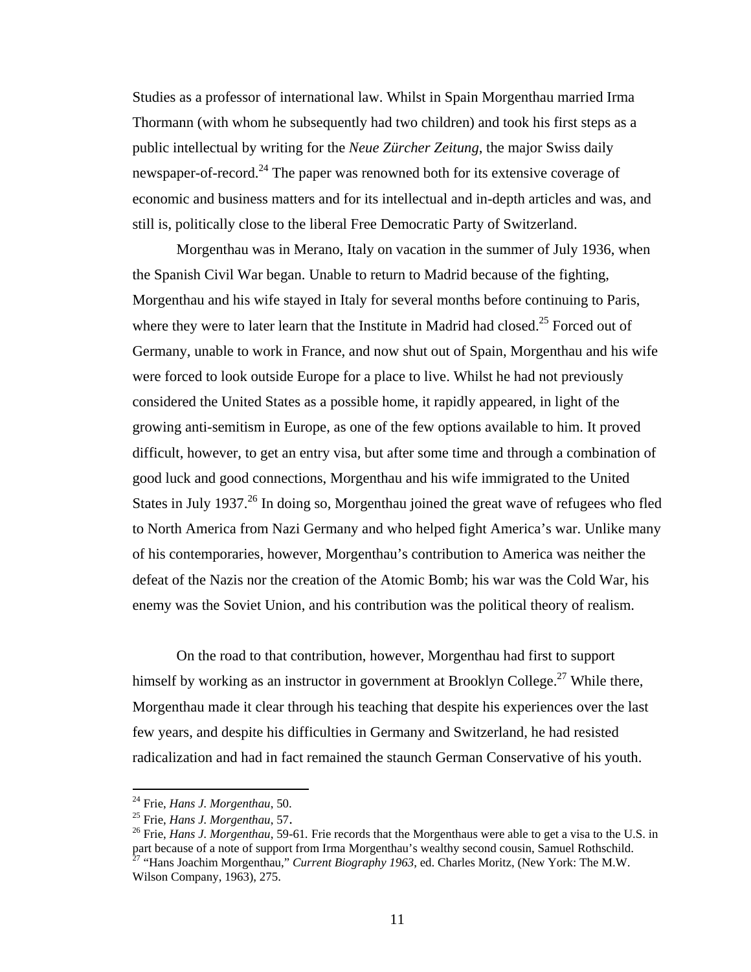Studies as a professor of international law. Whilst in Spain Morgenthau married Irma Thormann (with whom he subsequently had two children) and took his first steps as a public intellectual by writing for the *Neue Zürcher Zeitung*, the major Swiss daily newspaper-of-record.<sup>24</sup> The paper was renowned both for its extensive coverage of economic and business matters and for its intellectual and in-depth articles and was, and still is, politically close to the liberal Free Democratic Party of Switzerland.

Morgenthau was in Merano, Italy on vacation in the summer of July 1936, when the Spanish Civil War began. Unable to return to Madrid because of the fighting, Morgenthau and his wife stayed in Italy for several months before continuing to Paris, where they were to later learn that the Institute in Madrid had closed.<sup>25</sup> Forced out of Germany, unable to work in France, and now shut out of Spain, Morgenthau and his wife were forced to look outside Europe for a place to live. Whilst he had not previously considered the United States as a possible home, it rapidly appeared, in light of the growing anti-semitism in Europe, as one of the few options available to him. It proved difficult, however, to get an entry visa, but after some time and through a combination of good luck and good connections, Morgenthau and his wife immigrated to the United States in July 1937.<sup>26</sup> In doing so, Morgenthau joined the great wave of refugees who fled to North America from Nazi Germany and who helped fight America's war. Unlike many of his contemporaries, however, Morgenthau's contribution to America was neither the defeat of the Nazis nor the creation of the Atomic Bomb; his war was the Cold War, his enemy was the Soviet Union, and his contribution was the political theory of realism.

On the road to that contribution, however, Morgenthau had first to support himself by working as an instructor in government at Brooklyn College.<sup>27</sup> While there, Morgenthau made it clear through his teaching that despite his experiences over the last few years, and despite his difficulties in Germany and Switzerland, he had resisted radicalization and had in fact remained the staunch German Conservative of his youth.

<sup>&</sup>lt;sup>24</sup> Frie, *Hans J. Morgenthau*, 50.<br><sup>25</sup> Frie, *Hans J. Morgenthau*, 57.<br><sup>26</sup> Frie, *Hans J. Morgenthau*, 59-61. Frie records that the Morgenthaus were able to get a visa to the U.S. in part because of a note of support from Irma Morgenthau's wealthy second cousin, Samuel Rothschild. 27 "Hans Joachim Morgenthau," *Current Biography 1963*, ed. Charles Moritz, (New York: The M.W. Wilson Company, 1963), 275.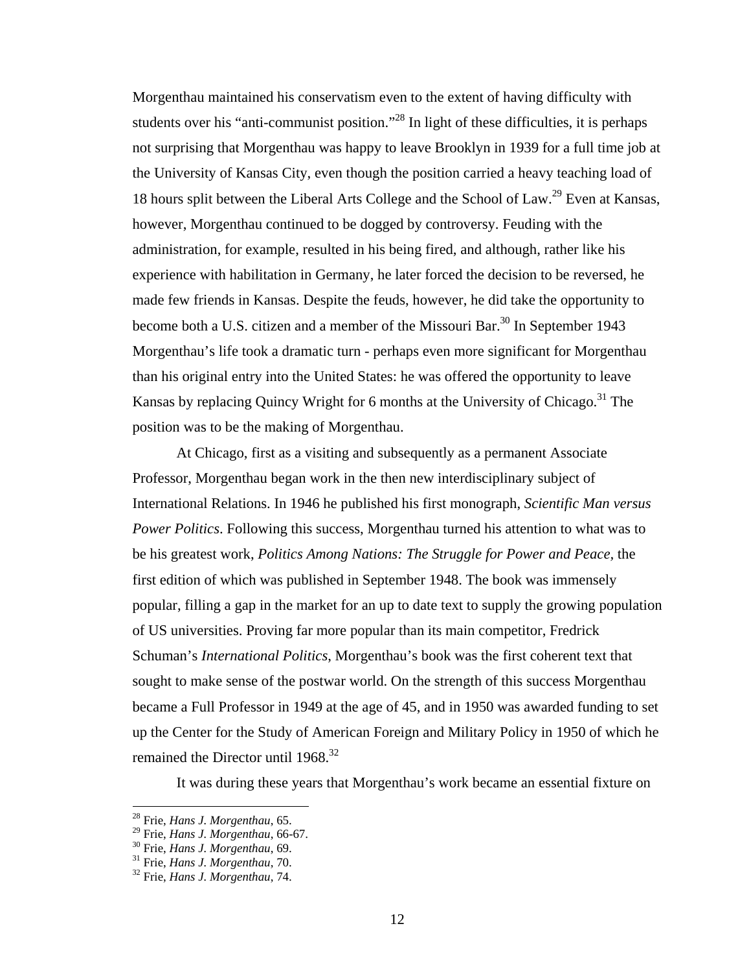Morgenthau maintained his conservatism even to the extent of having difficulty with students over his "anti-communist position."<sup>28</sup> In light of these difficulties, it is perhaps not surprising that Morgenthau was happy to leave Brooklyn in 1939 for a full time job at the University of Kansas City, even though the position carried a heavy teaching load of 18 hours split between the Liberal Arts College and the School of Law.<sup>29</sup> Even at Kansas, however, Morgenthau continued to be dogged by controversy. Feuding with the administration, for example, resulted in his being fired, and although, rather like his experience with habilitation in Germany, he later forced the decision to be reversed, he made few friends in Kansas. Despite the feuds, however, he did take the opportunity to become both a U.S. citizen and a member of the Missouri Bar.<sup>30</sup> In September 1943 Morgenthau's life took a dramatic turn - perhaps even more significant for Morgenthau than his original entry into the United States: he was offered the opportunity to leave Kansas by replacing Quincy Wright for 6 months at the University of Chicago.<sup>31</sup> The position was to be the making of Morgenthau.

At Chicago, first as a visiting and subsequently as a permanent Associate Professor, Morgenthau began work in the then new interdisciplinary subject of International Relations. In 1946 he published his first monograph, *Scientific Man versus Power Politics*. Following this success, Morgenthau turned his attention to what was to be his greatest work, *Politics Among Nations: The Struggle for Power and Peace,* the first edition of which was published in September 1948. The book was immensely popular, filling a gap in the market for an up to date text to supply the growing population of US universities. Proving far more popular than its main competitor, Fredrick Schuman's *International Politics*, Morgenthau's book was the first coherent text that sought to make sense of the postwar world. On the strength of this success Morgenthau became a Full Professor in 1949 at the age of 45, and in 1950 was awarded funding to set up the Center for the Study of American Foreign and Military Policy in 1950 of which he remained the Director until  $1968^{32}$ 

It was during these years that Morgenthau's work became an essential fixture on

1

<sup>&</sup>lt;sup>28</sup> Frie, *Hans J. Morgenthau*, 65.<br><sup>29</sup> Frie, *Hans J. Morgenthau*, 66-67.

<sup>&</sup>lt;sup>30</sup> Frie, *Hans J. Morgenthau*, 69.<br><sup>31</sup> Frie, *Hans J. Morgenthau*, 70. <sup>32</sup> Frie, *Hans J. Morgenthau*, 74.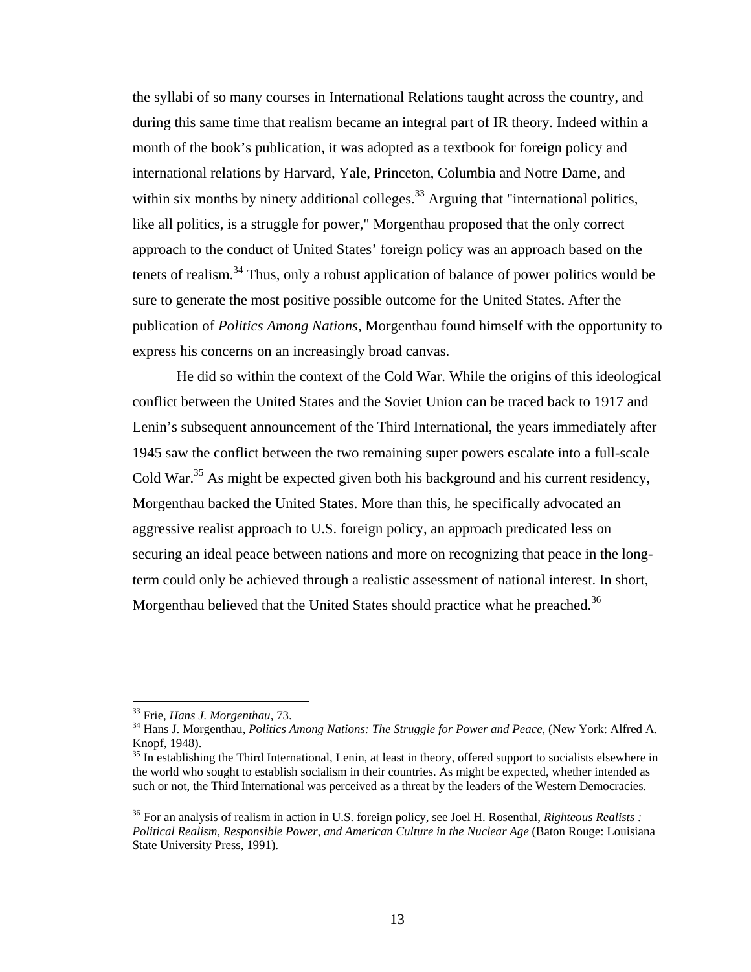the syllabi of so many courses in International Relations taught across the country, and during this same time that realism became an integral part of IR theory. Indeed within a month of the book's publication, it was adopted as a textbook for foreign policy and international relations by Harvard, Yale, Princeton, Columbia and Notre Dame, and within six months by ninety additional colleges. $33$  Arguing that "international politics, like all politics, is a struggle for power," Morgenthau proposed that the only correct approach to the conduct of United States' foreign policy was an approach based on the tenets of realism.<sup>34</sup> Thus, only a robust application of balance of power politics would be sure to generate the most positive possible outcome for the United States. After the publication of *Politics Among Nations,* Morgenthau found himself with the opportunity to express his concerns on an increasingly broad canvas.

He did so within the context of the Cold War. While the origins of this ideological conflict between the United States and the Soviet Union can be traced back to 1917 and Lenin's subsequent announcement of the Third International, the years immediately after 1945 saw the conflict between the two remaining super powers escalate into a full-scale Cold War.<sup>35</sup> As might be expected given both his background and his current residency, Morgenthau backed the United States. More than this, he specifically advocated an aggressive realist approach to U.S. foreign policy, an approach predicated less on securing an ideal peace between nations and more on recognizing that peace in the longterm could only be achieved through a realistic assessment of national interest. In short, Morgenthau believed that the United States should practice what he preached.<sup>36</sup>

<sup>&</sup>lt;sup>33</sup> Frie, *Hans J. Morgenthau, 73.*<br><sup>34</sup> Hans J. Morgenthau, *Politics Among Nations: The Struggle for Power and Peace*, (New York: Alfred A. Knopf, 1948).

 $35$  In establishing the Third International, Lenin, at least in theory, offered support to socialists elsewhere in the world who sought to establish socialism in their countries. As might be expected, whether intended as such or not, the Third International was perceived as a threat by the leaders of the Western Democracies.

<sup>36</sup> For an analysis of realism in action in U.S. foreign policy, see Joel H. Rosenthal, *Righteous Realists : Political Realism, Responsible Power, and American Culture in the Nuclear Age* (Baton Rouge: Louisiana State University Press, 1991).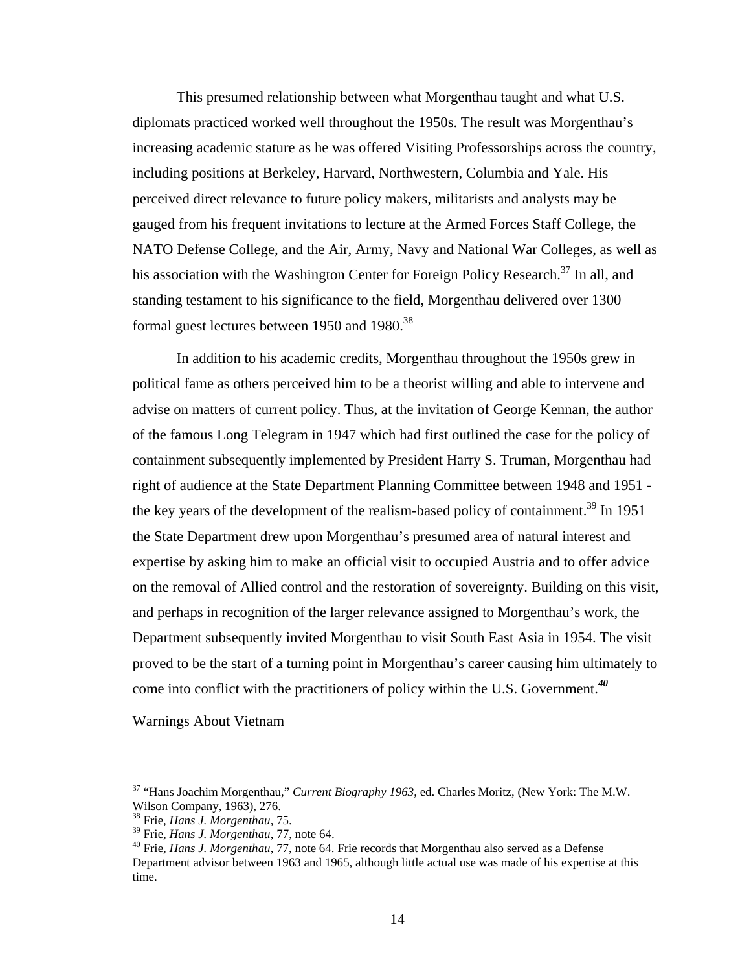This presumed relationship between what Morgenthau taught and what U.S. diplomats practiced worked well throughout the 1950s. The result was Morgenthau's increasing academic stature as he was offered Visiting Professorships across the country, including positions at Berkeley, Harvard, Northwestern, Columbia and Yale. His perceived direct relevance to future policy makers, militarists and analysts may be gauged from his frequent invitations to lecture at the Armed Forces Staff College, the NATO Defense College, and the Air, Army, Navy and National War Colleges, as well as his association with the Washington Center for Foreign Policy Research.<sup>37</sup> In all, and standing testament to his significance to the field, Morgenthau delivered over 1300 formal guest lectures between 1950 and 1980.<sup>38</sup>

In addition to his academic credits, Morgenthau throughout the 1950s grew in political fame as others perceived him to be a theorist willing and able to intervene and advise on matters of current policy. Thus, at the invitation of George Kennan, the author of the famous Long Telegram in 1947 which had first outlined the case for the policy of containment subsequently implemented by President Harry S. Truman, Morgenthau had right of audience at the State Department Planning Committee between 1948 and 1951 the key years of the development of the realism-based policy of containment.<sup>39</sup> In 1951 the State Department drew upon Morgenthau's presumed area of natural interest and expertise by asking him to make an official visit to occupied Austria and to offer advice on the removal of Allied control and the restoration of sovereignty. Building on this visit, and perhaps in recognition of the larger relevance assigned to Morgenthau's work, the Department subsequently invited Morgenthau to visit South East Asia in 1954. The visit proved to be the start of a turning point in Morgenthau's career causing him ultimately to come into conflict with the practitioners of policy within the U.S. Government.*<sup>40</sup>*

Warnings About Vietnam

<u>.</u>

<sup>37 &</sup>quot;Hans Joachim Morgenthau," *Current Biography 1963*, ed. Charles Moritz, (New York: The M.W. Wilson Company, 1963), 276.

<sup>&</sup>lt;sup>38</sup> Frie, *Hans J. Morgenthau*, 75.<br><sup>39</sup> Frie, *Hans J. Morgenthau*, 77, note 64.

<sup>&</sup>lt;sup>40</sup> Frie, *Hans J. Morgenthau*, 77, note 64. Frie records that Morgenthau also served as a Defense Department advisor between 1963 and 1965, although little actual use was made of his expertise at this time.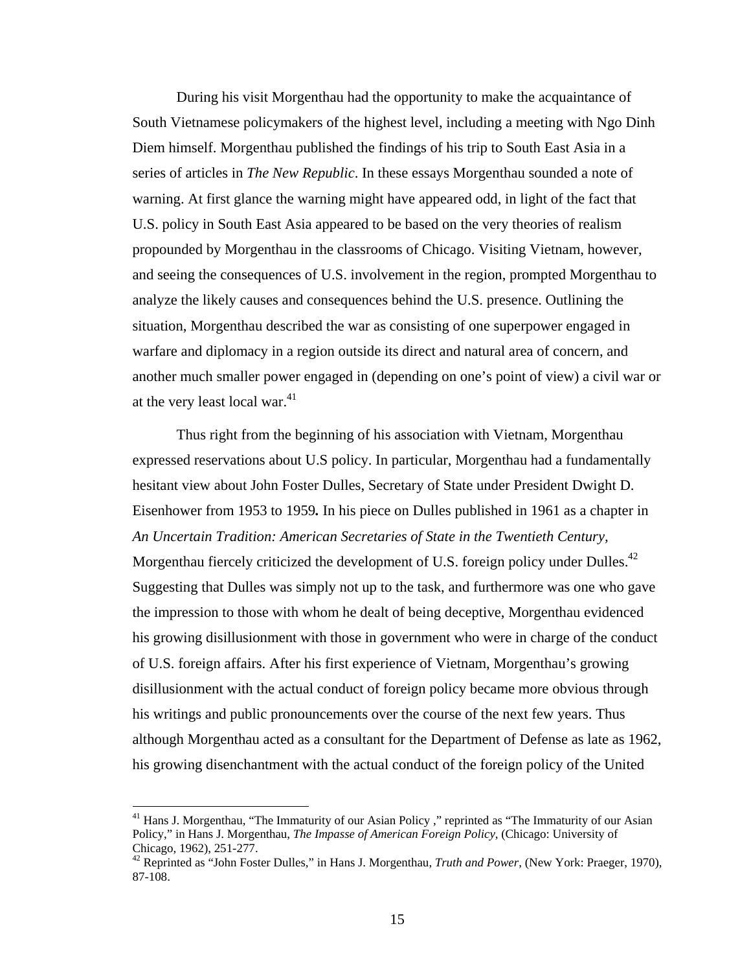During his visit Morgenthau had the opportunity to make the acquaintance of South Vietnamese policymakers of the highest level, including a meeting with Ngo Dinh Diem himself. Morgenthau published the findings of his trip to South East Asia in a series of articles in *The New Republic*. In these essays Morgenthau sounded a note of warning. At first glance the warning might have appeared odd, in light of the fact that U.S. policy in South East Asia appeared to be based on the very theories of realism propounded by Morgenthau in the classrooms of Chicago. Visiting Vietnam, however, and seeing the consequences of U.S. involvement in the region, prompted Morgenthau to analyze the likely causes and consequences behind the U.S. presence. Outlining the situation, Morgenthau described the war as consisting of one superpower engaged in warfare and diplomacy in a region outside its direct and natural area of concern, and another much smaller power engaged in (depending on one's point of view) a civil war or at the very least local war. $41$ 

Thus right from the beginning of his association with Vietnam, Morgenthau expressed reservations about U.S policy. In particular, Morgenthau had a fundamentally hesitant view about John Foster Dulles, Secretary of State under President Dwight D. Eisenhower from 1953 to 1959*.* In his piece on Dulles published in 1961 as a chapter in *An Uncertain Tradition: American Secretaries of State in the Twentieth Century,*  Morgenthau fiercely criticized the development of U.S. foreign policy under Dulles.<sup>42</sup> Suggesting that Dulles was simply not up to the task, and furthermore was one who gave the impression to those with whom he dealt of being deceptive, Morgenthau evidenced his growing disillusionment with those in government who were in charge of the conduct of U.S. foreign affairs. After his first experience of Vietnam, Morgenthau's growing disillusionment with the actual conduct of foreign policy became more obvious through his writings and public pronouncements over the course of the next few years. Thus although Morgenthau acted as a consultant for the Department of Defense as late as 1962, his growing disenchantment with the actual conduct of the foreign policy of the United

1

<sup>&</sup>lt;sup>41</sup> Hans J. Morgenthau, "The Immaturity of our Asian Policy ," reprinted as "The Immaturity of our Asian Policy," in Hans J. Morgenthau, *The Impasse of American Foreign Policy*, (Chicago: University of Chicago, 1962), 251-277.

<sup>42</sup> Reprinted as "John Foster Dulles," in Hans J. Morgenthau, *Truth and Power,* (New York: Praeger, 1970), 87-108.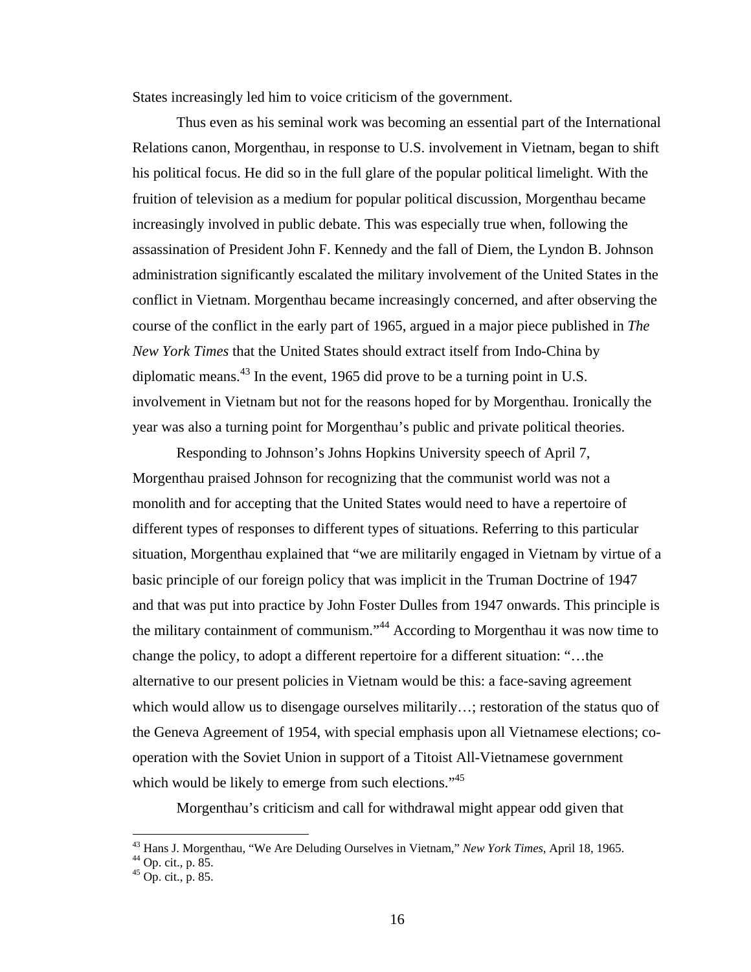States increasingly led him to voice criticism of the government.

Thus even as his seminal work was becoming an essential part of the International Relations canon, Morgenthau, in response to U.S. involvement in Vietnam, began to shift his political focus. He did so in the full glare of the popular political limelight. With the fruition of television as a medium for popular political discussion, Morgenthau became increasingly involved in public debate. This was especially true when, following the assassination of President John F. Kennedy and the fall of Diem, the Lyndon B. Johnson administration significantly escalated the military involvement of the United States in the conflict in Vietnam. Morgenthau became increasingly concerned, and after observing the course of the conflict in the early part of 1965, argued in a major piece published in *The New York Times* that the United States should extract itself from Indo-China by diplomatic means.43 In the event, 1965 did prove to be a turning point in U.S. involvement in Vietnam but not for the reasons hoped for by Morgenthau. Ironically the year was also a turning point for Morgenthau's public and private political theories.

Responding to Johnson's Johns Hopkins University speech of April 7, Morgenthau praised Johnson for recognizing that the communist world was not a monolith and for accepting that the United States would need to have a repertoire of different types of responses to different types of situations. Referring to this particular situation, Morgenthau explained that "we are militarily engaged in Vietnam by virtue of a basic principle of our foreign policy that was implicit in the Truman Doctrine of 1947 and that was put into practice by John Foster Dulles from 1947 onwards. This principle is the military containment of communism."44 According to Morgenthau it was now time to change the policy, to adopt a different repertoire for a different situation: "…the alternative to our present policies in Vietnam would be this: a face-saving agreement which would allow us to disengage ourselves militarily…; restoration of the status quo of the Geneva Agreement of 1954, with special emphasis upon all Vietnamese elections; cooperation with the Soviet Union in support of a Titoist All-Vietnamese government which would be likely to emerge from such elections."<sup>45</sup>

Morgenthau's criticism and call for withdrawal might appear odd given that

<sup>&</sup>lt;sup>43</sup> Hans J. Morgenthau, "We Are Deluding Ourselves in Vietnam," *New York Times*, April 18, 1965.

 $^{44}$  Op. cit., p. 85.<br> $^{45}$  Op. cit., p. 85.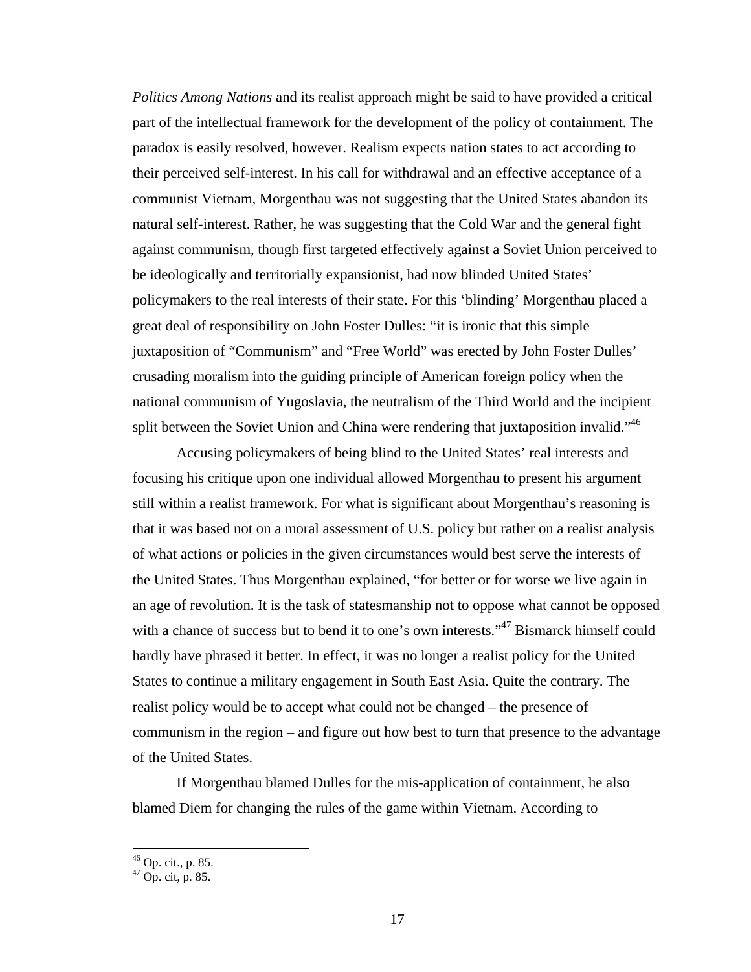*Politics Among Nations* and its realist approach might be said to have provided a critical part of the intellectual framework for the development of the policy of containment. The paradox is easily resolved, however. Realism expects nation states to act according to their perceived self-interest. In his call for withdrawal and an effective acceptance of a communist Vietnam, Morgenthau was not suggesting that the United States abandon its natural self-interest. Rather, he was suggesting that the Cold War and the general fight against communism, though first targeted effectively against a Soviet Union perceived to be ideologically and territorially expansionist, had now blinded United States' policymakers to the real interests of their state. For this 'blinding' Morgenthau placed a great deal of responsibility on John Foster Dulles: "it is ironic that this simple juxtaposition of "Communism" and "Free World" was erected by John Foster Dulles' crusading moralism into the guiding principle of American foreign policy when the national communism of Yugoslavia, the neutralism of the Third World and the incipient split between the Soviet Union and China were rendering that juxtaposition invalid.<sup> $,46$ </sup>

Accusing policymakers of being blind to the United States' real interests and focusing his critique upon one individual allowed Morgenthau to present his argument still within a realist framework. For what is significant about Morgenthau's reasoning is that it was based not on a moral assessment of U.S. policy but rather on a realist analysis of what actions or policies in the given circumstances would best serve the interests of the United States. Thus Morgenthau explained, "for better or for worse we live again in an age of revolution. It is the task of statesmanship not to oppose what cannot be opposed with a chance of success but to bend it to one's own interests."<sup>47</sup> Bismarck himself could hardly have phrased it better. In effect, it was no longer a realist policy for the United States to continue a military engagement in South East Asia. Quite the contrary. The realist policy would be to accept what could not be changed – the presence of communism in the region – and figure out how best to turn that presence to the advantage of the United States.

If Morgenthau blamed Dulles for the mis-application of containment, he also blamed Diem for changing the rules of the game within Vietnam. According to

 $46$  Op. cit., p. 85.

 $47$  Op. cit, p. 85.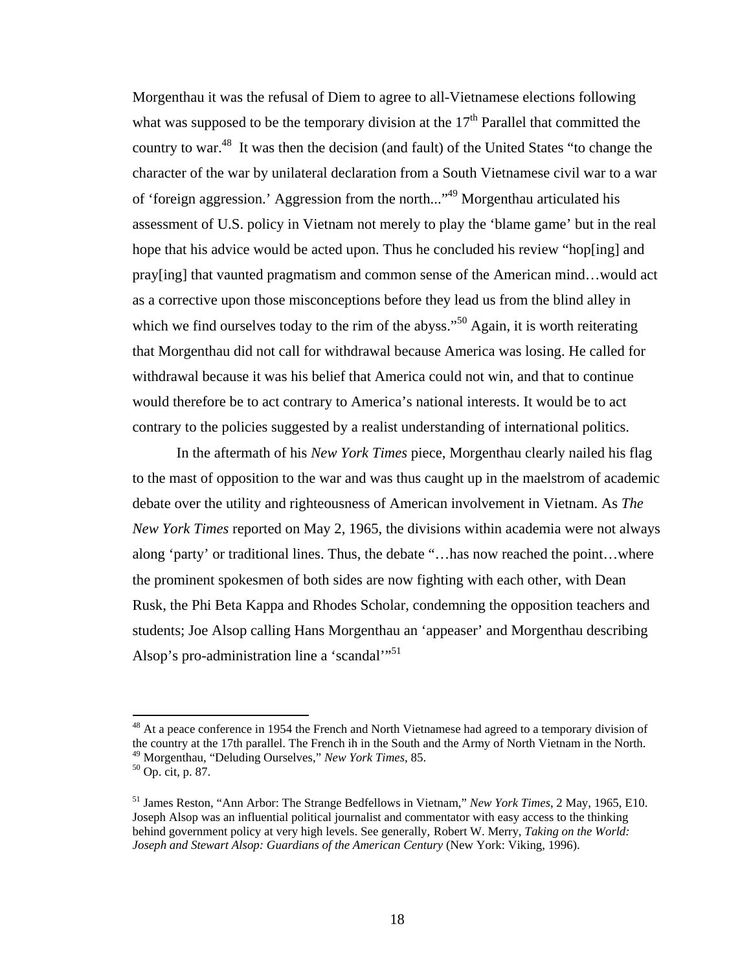Morgenthau it was the refusal of Diem to agree to all-Vietnamese elections following what was supposed to be the temporary division at the  $17<sup>th</sup>$  Parallel that committed the country to war.<sup>48</sup> It was then the decision (and fault) of the United States "to change the character of the war by unilateral declaration from a South Vietnamese civil war to a war of 'foreign aggression.' Aggression from the north..."49 Morgenthau articulated his assessment of U.S. policy in Vietnam not merely to play the 'blame game' but in the real hope that his advice would be acted upon. Thus he concluded his review "hop[ing] and pray[ing] that vaunted pragmatism and common sense of the American mind…would act as a corrective upon those misconceptions before they lead us from the blind alley in which we find ourselves today to the rim of the abyss."<sup>50</sup> Again, it is worth reiterating that Morgenthau did not call for withdrawal because America was losing. He called for withdrawal because it was his belief that America could not win, and that to continue would therefore be to act contrary to America's national interests. It would be to act contrary to the policies suggested by a realist understanding of international politics.

In the aftermath of his *New York Times* piece, Morgenthau clearly nailed his flag to the mast of opposition to the war and was thus caught up in the maelstrom of academic debate over the utility and righteousness of American involvement in Vietnam. As *The New York Times* reported on May 2, 1965, the divisions within academia were not always along 'party' or traditional lines. Thus, the debate "…has now reached the point…where the prominent spokesmen of both sides are now fighting with each other, with Dean Rusk, the Phi Beta Kappa and Rhodes Scholar, condemning the opposition teachers and students; Joe Alsop calling Hans Morgenthau an 'appeaser' and Morgenthau describing Alsop's pro-administration line a 'scandal'"<sup>51</sup>

<sup>&</sup>lt;sup>48</sup> At a peace conference in 1954 the French and North Vietnamese had agreed to a temporary division of the country at the 17th parallel. The French ih in the South and the Army of North Vietnam in the North. 49 Morgenthau, "Deluding Ourselves," *New York Times*, 85. 50 Op. cit, p. 87.

<sup>51</sup> James Reston, "Ann Arbor: The Strange Bedfellows in Vietnam," *New York Times*, 2 May, 1965, E10. Joseph Alsop was an influential political journalist and commentator with easy access to the thinking behind government policy at very high levels. See generally, Robert W. Merry, *Taking on the World: Joseph and Stewart Alsop: Guardians of the American Century* (New York: Viking, 1996).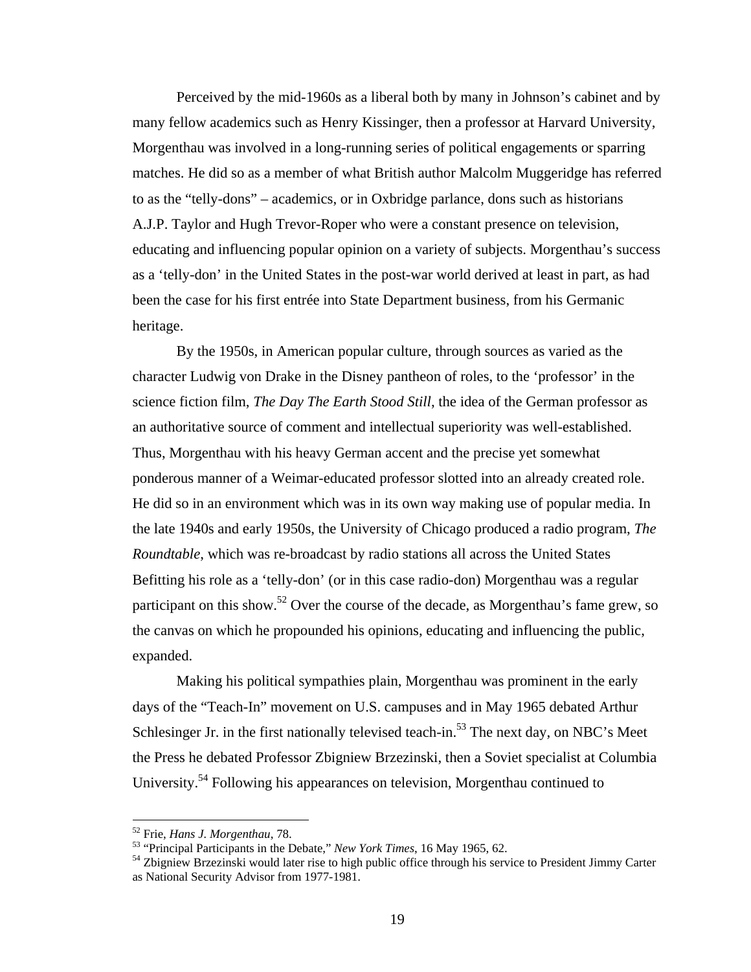Perceived by the mid-1960s as a liberal both by many in Johnson's cabinet and by many fellow academics such as Henry Kissinger, then a professor at Harvard University, Morgenthau was involved in a long-running series of political engagements or sparring matches. He did so as a member of what British author Malcolm Muggeridge has referred to as the "telly-dons" – academics, or in Oxbridge parlance, dons such as historians A.J.P. Taylor and Hugh Trevor-Roper who were a constant presence on television, educating and influencing popular opinion on a variety of subjects. Morgenthau's success as a 'telly-don' in the United States in the post-war world derived at least in part, as had been the case for his first entrée into State Department business, from his Germanic heritage.

By the 1950s, in American popular culture, through sources as varied as the character Ludwig von Drake in the Disney pantheon of roles, to the 'professor' in the science fiction film, *The Day The Earth Stood Still*, the idea of the German professor as an authoritative source of comment and intellectual superiority was well-established. Thus, Morgenthau with his heavy German accent and the precise yet somewhat ponderous manner of a Weimar-educated professor slotted into an already created role. He did so in an environment which was in its own way making use of popular media. In the late 1940s and early 1950s, the University of Chicago produced a radio program, *The Roundtable*, which was re-broadcast by radio stations all across the United States Befitting his role as a 'telly-don' (or in this case radio-don) Morgenthau was a regular participant on this show.<sup>52</sup> Over the course of the decade, as Morgenthau's fame grew, so the canvas on which he propounded his opinions, educating and influencing the public, expanded.

Making his political sympathies plain, Morgenthau was prominent in the early days of the "Teach-In" movement on U.S. campuses and in May 1965 debated Arthur Schlesinger Jr. in the first nationally televised teach-in.<sup>53</sup> The next day, on NBC's Meet the Press he debated Professor Zbigniew Brzezinski, then a Soviet specialist at Columbia University.<sup>54</sup> Following his appearances on television, Morgenthau continued to

<sup>&</sup>lt;sup>52</sup> Frie, *Hans J. Morgenthau*, 78.<br><sup>53</sup> "Principal Participants in the Debate," *New York Times*, 16 May 1965, 62.<br><sup>54</sup> Zbigniew Brzezinski would later rise to high public office through his service to President Jimmy C as National Security Advisor from 1977-1981.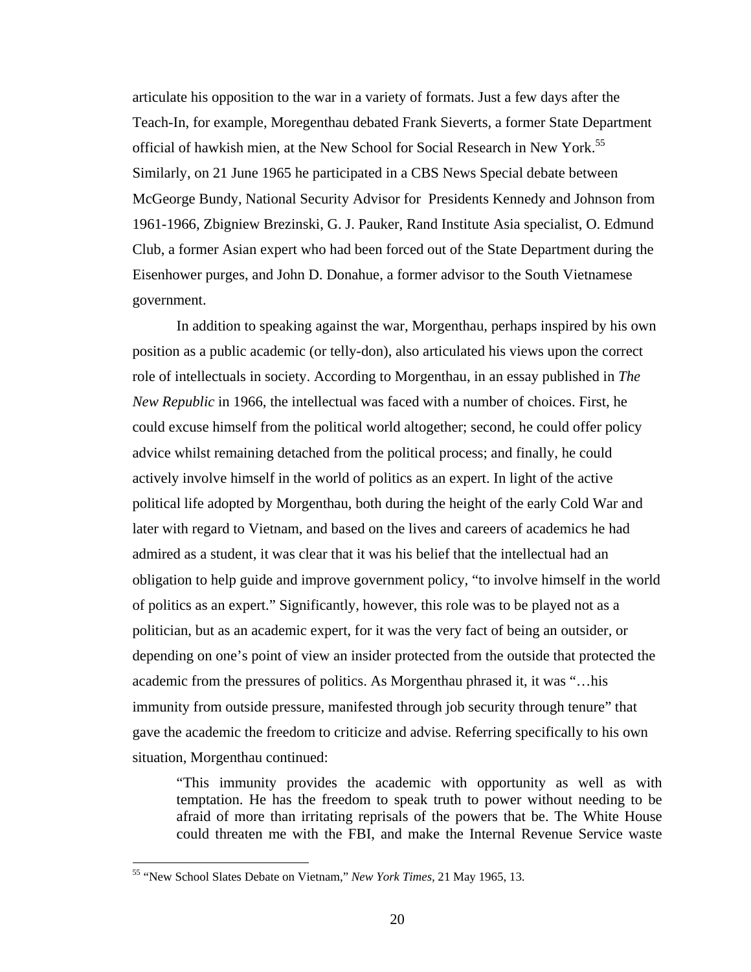articulate his opposition to the war in a variety of formats. Just a few days after the Teach-In, for example, Moregenthau debated Frank Sieverts, a former State Department official of hawkish mien, at the New School for Social Research in New York.<sup>55</sup> Similarly, on 21 June 1965 he participated in a CBS News Special debate between McGeorge Bundy, National Security Advisor for Presidents Kennedy and Johnson from 1961-1966, Zbigniew Brezinski, G. J. Pauker, Rand Institute Asia specialist, O. Edmund Club, a former Asian expert who had been forced out of the State Department during the Eisenhower purges, and John D. Donahue, a former advisor to the South Vietnamese government.

In addition to speaking against the war, Morgenthau, perhaps inspired by his own position as a public academic (or telly-don), also articulated his views upon the correct role of intellectuals in society. According to Morgenthau, in an essay published in *The New Republic* in 1966, the intellectual was faced with a number of choices. First, he could excuse himself from the political world altogether; second, he could offer policy advice whilst remaining detached from the political process; and finally, he could actively involve himself in the world of politics as an expert. In light of the active political life adopted by Morgenthau, both during the height of the early Cold War and later with regard to Vietnam, and based on the lives and careers of academics he had admired as a student, it was clear that it was his belief that the intellectual had an obligation to help guide and improve government policy, "to involve himself in the world of politics as an expert." Significantly, however, this role was to be played not as a politician, but as an academic expert, for it was the very fact of being an outsider, or depending on one's point of view an insider protected from the outside that protected the academic from the pressures of politics. As Morgenthau phrased it, it was "…his immunity from outside pressure, manifested through job security through tenure" that gave the academic the freedom to criticize and advise. Referring specifically to his own situation, Morgenthau continued:

"This immunity provides the academic with opportunity as well as with temptation. He has the freedom to speak truth to power without needing to be afraid of more than irritating reprisals of the powers that be. The White House could threaten me with the FBI, and make the Internal Revenue Service waste

<u>.</u>

<sup>55 &</sup>quot;New School Slates Debate on Vietnam," *New York Times,* 21 May 1965, 13.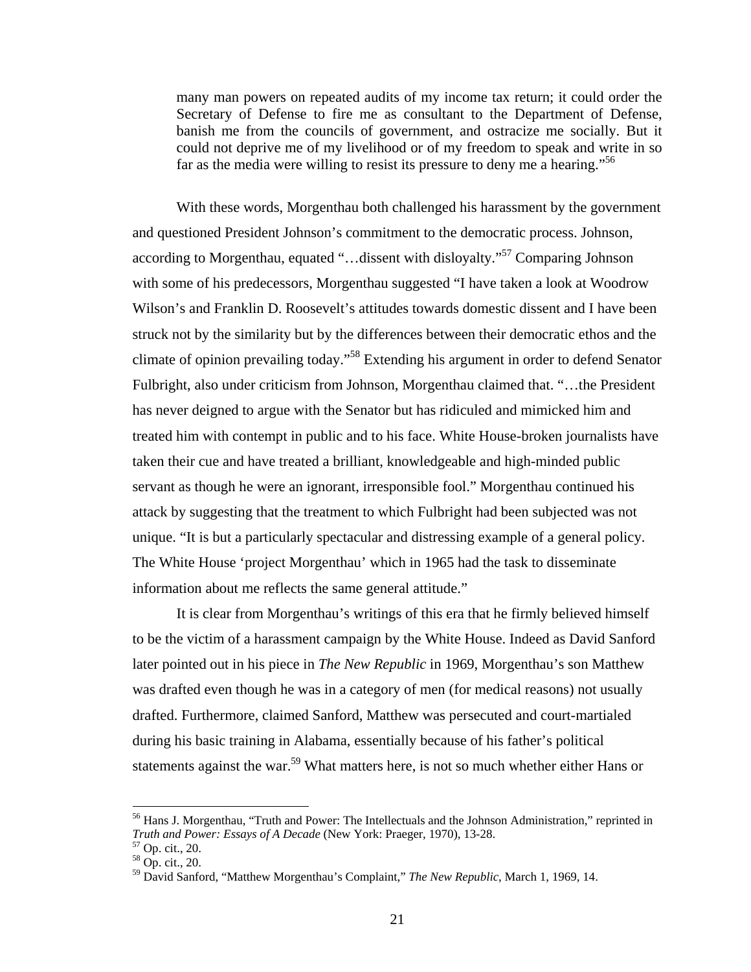many man powers on repeated audits of my income tax return; it could order the Secretary of Defense to fire me as consultant to the Department of Defense, banish me from the councils of government, and ostracize me socially. But it could not deprive me of my livelihood or of my freedom to speak and write in so far as the media were willing to resist its pressure to deny me a hearing.<sup>556</sup>

With these words, Morgenthau both challenged his harassment by the government and questioned President Johnson's commitment to the democratic process. Johnson, according to Morgenthau, equated "...dissent with disloyalty."<sup>57</sup> Comparing Johnson with some of his predecessors, Morgenthau suggested "I have taken a look at Woodrow Wilson's and Franklin D. Roosevelt's attitudes towards domestic dissent and I have been struck not by the similarity but by the differences between their democratic ethos and the climate of opinion prevailing today."58 Extending his argument in order to defend Senator Fulbright, also under criticism from Johnson, Morgenthau claimed that. "…the President has never deigned to argue with the Senator but has ridiculed and mimicked him and treated him with contempt in public and to his face. White House-broken journalists have taken their cue and have treated a brilliant, knowledgeable and high-minded public servant as though he were an ignorant, irresponsible fool." Morgenthau continued his attack by suggesting that the treatment to which Fulbright had been subjected was not unique. "It is but a particularly spectacular and distressing example of a general policy. The White House 'project Morgenthau' which in 1965 had the task to disseminate information about me reflects the same general attitude."

It is clear from Morgenthau's writings of this era that he firmly believed himself to be the victim of a harassment campaign by the White House. Indeed as David Sanford later pointed out in his piece in *The New Republic* in 1969, Morgenthau's son Matthew was drafted even though he was in a category of men (for medical reasons) not usually drafted. Furthermore, claimed Sanford, Matthew was persecuted and court-martialed during his basic training in Alabama, essentially because of his father's political statements against the war.<sup>59</sup> What matters here, is not so much whether either Hans or

<sup>&</sup>lt;sup>56</sup> Hans J. Morgenthau, "Truth and Power: The Intellectuals and the Johnson Administration," reprinted in *Truth and Power: Essays of A Decade* (New York: Praeger, 1970), 13-28. 57 Op. cit., 20.

<sup>58</sup> Op. cit., 20.

<sup>59</sup> David Sanford, "Matthew Morgenthau's Complaint," *The New Republic*, March 1, 1969, 14.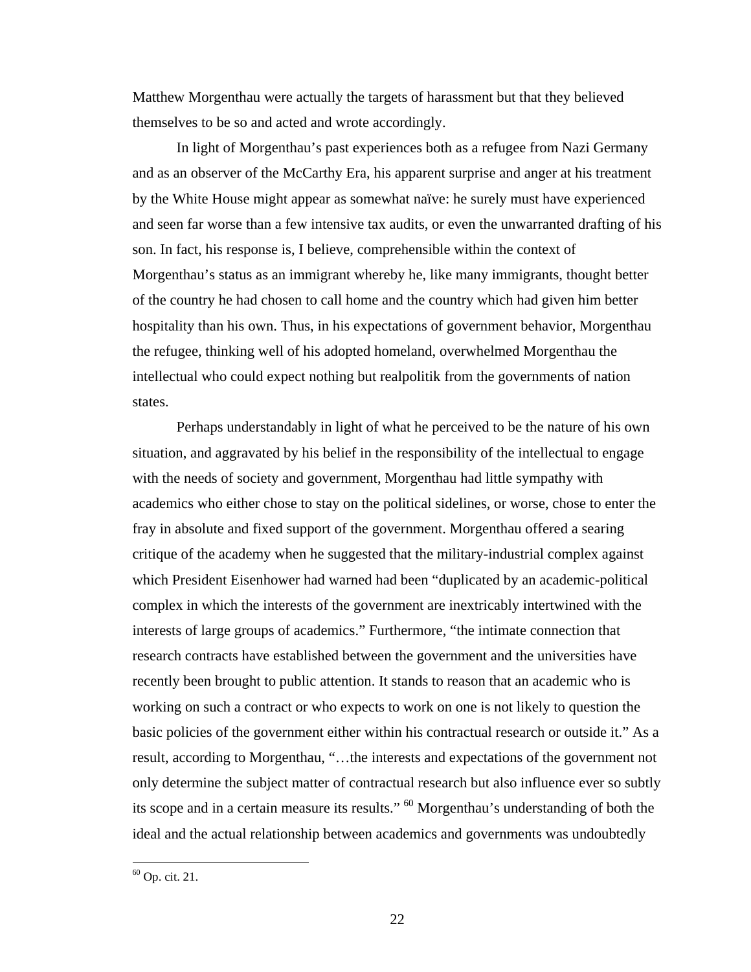Matthew Morgenthau were actually the targets of harassment but that they believed themselves to be so and acted and wrote accordingly.

In light of Morgenthau's past experiences both as a refugee from Nazi Germany and as an observer of the McCarthy Era, his apparent surprise and anger at his treatment by the White House might appear as somewhat naïve: he surely must have experienced and seen far worse than a few intensive tax audits, or even the unwarranted drafting of his son. In fact, his response is, I believe, comprehensible within the context of Morgenthau's status as an immigrant whereby he, like many immigrants, thought better of the country he had chosen to call home and the country which had given him better hospitality than his own. Thus, in his expectations of government behavior, Morgenthau the refugee, thinking well of his adopted homeland, overwhelmed Morgenthau the intellectual who could expect nothing but realpolitik from the governments of nation states.

 Perhaps understandably in light of what he perceived to be the nature of his own situation, and aggravated by his belief in the responsibility of the intellectual to engage with the needs of society and government, Morgenthau had little sympathy with academics who either chose to stay on the political sidelines, or worse, chose to enter the fray in absolute and fixed support of the government. Morgenthau offered a searing critique of the academy when he suggested that the military-industrial complex against which President Eisenhower had warned had been "duplicated by an academic-political complex in which the interests of the government are inextricably intertwined with the interests of large groups of academics." Furthermore, "the intimate connection that research contracts have established between the government and the universities have recently been brought to public attention. It stands to reason that an academic who is working on such a contract or who expects to work on one is not likely to question the basic policies of the government either within his contractual research or outside it." As a result, according to Morgenthau, "…the interests and expectations of the government not only determine the subject matter of contractual research but also influence ever so subtly its scope and in a certain measure its results." 60 Morgenthau's understanding of both the ideal and the actual relationship between academics and governments was undoubtedly

<sup>&</sup>lt;sup>60</sup> Op. cit. 21.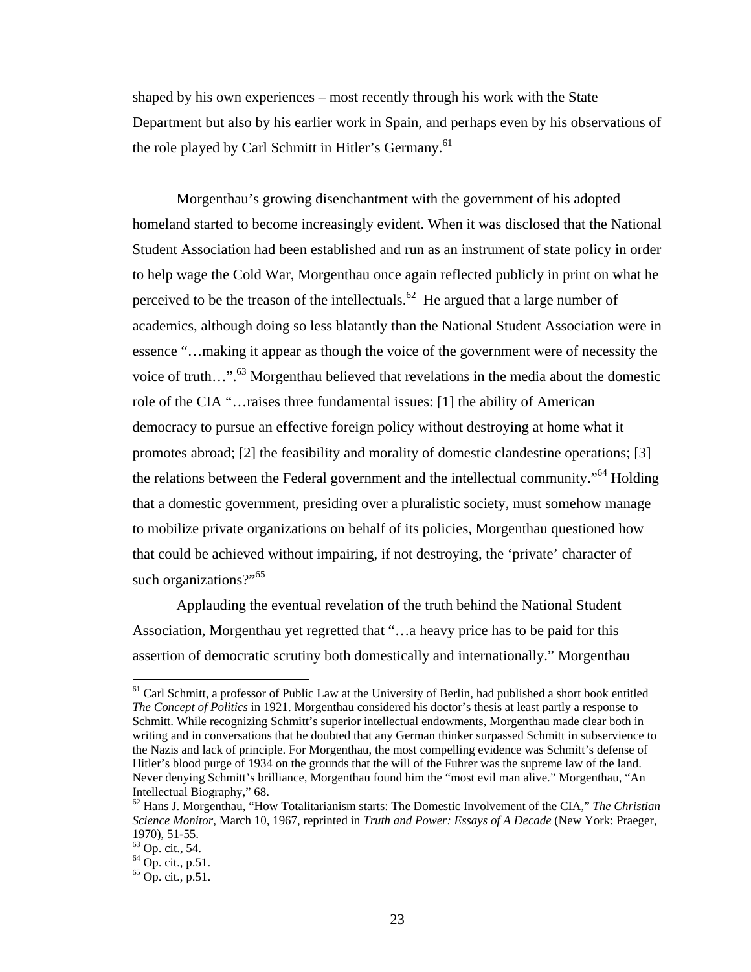shaped by his own experiences – most recently through his work with the State Department but also by his earlier work in Spain, and perhaps even by his observations of the role played by Carl Schmitt in Hitler's Germany.<sup>61</sup>

Morgenthau's growing disenchantment with the government of his adopted homeland started to become increasingly evident. When it was disclosed that the National Student Association had been established and run as an instrument of state policy in order to help wage the Cold War, Morgenthau once again reflected publicly in print on what he perceived to be the treason of the intellectuals.<sup>62</sup> He argued that a large number of academics, although doing so less blatantly than the National Student Association were in essence "…making it appear as though the voice of the government were of necessity the voice of truth...".<sup>63</sup> Morgenthau believed that revelations in the media about the domestic role of the CIA "…raises three fundamental issues: [1] the ability of American democracy to pursue an effective foreign policy without destroying at home what it promotes abroad; [2] the feasibility and morality of domestic clandestine operations; [3] the relations between the Federal government and the intellectual community."64 Holding that a domestic government, presiding over a pluralistic society, must somehow manage to mobilize private organizations on behalf of its policies, Morgenthau questioned how that could be achieved without impairing, if not destroying, the 'private' character of such organizations?"<sup>65</sup>

Applauding the eventual revelation of the truth behind the National Student Association, Morgenthau yet regretted that "…a heavy price has to be paid for this assertion of democratic scrutiny both domestically and internationally." Morgenthau

<sup>&</sup>lt;sup>61</sup> Carl Schmitt, a professor of Public Law at the University of Berlin, had published a short book entitled *The Concept of Politics* in 1921. Morgenthau considered his doctor's thesis at least partly a response to Schmitt. While recognizing Schmitt's superior intellectual endowments, Morgenthau made clear both in writing and in conversations that he doubted that any German thinker surpassed Schmitt in subservience to the Nazis and lack of principle. For Morgenthau, the most compelling evidence was Schmitt's defense of Hitler's blood purge of 1934 on the grounds that the will of the Fuhrer was the supreme law of the land. Never denying Schmitt's brilliance, Morgenthau found him the "most evil man alive." Morgenthau, "An Intellectual Biography," 68.

<sup>62</sup> Hans J. Morgenthau, "How Totalitarianism starts: The Domestic Involvement of the CIA," *The Christian Science Monitor*, March 10, 1967, reprinted in *Truth and Power: Essays of A Decade* (New York: Praeger, 1970), 51-55.

 $63$  Op. cit., 54.

 $64$  Op. cit., p.51.

 $65$  Op. cit., p.51.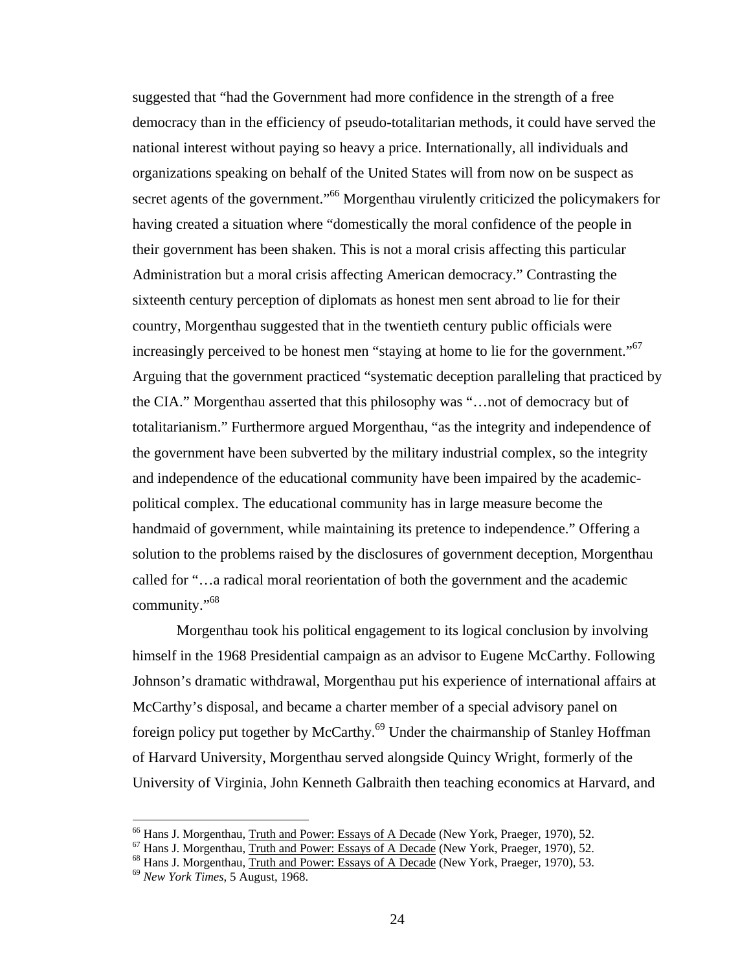suggested that "had the Government had more confidence in the strength of a free democracy than in the efficiency of pseudo-totalitarian methods, it could have served the national interest without paying so heavy a price. Internationally, all individuals and organizations speaking on behalf of the United States will from now on be suspect as secret agents of the government."<sup>66</sup> Morgenthau virulently criticized the policymakers for having created a situation where "domestically the moral confidence of the people in their government has been shaken. This is not a moral crisis affecting this particular Administration but a moral crisis affecting American democracy." Contrasting the sixteenth century perception of diplomats as honest men sent abroad to lie for their country, Morgenthau suggested that in the twentieth century public officials were increasingly perceived to be honest men "staying at home to lie for the government."<sup>67</sup> Arguing that the government practiced "systematic deception paralleling that practiced by the CIA." Morgenthau asserted that this philosophy was "…not of democracy but of totalitarianism." Furthermore argued Morgenthau, "as the integrity and independence of the government have been subverted by the military industrial complex, so the integrity and independence of the educational community have been impaired by the academicpolitical complex. The educational community has in large measure become the handmaid of government, while maintaining its pretence to independence." Offering a solution to the problems raised by the disclosures of government deception, Morgenthau called for "…a radical moral reorientation of both the government and the academic community."68

Morgenthau took his political engagement to its logical conclusion by involving himself in the 1968 Presidential campaign as an advisor to Eugene McCarthy. Following Johnson's dramatic withdrawal, Morgenthau put his experience of international affairs at McCarthy's disposal, and became a charter member of a special advisory panel on foreign policy put together by McCarthy.69 Under the chairmanship of Stanley Hoffman of Harvard University, Morgenthau served alongside Quincy Wright, formerly of the University of Virginia, John Kenneth Galbraith then teaching economics at Harvard, and

<sup>&</sup>lt;sup>66</sup> Hans J. Morgenthau, Truth and Power: Essays of A Decade (New York, Praeger, 1970), 52.

<sup>&</sup>lt;sup>67</sup> Hans J. Morgenthau, Truth and Power: Essays of A Decade (New York, Praeger, 1970), 52.<br><sup>68</sup> Hans J. Morgenthau, <u>Truth and Power: Essays of A Decade</u> (New York, Praeger, 1970), 53.<br><sup>69</sup> New York Times, 5 August, 1968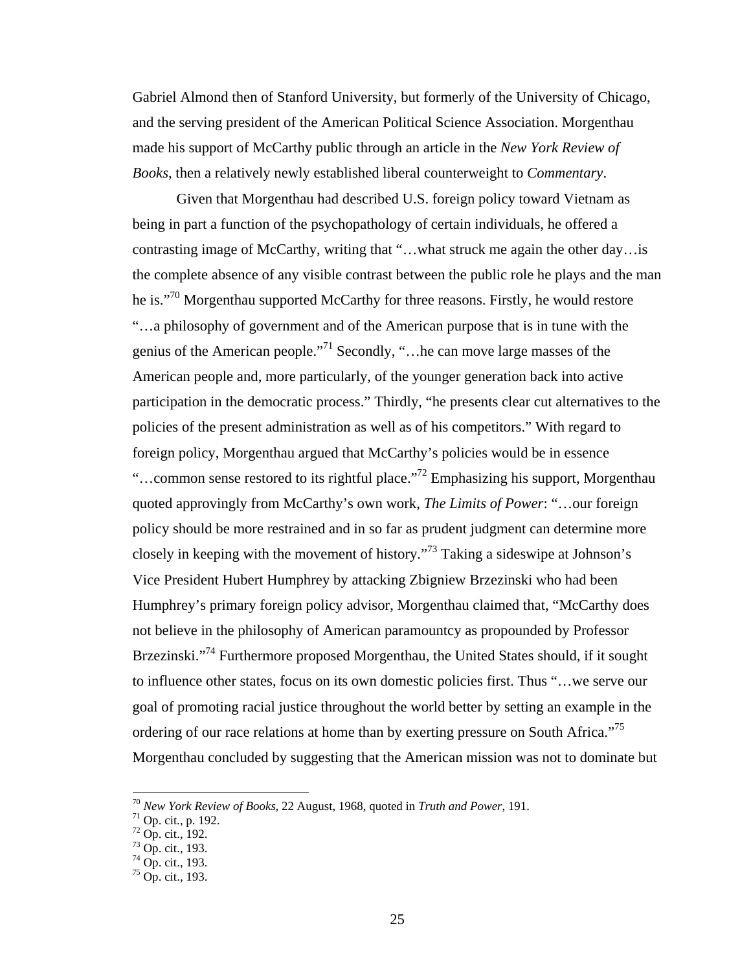Gabriel Almond then of Stanford University, but formerly of the University of Chicago, and the serving president of the American Political Science Association. Morgenthau made his support of McCarthy public through an article in the *New York Review of Books*, then a relatively newly established liberal counterweight to *Commentary*.

Given that Morgenthau had described U.S. foreign policy toward Vietnam as being in part a function of the psychopathology of certain individuals, he offered a contrasting image of McCarthy, writing that "…what struck me again the other day…is the complete absence of any visible contrast between the public role he plays and the man he is."70 Morgenthau supported McCarthy for three reasons. Firstly, he would restore "…a philosophy of government and of the American purpose that is in tune with the genius of the American people."71 Secondly, "…he can move large masses of the American people and, more particularly, of the younger generation back into active participation in the democratic process." Thirdly, "he presents clear cut alternatives to the policies of the present administration as well as of his competitors." With regard to foreign policy, Morgenthau argued that McCarthy's policies would be in essence "...common sense restored to its rightful place."<sup>72</sup> Emphasizing his support, Morgenthau quoted approvingly from McCarthy's own work, *The Limits of Power*: "…our foreign policy should be more restrained and in so far as prudent judgment can determine more closely in keeping with the movement of history."73 Taking a sideswipe at Johnson's Vice President Hubert Humphrey by attacking Zbigniew Brzezinski who had been Humphrey's primary foreign policy advisor, Morgenthau claimed that, "McCarthy does not believe in the philosophy of American paramountcy as propounded by Professor Brzezinski."<sup>74</sup> Furthermore proposed Morgenthau, the United States should, if it sought to influence other states, focus on its own domestic policies first. Thus "…we serve our goal of promoting racial justice throughout the world better by setting an example in the ordering of our race relations at home than by exerting pressure on South Africa."75 Morgenthau concluded by suggesting that the American mission was not to dominate but

1

<sup>70</sup> *New York Review of Books*, 22 August, 1968, quoted in *Truth and Power*, 191. 71 Op. cit., p. 192.

 $72$  Op. cit., 192.

 $73$  Op. cit., 193.

 $74$  Op. cit., 193.

 $75$  Op. cit., 193.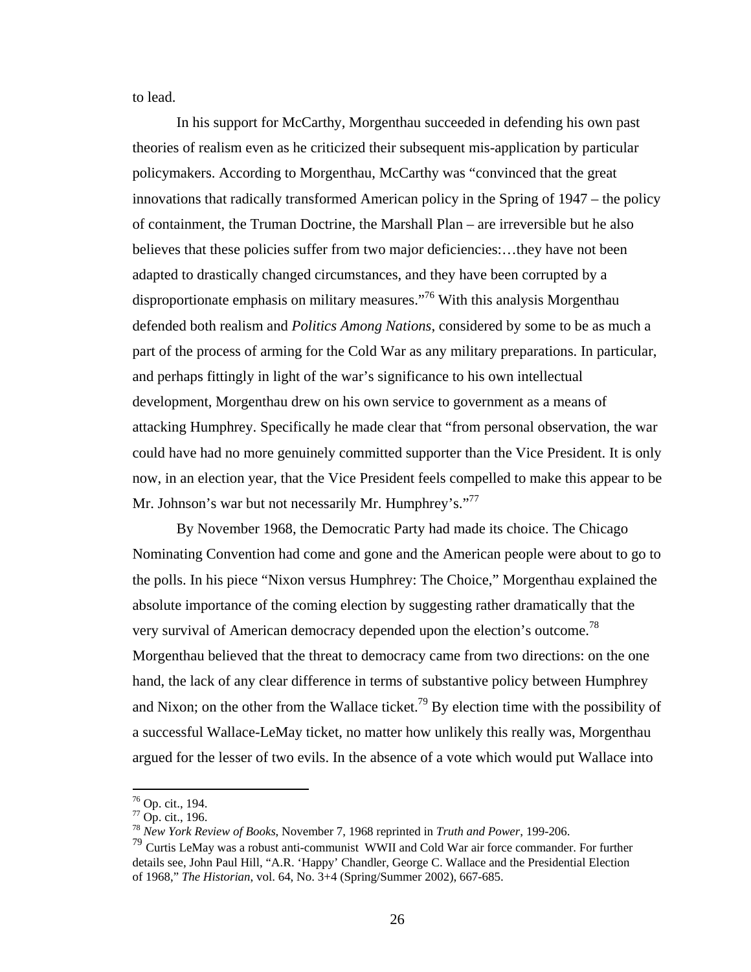to lead.

In his support for McCarthy, Morgenthau succeeded in defending his own past theories of realism even as he criticized their subsequent mis-application by particular policymakers. According to Morgenthau, McCarthy was "convinced that the great innovations that radically transformed American policy in the Spring of 1947 – the policy of containment, the Truman Doctrine, the Marshall Plan – are irreversible but he also believes that these policies suffer from two major deficiencies:...they have not been adapted to drastically changed circumstances, and they have been corrupted by a disproportionate emphasis on military measures."76 With this analysis Morgenthau defended both realism and *Politics Among Nations*, considered by some to be as much a part of the process of arming for the Cold War as any military preparations. In particular, and perhaps fittingly in light of the war's significance to his own intellectual development, Morgenthau drew on his own service to government as a means of attacking Humphrey. Specifically he made clear that "from personal observation, the war could have had no more genuinely committed supporter than the Vice President. It is only now, in an election year, that the Vice President feels compelled to make this appear to be Mr. Johnson's war but not necessarily Mr. Humphrey's."<sup>77</sup>

By November 1968, the Democratic Party had made its choice. The Chicago Nominating Convention had come and gone and the American people were about to go to the polls. In his piece "Nixon versus Humphrey: The Choice," Morgenthau explained the absolute importance of the coming election by suggesting rather dramatically that the very survival of American democracy depended upon the election's outcome.<sup>78</sup> Morgenthau believed that the threat to democracy came from two directions: on the one hand, the lack of any clear difference in terms of substantive policy between Humphrey and Nixon; on the other from the Wallace ticket.<sup>79</sup> By election time with the possibility of a successful Wallace-LeMay ticket, no matter how unlikely this really was, Morgenthau argued for the lesser of two evils. In the absence of a vote which would put Wallace into

 $76$  Op. cit., 194.

<sup>77</sup> Op. cit., 196.

<sup>78</sup> *New York Review of Books*, November 7, 1968 reprinted in *Truth and Power*, 199-206.

<sup>79</sup> Curtis LeMay was a robust anti-communist WWII and Cold War air force commander. For further details see, John Paul Hill, "A.R. 'Happy' Chandler, George C. Wallace and the Presidential Election of 1968," *The Historian*, vol. 64, No. 3+4 (Spring/Summer 2002), 667-685.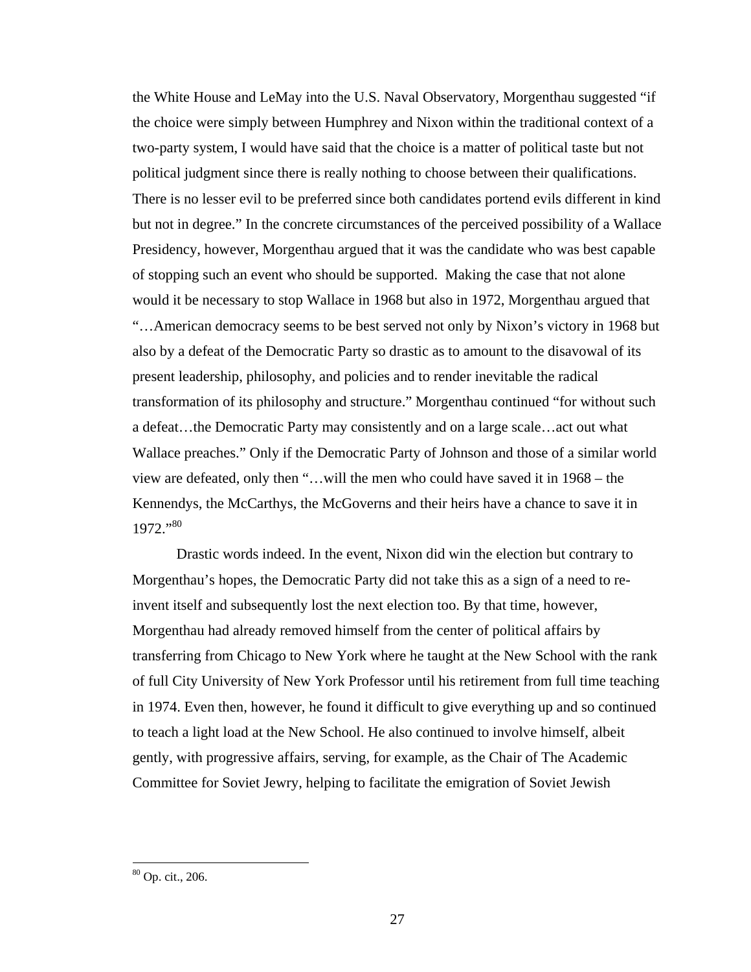the White House and LeMay into the U.S. Naval Observatory, Morgenthau suggested "if the choice were simply between Humphrey and Nixon within the traditional context of a two-party system, I would have said that the choice is a matter of political taste but not political judgment since there is really nothing to choose between their qualifications. There is no lesser evil to be preferred since both candidates portend evils different in kind but not in degree." In the concrete circumstances of the perceived possibility of a Wallace Presidency, however, Morgenthau argued that it was the candidate who was best capable of stopping such an event who should be supported. Making the case that not alone would it be necessary to stop Wallace in 1968 but also in 1972, Morgenthau argued that "…American democracy seems to be best served not only by Nixon's victory in 1968 but also by a defeat of the Democratic Party so drastic as to amount to the disavowal of its present leadership, philosophy, and policies and to render inevitable the radical transformation of its philosophy and structure." Morgenthau continued "for without such a defeat…the Democratic Party may consistently and on a large scale…act out what Wallace preaches." Only if the Democratic Party of Johnson and those of a similar world view are defeated, only then "…will the men who could have saved it in 1968 – the Kennendys, the McCarthys, the McGoverns and their heirs have a chance to save it in 1972."80

Drastic words indeed. In the event, Nixon did win the election but contrary to Morgenthau's hopes, the Democratic Party did not take this as a sign of a need to reinvent itself and subsequently lost the next election too. By that time, however, Morgenthau had already removed himself from the center of political affairs by transferring from Chicago to New York where he taught at the New School with the rank of full City University of New York Professor until his retirement from full time teaching in 1974. Even then, however, he found it difficult to give everything up and so continued to teach a light load at the New School. He also continued to involve himself, albeit gently, with progressive affairs, serving, for example, as the Chair of The Academic Committee for Soviet Jewry, helping to facilitate the emigration of Soviet Jewish

<u>.</u>

<sup>80</sup> Op. cit., 206.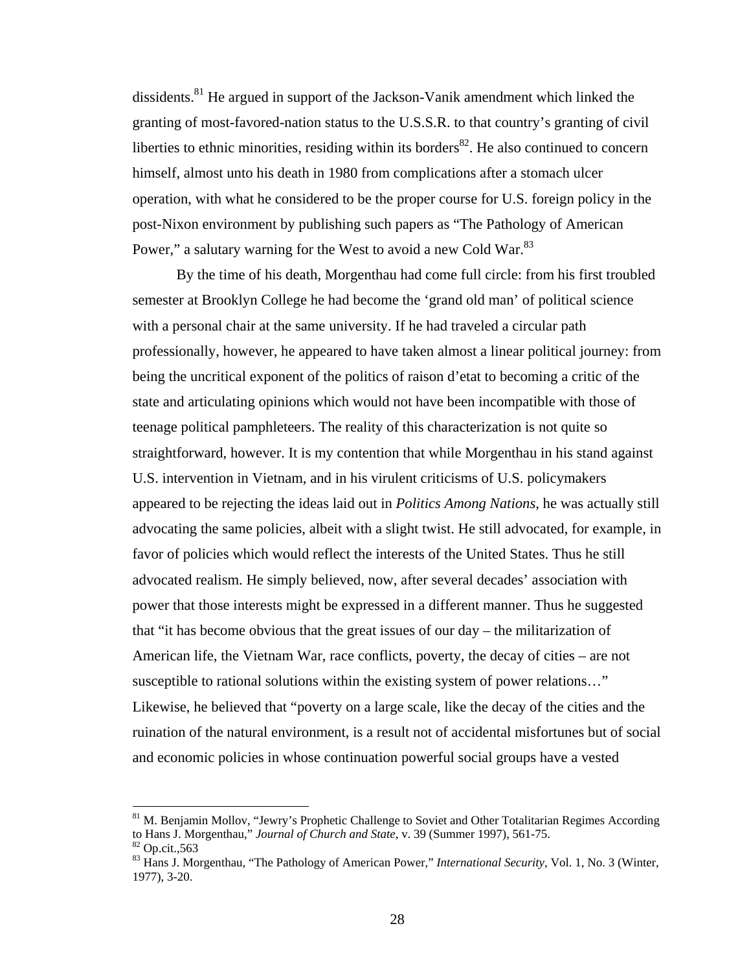dissidents.<sup>81</sup> He argued in support of the Jackson-Vanik amendment which linked the granting of most-favored-nation status to the U.S.S.R. to that country's granting of civil liberties to ethnic minorities, residing within its borders<sup>82</sup>. He also continued to concern himself, almost unto his death in 1980 from complications after a stomach ulcer operation, with what he considered to be the proper course for U.S. foreign policy in the post-Nixon environment by publishing such papers as "The Pathology of American Power," a salutary warning for the West to avoid a new Cold War.<sup>83</sup>

By the time of his death, Morgenthau had come full circle: from his first troubled semester at Brooklyn College he had become the 'grand old man' of political science with a personal chair at the same university. If he had traveled a circular path professionally, however, he appeared to have taken almost a linear political journey: from being the uncritical exponent of the politics of raison d'etat to becoming a critic of the state and articulating opinions which would not have been incompatible with those of teenage political pamphleteers. The reality of this characterization is not quite so straightforward, however. It is my contention that while Morgenthau in his stand against U.S. intervention in Vietnam, and in his virulent criticisms of U.S. policymakers appeared to be rejecting the ideas laid out in *Politics Among Nations*, he was actually still advocating the same policies, albeit with a slight twist. He still advocated, for example, in favor of policies which would reflect the interests of the United States. Thus he still advocated realism. He simply believed, now, after several decades' association with power that those interests might be expressed in a different manner. Thus he suggested that "it has become obvious that the great issues of our day – the militarization of American life, the Vietnam War, race conflicts, poverty, the decay of cities – are not susceptible to rational solutions within the existing system of power relations..." Likewise, he believed that "poverty on a large scale, like the decay of the cities and the ruination of the natural environment, is a result not of accidental misfortunes but of social and economic policies in whose continuation powerful social groups have a vested

<sup>&</sup>lt;sup>81</sup> M. Benjamin Mollov, "Jewry's Prophetic Challenge to Soviet and Other Totalitarian Regimes According to Hans J. Morgenthau," *Journal of Church and State*, v. 39 (Summer 1997), 561-75.<br><sup>82</sup> Op.cit.,563

<sup>83</sup> Hans J. Morgenthau, "The Pathology of American Power," *International Security*, Vol. 1, No. 3 (Winter, 1977), 3-20.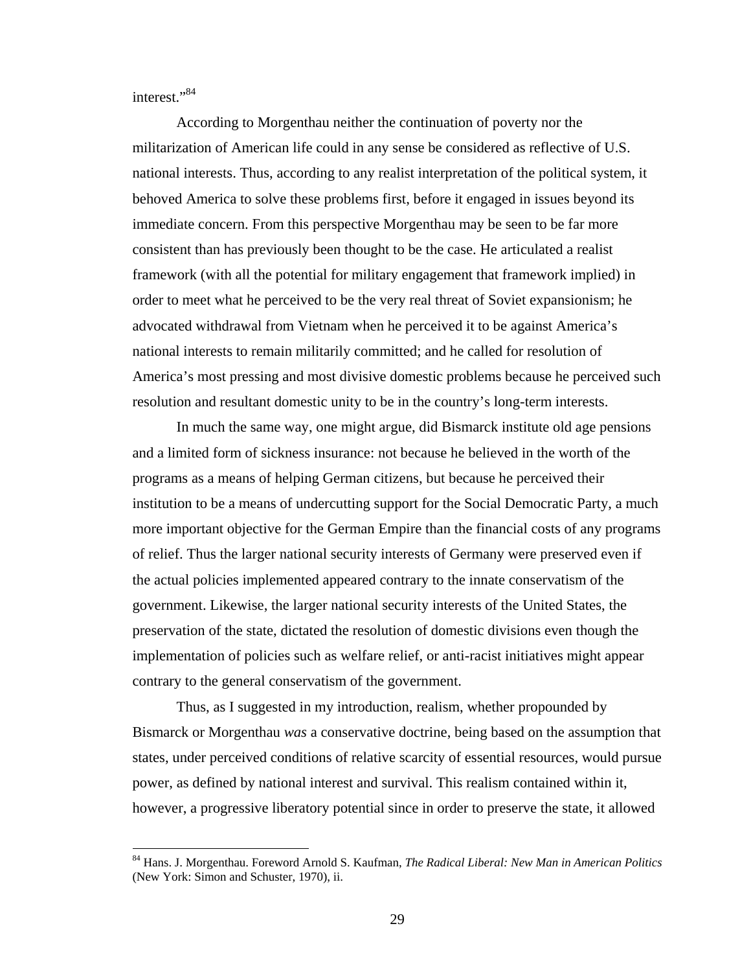interest."84

 $\overline{a}$ 

According to Morgenthau neither the continuation of poverty nor the militarization of American life could in any sense be considered as reflective of U.S. national interests. Thus, according to any realist interpretation of the political system, it behoved America to solve these problems first, before it engaged in issues beyond its immediate concern. From this perspective Morgenthau may be seen to be far more consistent than has previously been thought to be the case. He articulated a realist framework (with all the potential for military engagement that framework implied) in order to meet what he perceived to be the very real threat of Soviet expansionism; he advocated withdrawal from Vietnam when he perceived it to be against America's national interests to remain militarily committed; and he called for resolution of America's most pressing and most divisive domestic problems because he perceived such resolution and resultant domestic unity to be in the country's long-term interests.

In much the same way, one might argue, did Bismarck institute old age pensions and a limited form of sickness insurance: not because he believed in the worth of the programs as a means of helping German citizens, but because he perceived their institution to be a means of undercutting support for the Social Democratic Party, a much more important objective for the German Empire than the financial costs of any programs of relief. Thus the larger national security interests of Germany were preserved even if the actual policies implemented appeared contrary to the innate conservatism of the government. Likewise, the larger national security interests of the United States, the preservation of the state, dictated the resolution of domestic divisions even though the implementation of policies such as welfare relief, or anti-racist initiatives might appear contrary to the general conservatism of the government.

Thus, as I suggested in my introduction, realism, whether propounded by Bismarck or Morgenthau *was* a conservative doctrine, being based on the assumption that states, under perceived conditions of relative scarcity of essential resources, would pursue power, as defined by national interest and survival. This realism contained within it, however, a progressive liberatory potential since in order to preserve the state, it allowed

<sup>84</sup> Hans. J. Morgenthau. Foreword Arnold S. Kaufman, *The Radical Liberal: New Man in American Politics* (New York: Simon and Schuster, 1970), ii.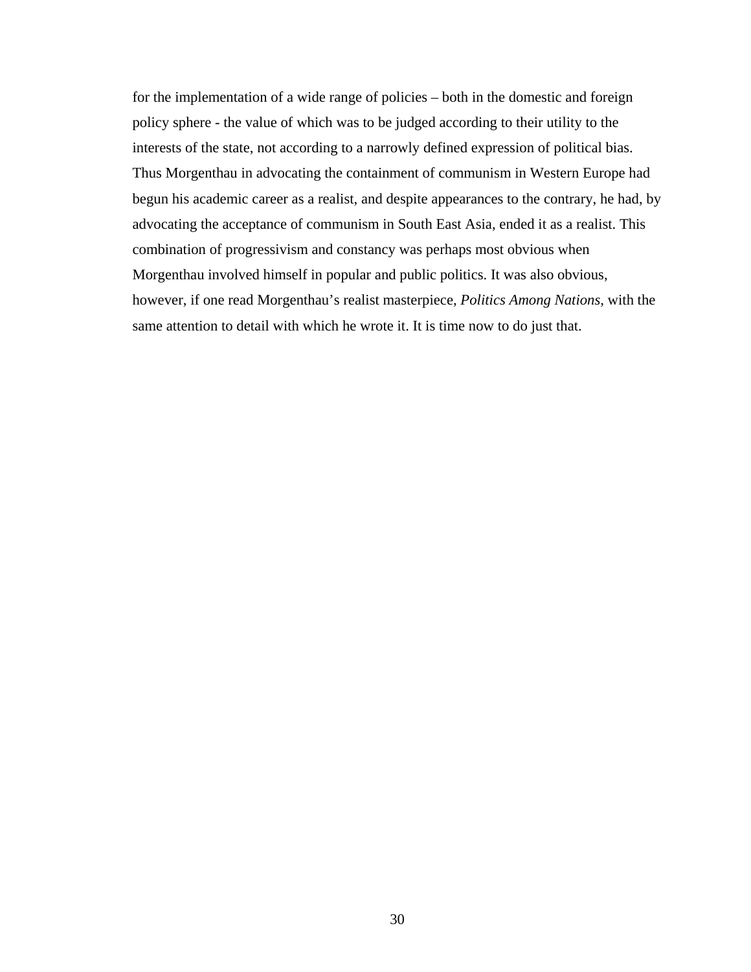for the implementation of a wide range of policies – both in the domestic and foreign policy sphere - the value of which was to be judged according to their utility to the interests of the state, not according to a narrowly defined expression of political bias. Thus Morgenthau in advocating the containment of communism in Western Europe had begun his academic career as a realist, and despite appearances to the contrary, he had, by advocating the acceptance of communism in South East Asia, ended it as a realist. This combination of progressivism and constancy was perhaps most obvious when Morgenthau involved himself in popular and public politics. It was also obvious, however, if one read Morgenthau's realist masterpiece, *Politics Among Nations,* with the same attention to detail with which he wrote it. It is time now to do just that.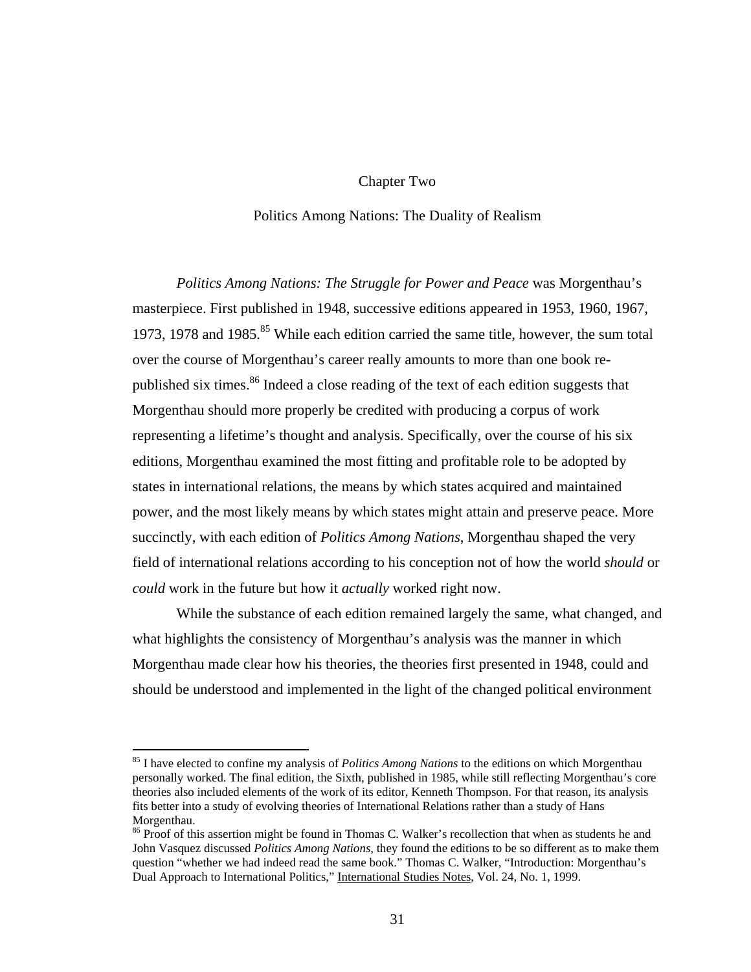# Chapter Two

### Politics Among Nations: The Duality of Realism

*Politics Among Nations: The Struggle for Power and Peace* was Morgenthau's masterpiece. First published in 1948, successive editions appeared in 1953, 1960, 1967, 1973, 1978 and 1985.<sup>85</sup> While each edition carried the same title, however, the sum total over the course of Morgenthau's career really amounts to more than one book republished six times.<sup>86</sup> Indeed a close reading of the text of each edition suggests that Morgenthau should more properly be credited with producing a corpus of work representing a lifetime's thought and analysis. Specifically, over the course of his six editions, Morgenthau examined the most fitting and profitable role to be adopted by states in international relations, the means by which states acquired and maintained power, and the most likely means by which states might attain and preserve peace. More succinctly, with each edition of *Politics Among Nations*, Morgenthau shaped the very field of international relations according to his conception not of how the world *should* or *could* work in the future but how it *actually* worked right now.

While the substance of each edition remained largely the same, what changed, and what highlights the consistency of Morgenthau's analysis was the manner in which Morgenthau made clear how his theories, the theories first presented in 1948, could and should be understood and implemented in the light of the changed political environment

<sup>85</sup> I have elected to confine my analysis of *Politics Among Nations* to the editions on which Morgenthau personally worked. The final edition, the Sixth, published in 1985, while still reflecting Morgenthau's core theories also included elements of the work of its editor, Kenneth Thompson. For that reason, its analysis fits better into a study of evolving theories of International Relations rather than a study of Hans Morgenthau.

<sup>&</sup>lt;sup>86</sup> Proof of this assertion might be found in Thomas C. Walker's recollection that when as students he and John Vasquez discussed *Politics Among Nations*, they found the editions to be so different as to make them question "whether we had indeed read the same book." Thomas C. Walker, "Introduction: Morgenthau's Dual Approach to International Politics," International Studies Notes, Vol. 24, No. 1, 1999.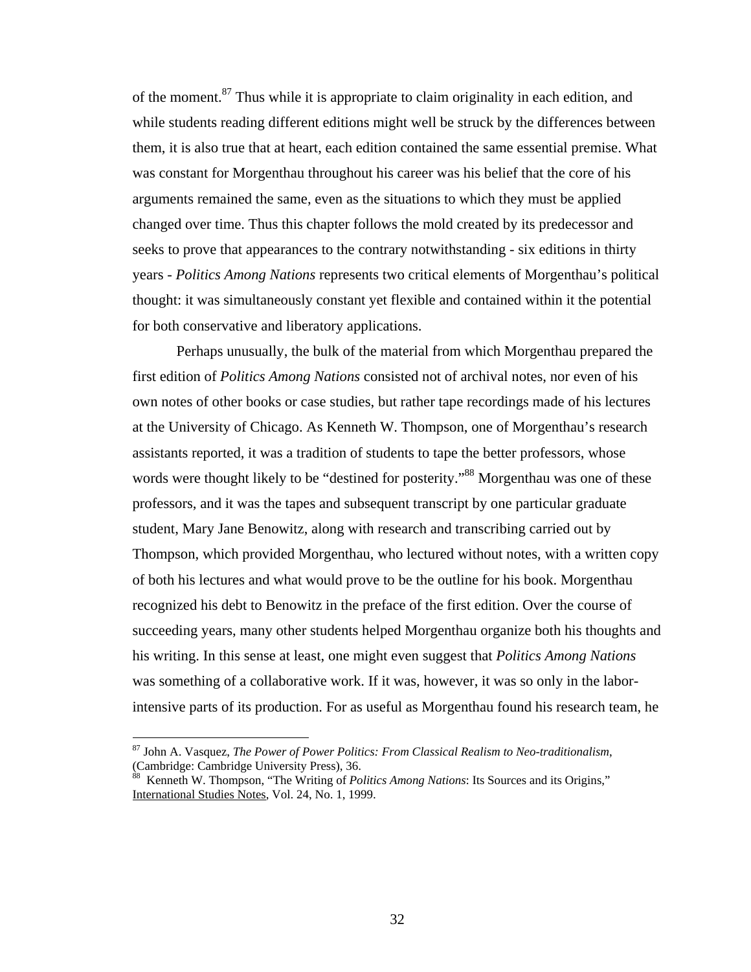of the moment.87 Thus while it is appropriate to claim originality in each edition, and while students reading different editions might well be struck by the differences between them, it is also true that at heart, each edition contained the same essential premise. What was constant for Morgenthau throughout his career was his belief that the core of his arguments remained the same, even as the situations to which they must be applied changed over time. Thus this chapter follows the mold created by its predecessor and seeks to prove that appearances to the contrary notwithstanding - six editions in thirty years - *Politics Among Nations* represents two critical elements of Morgenthau's political thought: it was simultaneously constant yet flexible and contained within it the potential for both conservative and liberatory applications.

Perhaps unusually, the bulk of the material from which Morgenthau prepared the first edition of *Politics Among Nations* consisted not of archival notes, nor even of his own notes of other books or case studies, but rather tape recordings made of his lectures at the University of Chicago. As Kenneth W. Thompson, one of Morgenthau's research assistants reported, it was a tradition of students to tape the better professors, whose words were thought likely to be "destined for posterity."<sup>88</sup> Morgenthau was one of these professors, and it was the tapes and subsequent transcript by one particular graduate student, Mary Jane Benowitz, along with research and transcribing carried out by Thompson, which provided Morgenthau, who lectured without notes, with a written copy of both his lectures and what would prove to be the outline for his book. Morgenthau recognized his debt to Benowitz in the preface of the first edition. Over the course of succeeding years, many other students helped Morgenthau organize both his thoughts and his writing. In this sense at least, one might even suggest that *Politics Among Nations* was something of a collaborative work. If it was, however, it was so only in the laborintensive parts of its production. For as useful as Morgenthau found his research team, he

<sup>87</sup> John A. Vasquez, *The Power of Power Politics: From Classical Realism to Neo-traditionalism*, (Cambridge: Cambridge University Press), 36.

<sup>88</sup> Kenneth W. Thompson, "The Writing of *Politics Among Nations*: Its Sources and its Origins," International Studies Notes, Vol. 24, No. 1, 1999.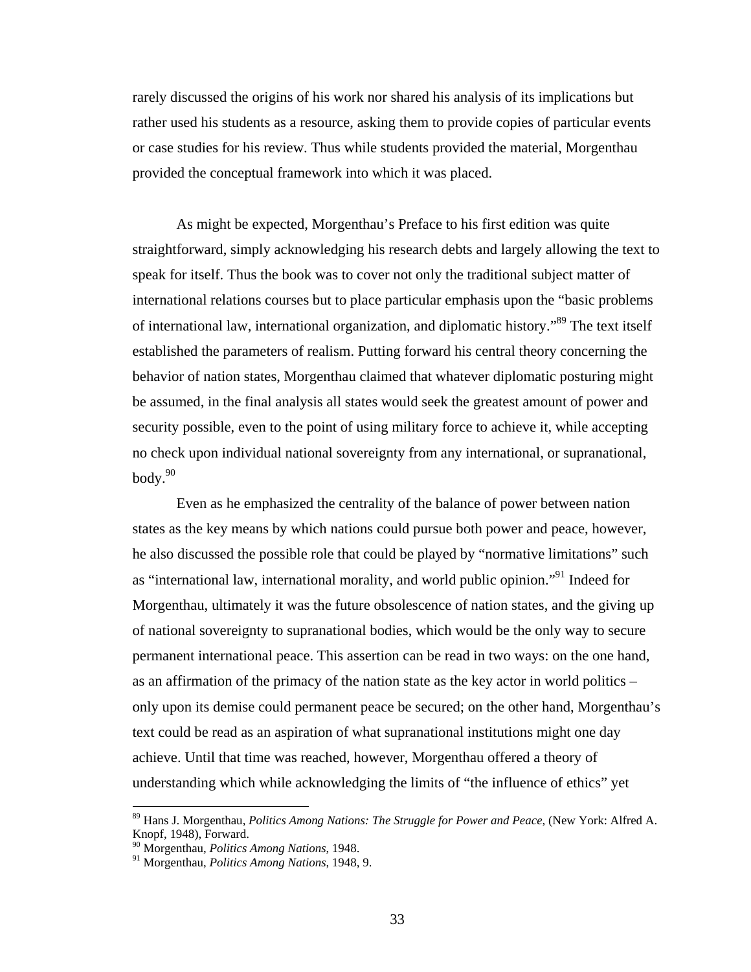rarely discussed the origins of his work nor shared his analysis of its implications but rather used his students as a resource, asking them to provide copies of particular events or case studies for his review. Thus while students provided the material, Morgenthau provided the conceptual framework into which it was placed.

As might be expected, Morgenthau's Preface to his first edition was quite straightforward, simply acknowledging his research debts and largely allowing the text to speak for itself. Thus the book was to cover not only the traditional subject matter of international relations courses but to place particular emphasis upon the "basic problems of international law, international organization, and diplomatic history."89 The text itself established the parameters of realism. Putting forward his central theory concerning the behavior of nation states, Morgenthau claimed that whatever diplomatic posturing might be assumed, in the final analysis all states would seek the greatest amount of power and security possible, even to the point of using military force to achieve it, while accepting no check upon individual national sovereignty from any international, or supranational, body.90

Even as he emphasized the centrality of the balance of power between nation states as the key means by which nations could pursue both power and peace, however, he also discussed the possible role that could be played by "normative limitations" such as "international law, international morality, and world public opinion."91 Indeed for Morgenthau, ultimately it was the future obsolescence of nation states, and the giving up of national sovereignty to supranational bodies, which would be the only way to secure permanent international peace. This assertion can be read in two ways: on the one hand, as an affirmation of the primacy of the nation state as the key actor in world politics – only upon its demise could permanent peace be secured; on the other hand, Morgenthau's text could be read as an aspiration of what supranational institutions might one day achieve. Until that time was reached, however, Morgenthau offered a theory of understanding which while acknowledging the limits of "the influence of ethics" yet

1

<sup>89</sup> Hans J. Morgenthau, *Politics Among Nations: The Struggle for Power and Peace*, (New York: Alfred A. Knopf, 1948), Forward.

<sup>90</sup> Morgenthau, *Politics Among Nations*, 1948.

<sup>91</sup> Morgenthau, *Politics Among Nations*, 1948, 9.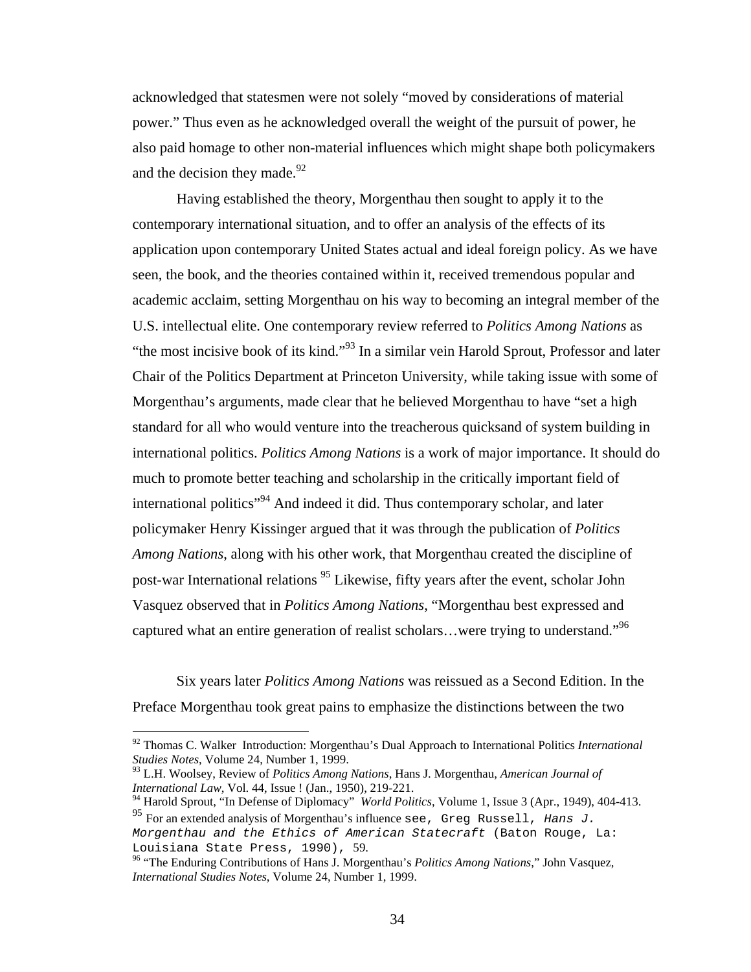acknowledged that statesmen were not solely "moved by considerations of material power." Thus even as he acknowledged overall the weight of the pursuit of power, he also paid homage to other non-material influences which might shape both policymakers and the decision they made.<sup>92</sup>

Having established the theory, Morgenthau then sought to apply it to the contemporary international situation, and to offer an analysis of the effects of its application upon contemporary United States actual and ideal foreign policy. As we have seen, the book, and the theories contained within it, received tremendous popular and academic acclaim, setting Morgenthau on his way to becoming an integral member of the U.S. intellectual elite. One contemporary review referred to *Politics Among Nations* as "the most incisive book of its kind."<sup>93</sup> In a similar vein Harold Sprout, Professor and later Chair of the Politics Department at Princeton University, while taking issue with some of Morgenthau's arguments, made clear that he believed Morgenthau to have "set a high standard for all who would venture into the treacherous quicksand of system building in international politics. *Politics Among Nations* is a work of major importance. It should do much to promote better teaching and scholarship in the critically important field of international politics<sup>"94</sup> And indeed it did. Thus contemporary scholar, and later policymaker Henry Kissinger argued that it was through the publication of *Politics Among Nations*, along with his other work, that Morgenthau created the discipline of post-war International relations <sup>95</sup> Likewise, fifty years after the event, scholar John Vasquez observed that in *Politics Among Nations*, "Morgenthau best expressed and captured what an entire generation of realist scholars…were trying to understand."96

Six years later *Politics Among Nations* was reissued as a Second Edition. In the Preface Morgenthau took great pains to emphasize the distinctions between the two

<u>.</u>

<sup>92</sup> Thomas C. Walker Introduction: Morgenthau's Dual Approach to International Politics *International Studies Notes*, Volume 24, Number 1, 1999.

<sup>93</sup> L.H. Woolsey, Review of *Politics Among Nations*, Hans J. Morgenthau, *American Journal of International Law*, Vol. 44, Issue ! (Jan., 1950), 219-221.

<sup>94</sup> Harold Sprout, "In Defense of Diplomacy" *World Politics*, Volume 1, Issue 3 (Apr., 1949), 404-413. <sup>95</sup> For an extended analysis of Morgenthau's influence see, Greg Russell, *Hans J.* 

*Morgenthau and the Ethics of American Statecraft* (Baton Rouge, La: Louisiana State Press, 1990), 59.<br><sup>96</sup> "The Enduring Contributions of Hans J. Morgenthau's *Politics Among Nations*," John Vasquez,

*International Studies Notes*, Volume 24, Number 1, 1999.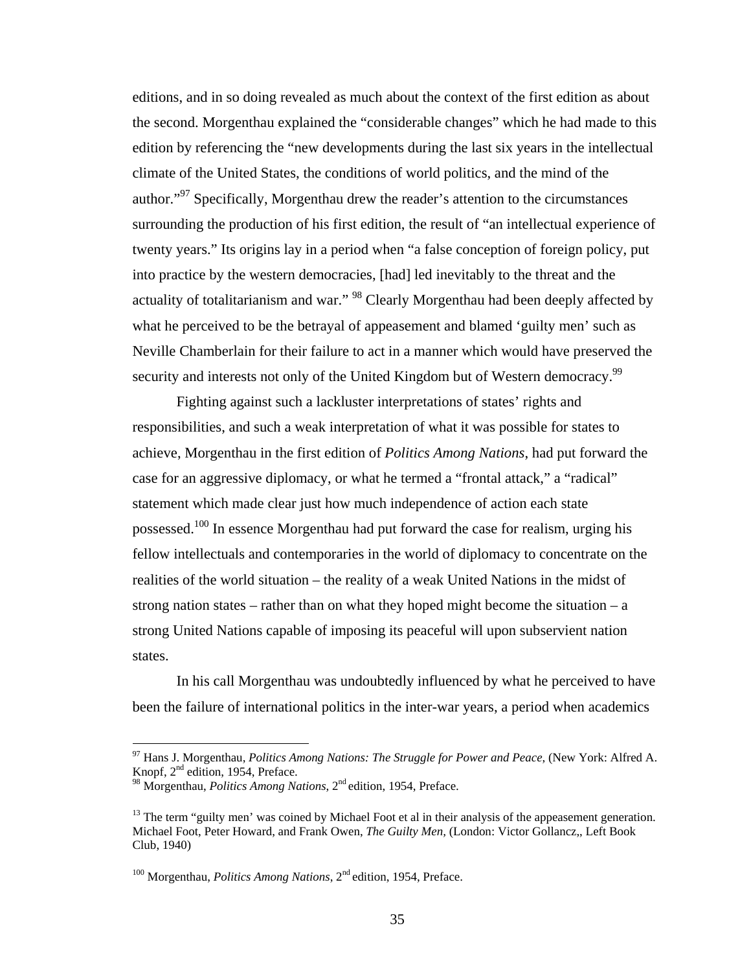editions, and in so doing revealed as much about the context of the first edition as about the second. Morgenthau explained the "considerable changes" which he had made to this edition by referencing the "new developments during the last six years in the intellectual climate of the United States, the conditions of world politics, and the mind of the author."<sup>97</sup> Specifically, Morgenthau drew the reader's attention to the circumstances surrounding the production of his first edition, the result of "an intellectual experience of twenty years." Its origins lay in a period when "a false conception of foreign policy, put into practice by the western democracies, [had] led inevitably to the threat and the actuality of totalitarianism and war." <sup>98</sup> Clearly Morgenthau had been deeply affected by what he perceived to be the betrayal of appeasement and blamed 'guilty men' such as Neville Chamberlain for their failure to act in a manner which would have preserved the security and interests not only of the United Kingdom but of Western democracy.<sup>99</sup>

Fighting against such a lackluster interpretations of states' rights and responsibilities, and such a weak interpretation of what it was possible for states to achieve, Morgenthau in the first edition of *Politics Among Nations*, had put forward the case for an aggressive diplomacy, or what he termed a "frontal attack," a "radical" statement which made clear just how much independence of action each state possessed.100 In essence Morgenthau had put forward the case for realism, urging his fellow intellectuals and contemporaries in the world of diplomacy to concentrate on the realities of the world situation – the reality of a weak United Nations in the midst of strong nation states – rather than on what they hoped might become the situation – a strong United Nations capable of imposing its peaceful will upon subservient nation states.

In his call Morgenthau was undoubtedly influenced by what he perceived to have been the failure of international politics in the inter-war years, a period when academics

1

<sup>97</sup> Hans J. Morgenthau, *Politics Among Nations: The Struggle for Power and Peace*, (New York: Alfred A. Knopf, 2<sup>nd</sup> edition, 1954, Preface.

<sup>98</sup> Morgenthau, *Politics Among Nations*, 2nd edition, 1954, Preface.

 $13$  The term "guilty men' was coined by Michael Foot et al in their analysis of the appeasement generation. Michael Foot, Peter Howard, and Frank Owen, *The Guilty Men,* (London: Victor Gollancz,, Left Book Club, 1940)

<sup>&</sup>lt;sup>100</sup> Morgenthau, *Politics Among Nations*, 2<sup>nd</sup> edition, 1954, Preface.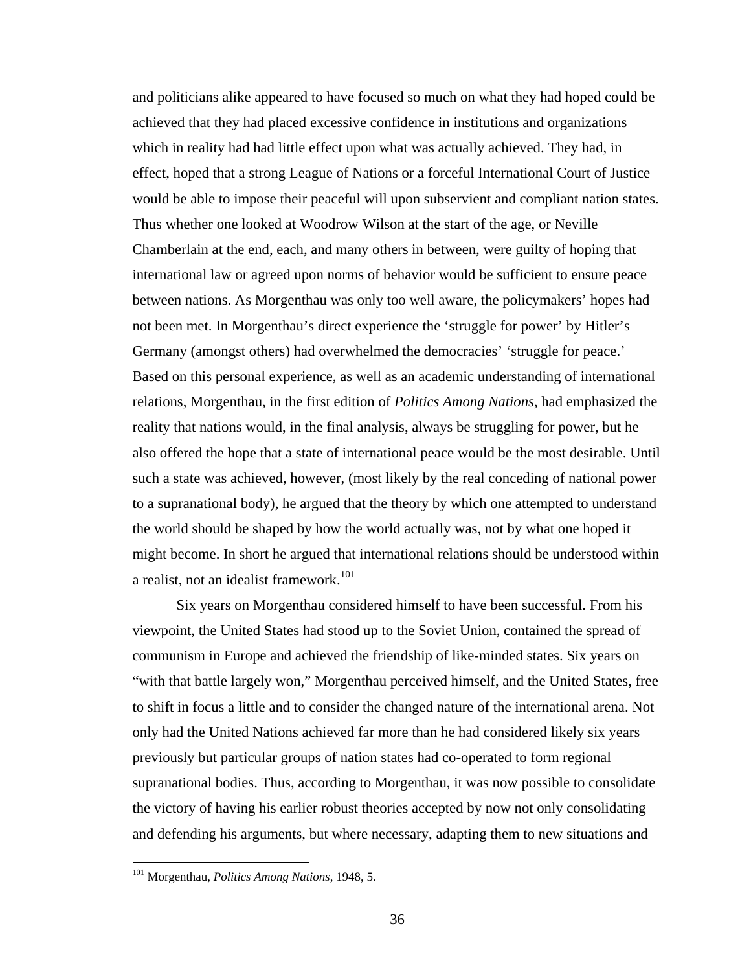and politicians alike appeared to have focused so much on what they had hoped could be achieved that they had placed excessive confidence in institutions and organizations which in reality had had little effect upon what was actually achieved. They had, in effect, hoped that a strong League of Nations or a forceful International Court of Justice would be able to impose their peaceful will upon subservient and compliant nation states. Thus whether one looked at Woodrow Wilson at the start of the age, or Neville Chamberlain at the end, each, and many others in between, were guilty of hoping that international law or agreed upon norms of behavior would be sufficient to ensure peace between nations. As Morgenthau was only too well aware, the policymakers' hopes had not been met. In Morgenthau's direct experience the 'struggle for power' by Hitler's Germany (amongst others) had overwhelmed the democracies' 'struggle for peace.' Based on this personal experience, as well as an academic understanding of international relations, Morgenthau, in the first edition of *Politics Among Nations*, had emphasized the reality that nations would, in the final analysis, always be struggling for power, but he also offered the hope that a state of international peace would be the most desirable. Until such a state was achieved, however, (most likely by the real conceding of national power to a supranational body), he argued that the theory by which one attempted to understand the world should be shaped by how the world actually was, not by what one hoped it might become. In short he argued that international relations should be understood within a realist, not an idealist framework.<sup>101</sup>

Six years on Morgenthau considered himself to have been successful. From his viewpoint, the United States had stood up to the Soviet Union, contained the spread of communism in Europe and achieved the friendship of like-minded states. Six years on "with that battle largely won," Morgenthau perceived himself, and the United States, free to shift in focus a little and to consider the changed nature of the international arena. Not only had the United Nations achieved far more than he had considered likely six years previously but particular groups of nation states had co-operated to form regional supranational bodies. Thus, according to Morgenthau, it was now possible to consolidate the victory of having his earlier robust theories accepted by now not only consolidating and defending his arguments, but where necessary, adapting them to new situations and

<u>.</u>

<sup>101</sup> Morgenthau, *Politics Among Nations*, 1948, 5.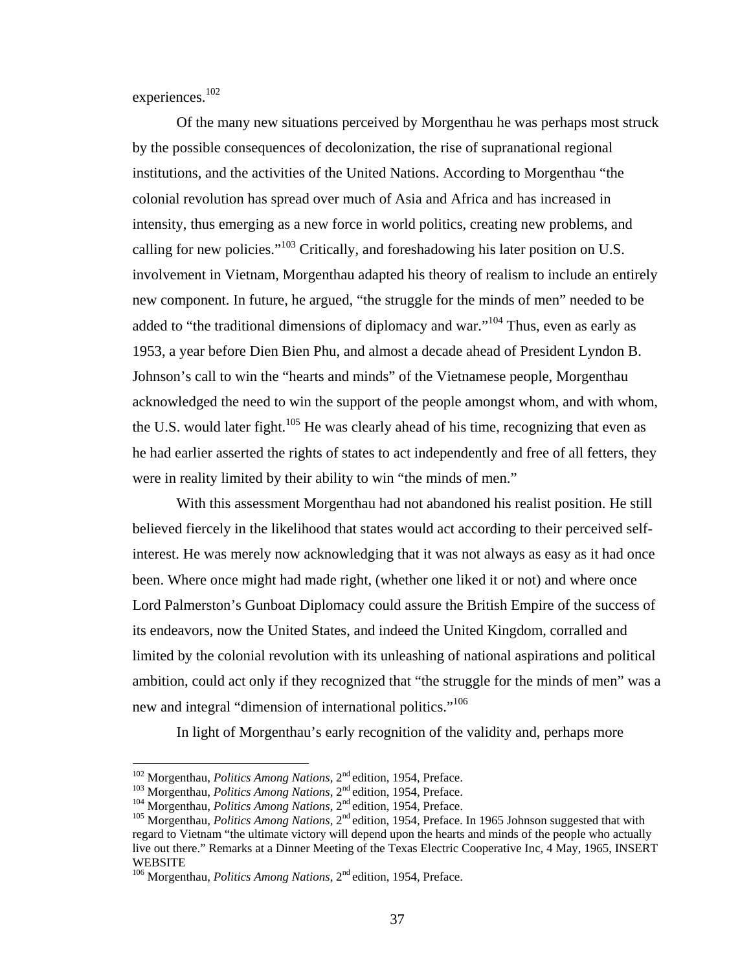experiences.<sup>102</sup>

Of the many new situations perceived by Morgenthau he was perhaps most struck by the possible consequences of decolonization, the rise of supranational regional institutions, and the activities of the United Nations. According to Morgenthau "the colonial revolution has spread over much of Asia and Africa and has increased in intensity, thus emerging as a new force in world politics, creating new problems, and calling for new policies."<sup>103</sup> Critically, and foreshadowing his later position on U.S. involvement in Vietnam, Morgenthau adapted his theory of realism to include an entirely new component. In future, he argued, "the struggle for the minds of men" needed to be added to "the traditional dimensions of diplomacy and war."104 Thus, even as early as 1953, a year before Dien Bien Phu, and almost a decade ahead of President Lyndon B. Johnson's call to win the "hearts and minds" of the Vietnamese people, Morgenthau acknowledged the need to win the support of the people amongst whom, and with whom, the U.S. would later fight.<sup>105</sup> He was clearly ahead of his time, recognizing that even as he had earlier asserted the rights of states to act independently and free of all fetters, they were in reality limited by their ability to win "the minds of men."

With this assessment Morgenthau had not abandoned his realist position. He still believed fiercely in the likelihood that states would act according to their perceived selfinterest. He was merely now acknowledging that it was not always as easy as it had once been. Where once might had made right, (whether one liked it or not) and where once Lord Palmerston's Gunboat Diplomacy could assure the British Empire of the success of its endeavors, now the United States, and indeed the United Kingdom, corralled and limited by the colonial revolution with its unleashing of national aspirations and political ambition, could act only if they recognized that "the struggle for the minds of men" was a new and integral "dimension of international politics."<sup>106</sup>

In light of Morgenthau's early recognition of the validity and, perhaps more

<sup>&</sup>lt;sup>102</sup> Morgenthau, *Politics Among Nations*, 2<sup>nd</sup> edition, 1954, Preface.<br><sup>103</sup> Morgenthau, *Politics Among Nations*, 2<sup>nd</sup> edition, 1954, Preface.<br><sup>104</sup> Morgenthau, *Politics Among Nations*, 2<sup>nd</sup> edition, 1954, Preface. regard to Vietnam "the ultimate victory will depend upon the hearts and minds of the people who actually live out there." Remarks at a Dinner Meeting of the Texas Electric Cooperative Inc, 4 May, 1965, INSERT **WEBSITE** 

<sup>&</sup>lt;sup>106</sup> Morgenthau, *Politics Among Nations*, 2<sup>nd</sup> edition, 1954, Preface.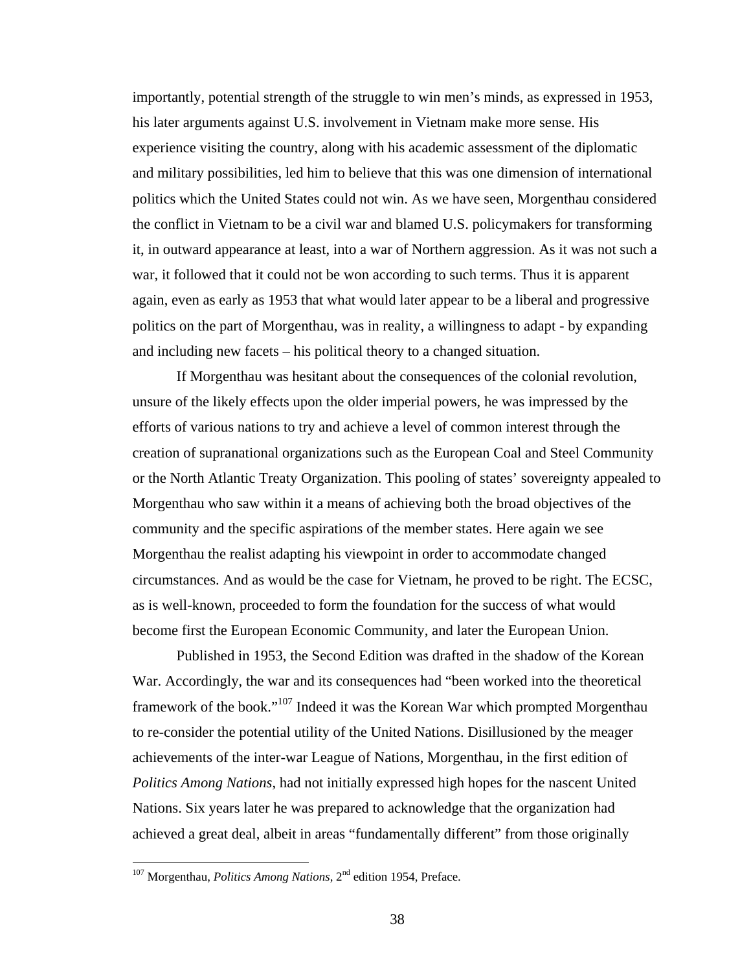importantly, potential strength of the struggle to win men's minds, as expressed in 1953, his later arguments against U.S. involvement in Vietnam make more sense. His experience visiting the country, along with his academic assessment of the diplomatic and military possibilities, led him to believe that this was one dimension of international politics which the United States could not win. As we have seen, Morgenthau considered the conflict in Vietnam to be a civil war and blamed U.S. policymakers for transforming it, in outward appearance at least, into a war of Northern aggression. As it was not such a war, it followed that it could not be won according to such terms. Thus it is apparent again, even as early as 1953 that what would later appear to be a liberal and progressive politics on the part of Morgenthau, was in reality, a willingness to adapt - by expanding and including new facets – his political theory to a changed situation.

If Morgenthau was hesitant about the consequences of the colonial revolution, unsure of the likely effects upon the older imperial powers, he was impressed by the efforts of various nations to try and achieve a level of common interest through the creation of supranational organizations such as the European Coal and Steel Community or the North Atlantic Treaty Organization. This pooling of states' sovereignty appealed to Morgenthau who saw within it a means of achieving both the broad objectives of the community and the specific aspirations of the member states. Here again we see Morgenthau the realist adapting his viewpoint in order to accommodate changed circumstances. And as would be the case for Vietnam, he proved to be right. The ECSC, as is well-known, proceeded to form the foundation for the success of what would become first the European Economic Community, and later the European Union.

Published in 1953, the Second Edition was drafted in the shadow of the Korean War. Accordingly, the war and its consequences had "been worked into the theoretical framework of the book."107 Indeed it was the Korean War which prompted Morgenthau to re-consider the potential utility of the United Nations. Disillusioned by the meager achievements of the inter-war League of Nations, Morgenthau, in the first edition of *Politics Among Nations*, had not initially expressed high hopes for the nascent United Nations. Six years later he was prepared to acknowledge that the organization had achieved a great deal, albeit in areas "fundamentally different" from those originally

<sup>&</sup>lt;sup>107</sup> Morgenthau, *Politics Among Nations*, 2<sup>nd</sup> edition 1954, Preface.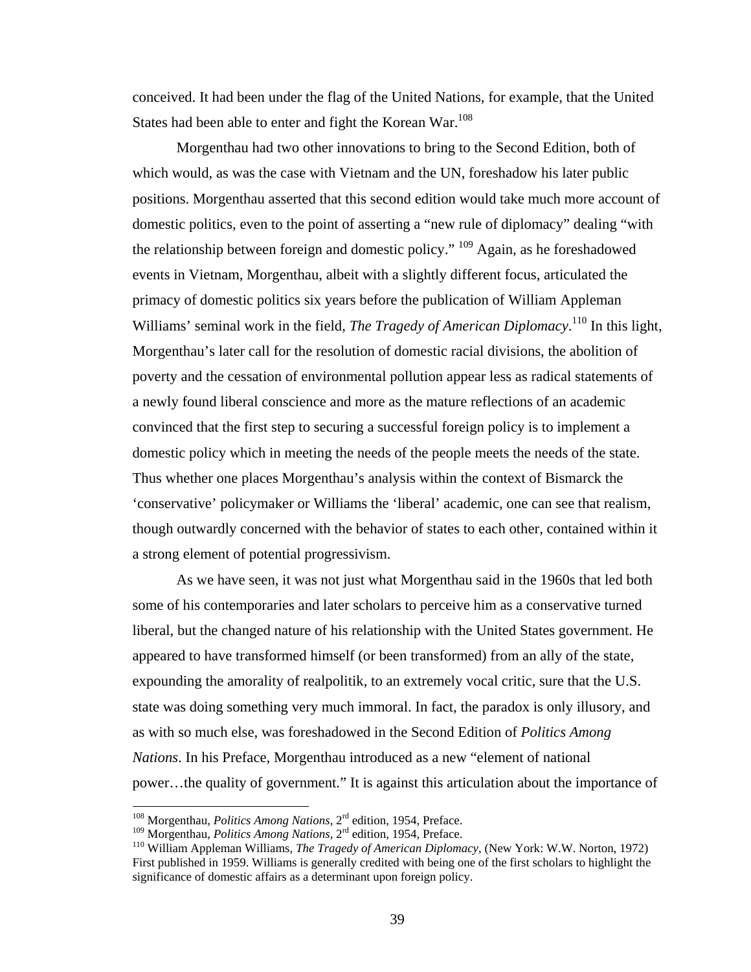conceived. It had been under the flag of the United Nations, for example, that the United States had been able to enter and fight the Korean War.<sup>108</sup>

Morgenthau had two other innovations to bring to the Second Edition, both of which would, as was the case with Vietnam and the UN, foreshadow his later public positions. Morgenthau asserted that this second edition would take much more account of domestic politics, even to the point of asserting a "new rule of diplomacy" dealing "with the relationship between foreign and domestic policy." 109 Again, as he foreshadowed events in Vietnam, Morgenthau, albeit with a slightly different focus, articulated the primacy of domestic politics six years before the publication of William Appleman Williams' seminal work in the field, *The Tragedy of American Diplomacy*.<sup>110</sup> In this light, Morgenthau's later call for the resolution of domestic racial divisions, the abolition of poverty and the cessation of environmental pollution appear less as radical statements of a newly found liberal conscience and more as the mature reflections of an academic convinced that the first step to securing a successful foreign policy is to implement a domestic policy which in meeting the needs of the people meets the needs of the state. Thus whether one places Morgenthau's analysis within the context of Bismarck the 'conservative' policymaker or Williams the 'liberal' academic, one can see that realism, though outwardly concerned with the behavior of states to each other, contained within it a strong element of potential progressivism.

As we have seen, it was not just what Morgenthau said in the 1960s that led both some of his contemporaries and later scholars to perceive him as a conservative turned liberal, but the changed nature of his relationship with the United States government. He appeared to have transformed himself (or been transformed) from an ally of the state, expounding the amorality of realpolitik, to an extremely vocal critic, sure that the U.S. state was doing something very much immoral. In fact, the paradox is only illusory, and as with so much else, was foreshadowed in the Second Edition of *Politics Among Nations*. In his Preface, Morgenthau introduced as a new "element of national power…the quality of government." It is against this articulation about the importance of

<sup>108</sup> Morgenthau, *Politics Among Nations*, 2rd edition, 1954, Preface.

<sup>&</sup>lt;sup>109</sup> Morgenthau, *Politics Among Nations*, 2<sup>rd</sup> edition, 1954, Preface.<br><sup>110</sup> William Appleman Williams, *The Tragedy of American Diplomacy*, (New York: W.W. Norton, 1972) First published in 1959. Williams is generally credited with being one of the first scholars to highlight the significance of domestic affairs as a determinant upon foreign policy.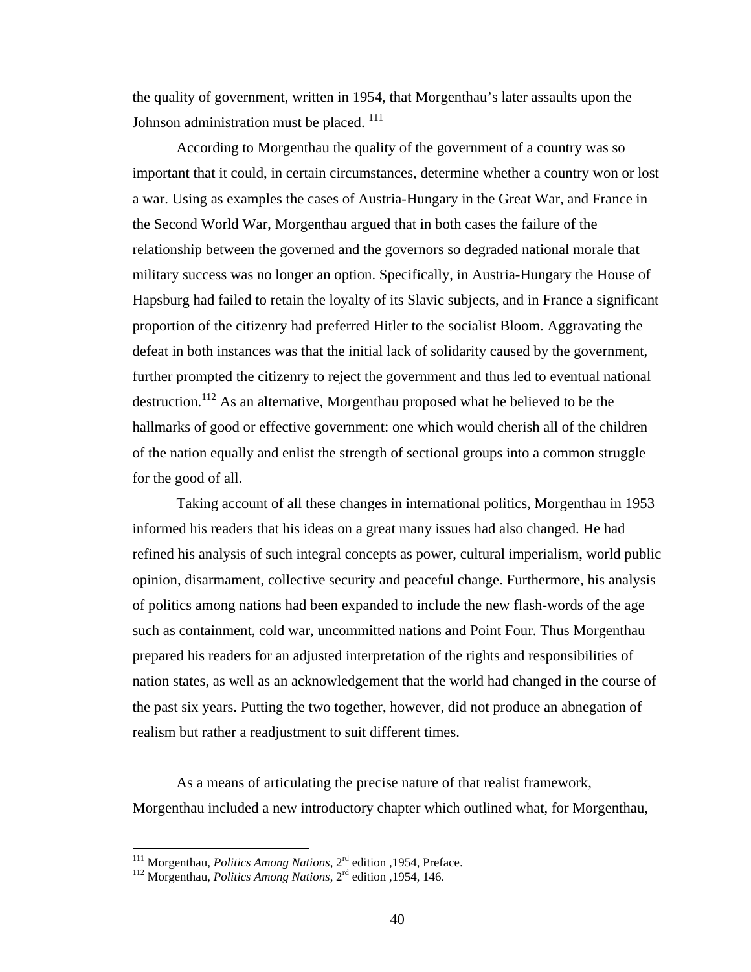the quality of government, written in 1954, that Morgenthau's later assaults upon the Johnson administration must be placed.  $111$ 

According to Morgenthau the quality of the government of a country was so important that it could, in certain circumstances, determine whether a country won or lost a war. Using as examples the cases of Austria-Hungary in the Great War, and France in the Second World War, Morgenthau argued that in both cases the failure of the relationship between the governed and the governors so degraded national morale that military success was no longer an option. Specifically, in Austria-Hungary the House of Hapsburg had failed to retain the loyalty of its Slavic subjects, and in France a significant proportion of the citizenry had preferred Hitler to the socialist Bloom. Aggravating the defeat in both instances was that the initial lack of solidarity caused by the government, further prompted the citizenry to reject the government and thus led to eventual national destruction.<sup>112</sup> As an alternative, Morgenthau proposed what he believed to be the hallmarks of good or effective government: one which would cherish all of the children of the nation equally and enlist the strength of sectional groups into a common struggle for the good of all.

Taking account of all these changes in international politics, Morgenthau in 1953 informed his readers that his ideas on a great many issues had also changed. He had refined his analysis of such integral concepts as power, cultural imperialism, world public opinion, disarmament, collective security and peaceful change. Furthermore, his analysis of politics among nations had been expanded to include the new flash-words of the age such as containment, cold war, uncommitted nations and Point Four. Thus Morgenthau prepared his readers for an adjusted interpretation of the rights and responsibilities of nation states, as well as an acknowledgement that the world had changed in the course of the past six years. Putting the two together, however, did not produce an abnegation of realism but rather a readjustment to suit different times.

As a means of articulating the precise nature of that realist framework, Morgenthau included a new introductory chapter which outlined what, for Morgenthau,

<sup>&</sup>lt;sup>111</sup> Morgenthau, *Politics Among Nations*, 2<sup>rd</sup> edition ,1954, Preface. <sup>112</sup> Morgenthau, *Politics Among Nations*, 2<sup>rd</sup> edition ,1954, 146.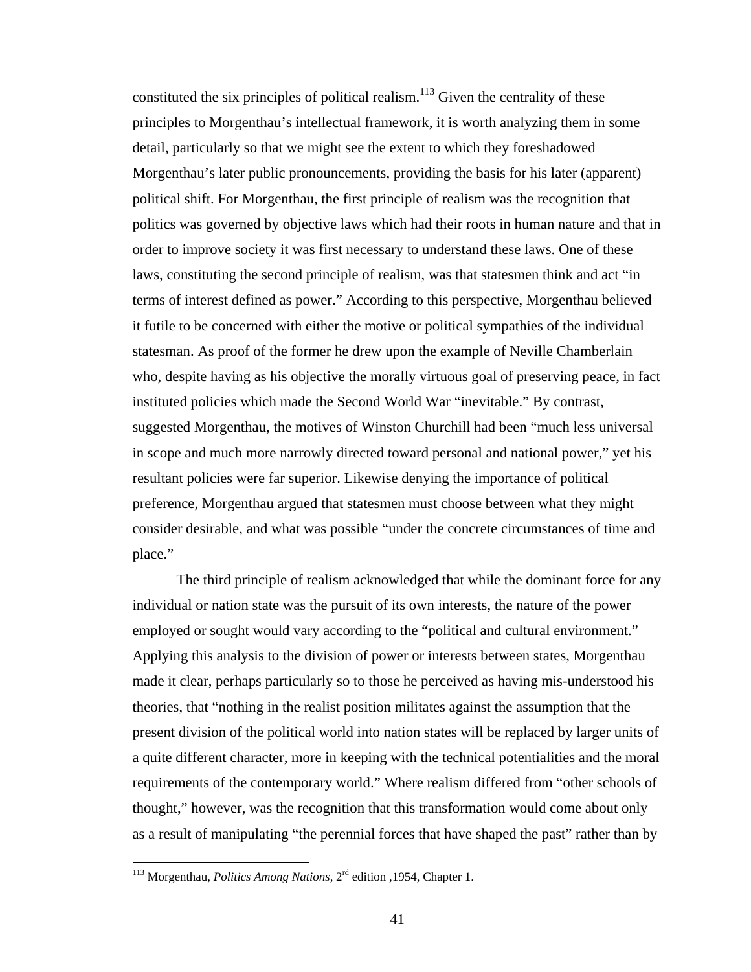constituted the six principles of political realism.<sup>113</sup> Given the centrality of these principles to Morgenthau's intellectual framework, it is worth analyzing them in some detail, particularly so that we might see the extent to which they foreshadowed Morgenthau's later public pronouncements, providing the basis for his later (apparent) political shift. For Morgenthau, the first principle of realism was the recognition that politics was governed by objective laws which had their roots in human nature and that in order to improve society it was first necessary to understand these laws. One of these laws, constituting the second principle of realism, was that statesmen think and act "in terms of interest defined as power." According to this perspective, Morgenthau believed it futile to be concerned with either the motive or political sympathies of the individual statesman. As proof of the former he drew upon the example of Neville Chamberlain who, despite having as his objective the morally virtuous goal of preserving peace, in fact instituted policies which made the Second World War "inevitable." By contrast, suggested Morgenthau, the motives of Winston Churchill had been "much less universal in scope and much more narrowly directed toward personal and national power," yet his resultant policies were far superior. Likewise denying the importance of political preference, Morgenthau argued that statesmen must choose between what they might consider desirable, and what was possible "under the concrete circumstances of time and place."

The third principle of realism acknowledged that while the dominant force for any individual or nation state was the pursuit of its own interests, the nature of the power employed or sought would vary according to the "political and cultural environment." Applying this analysis to the division of power or interests between states, Morgenthau made it clear, perhaps particularly so to those he perceived as having mis-understood his theories, that "nothing in the realist position militates against the assumption that the present division of the political world into nation states will be replaced by larger units of a quite different character, more in keeping with the technical potentialities and the moral requirements of the contemporary world." Where realism differed from "other schools of thought," however, was the recognition that this transformation would come about only as a result of manipulating "the perennial forces that have shaped the past" rather than by

<u>.</u>

<sup>113</sup> Morgenthau, *Politics Among Nations*, 2rd edition ,1954, Chapter 1.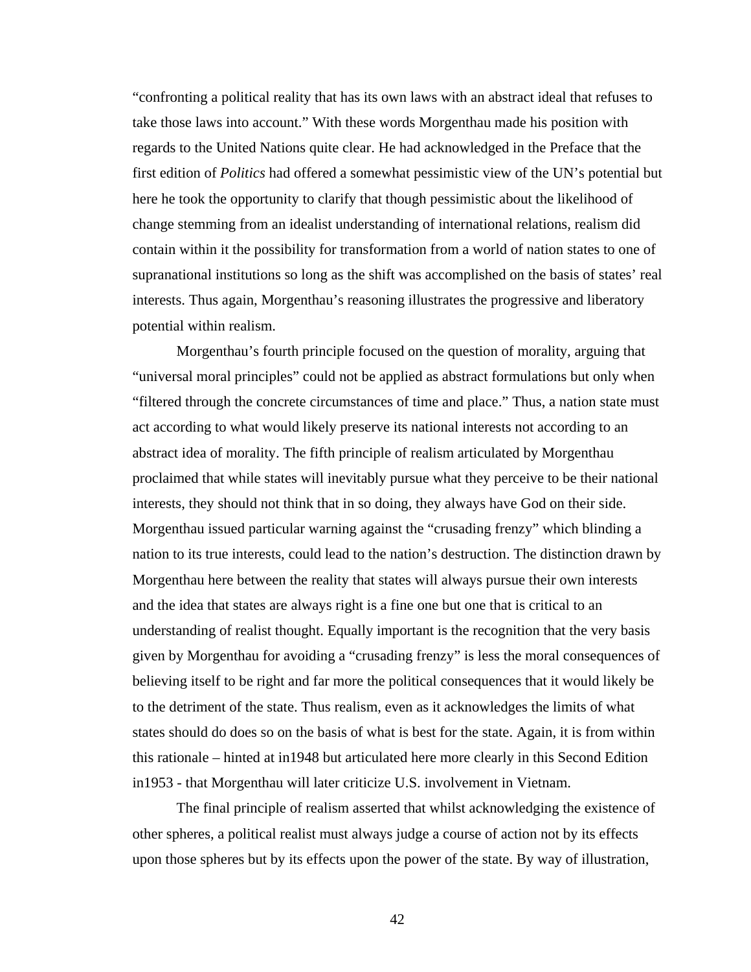"confronting a political reality that has its own laws with an abstract ideal that refuses to take those laws into account." With these words Morgenthau made his position with regards to the United Nations quite clear. He had acknowledged in the Preface that the first edition of *Politics* had offered a somewhat pessimistic view of the UN's potential but here he took the opportunity to clarify that though pessimistic about the likelihood of change stemming from an idealist understanding of international relations, realism did contain within it the possibility for transformation from a world of nation states to one of supranational institutions so long as the shift was accomplished on the basis of states' real interests. Thus again, Morgenthau's reasoning illustrates the progressive and liberatory potential within realism.

Morgenthau's fourth principle focused on the question of morality, arguing that "universal moral principles" could not be applied as abstract formulations but only when "filtered through the concrete circumstances of time and place." Thus, a nation state must act according to what would likely preserve its national interests not according to an abstract idea of morality. The fifth principle of realism articulated by Morgenthau proclaimed that while states will inevitably pursue what they perceive to be their national interests, they should not think that in so doing, they always have God on their side. Morgenthau issued particular warning against the "crusading frenzy" which blinding a nation to its true interests, could lead to the nation's destruction. The distinction drawn by Morgenthau here between the reality that states will always pursue their own interests and the idea that states are always right is a fine one but one that is critical to an understanding of realist thought. Equally important is the recognition that the very basis given by Morgenthau for avoiding a "crusading frenzy" is less the moral consequences of believing itself to be right and far more the political consequences that it would likely be to the detriment of the state. Thus realism, even as it acknowledges the limits of what states should do does so on the basis of what is best for the state. Again, it is from within this rationale – hinted at in1948 but articulated here more clearly in this Second Edition in1953 - that Morgenthau will later criticize U.S. involvement in Vietnam.

The final principle of realism asserted that whilst acknowledging the existence of other spheres, a political realist must always judge a course of action not by its effects upon those spheres but by its effects upon the power of the state. By way of illustration,

42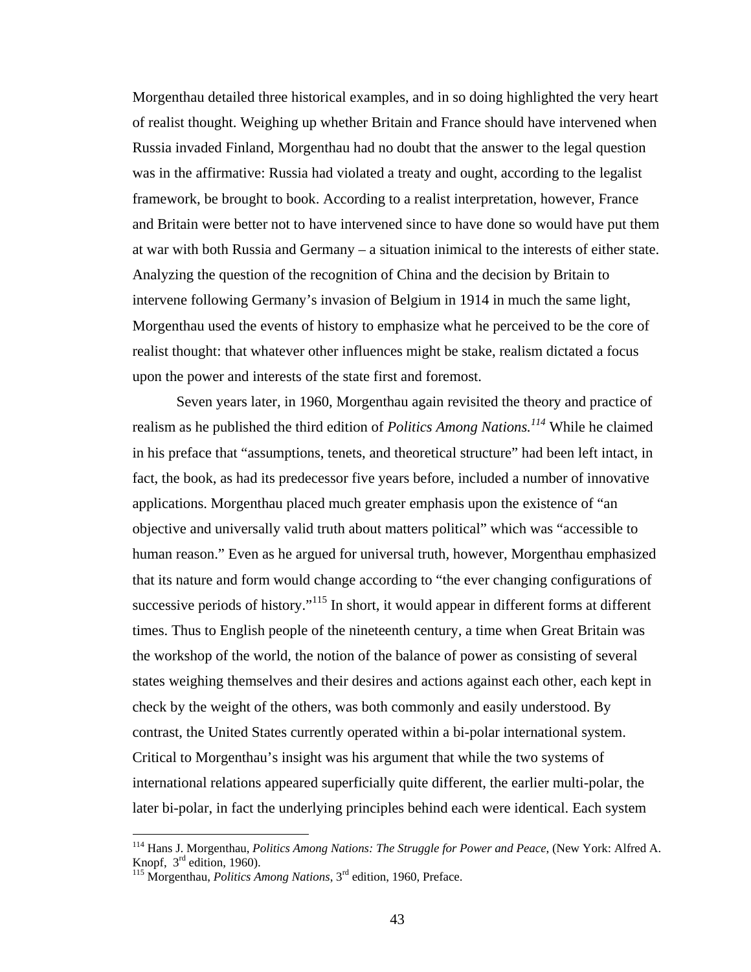Morgenthau detailed three historical examples, and in so doing highlighted the very heart of realist thought. Weighing up whether Britain and France should have intervened when Russia invaded Finland, Morgenthau had no doubt that the answer to the legal question was in the affirmative: Russia had violated a treaty and ought, according to the legalist framework, be brought to book. According to a realist interpretation, however, France and Britain were better not to have intervened since to have done so would have put them at war with both Russia and Germany – a situation inimical to the interests of either state. Analyzing the question of the recognition of China and the decision by Britain to intervene following Germany's invasion of Belgium in 1914 in much the same light, Morgenthau used the events of history to emphasize what he perceived to be the core of realist thought: that whatever other influences might be stake, realism dictated a focus upon the power and interests of the state first and foremost.

Seven years later, in 1960, Morgenthau again revisited the theory and practice of realism as he published the third edition of *Politics Among Nations.114* While he claimed in his preface that "assumptions, tenets, and theoretical structure" had been left intact, in fact, the book, as had its predecessor five years before, included a number of innovative applications. Morgenthau placed much greater emphasis upon the existence of "an objective and universally valid truth about matters political" which was "accessible to human reason." Even as he argued for universal truth, however, Morgenthau emphasized that its nature and form would change according to "the ever changing configurations of successive periods of history."<sup>115</sup> In short, it would appear in different forms at different times. Thus to English people of the nineteenth century, a time when Great Britain was the workshop of the world, the notion of the balance of power as consisting of several states weighing themselves and their desires and actions against each other, each kept in check by the weight of the others, was both commonly and easily understood. By contrast, the United States currently operated within a bi-polar international system. Critical to Morgenthau's insight was his argument that while the two systems of international relations appeared superficially quite different, the earlier multi-polar, the later bi-polar, in fact the underlying principles behind each were identical. Each system

<sup>114</sup> Hans J. Morgenthau, *Politics Among Nations: The Struggle for Power and Peace*, (New York: Alfred A. Knopf, 3<sup>rd</sup> edition, 1960).<br><sup>115</sup> Morgenthau, *Politics Among Nations*, 3<sup>rd</sup> edition, 1960, Preface.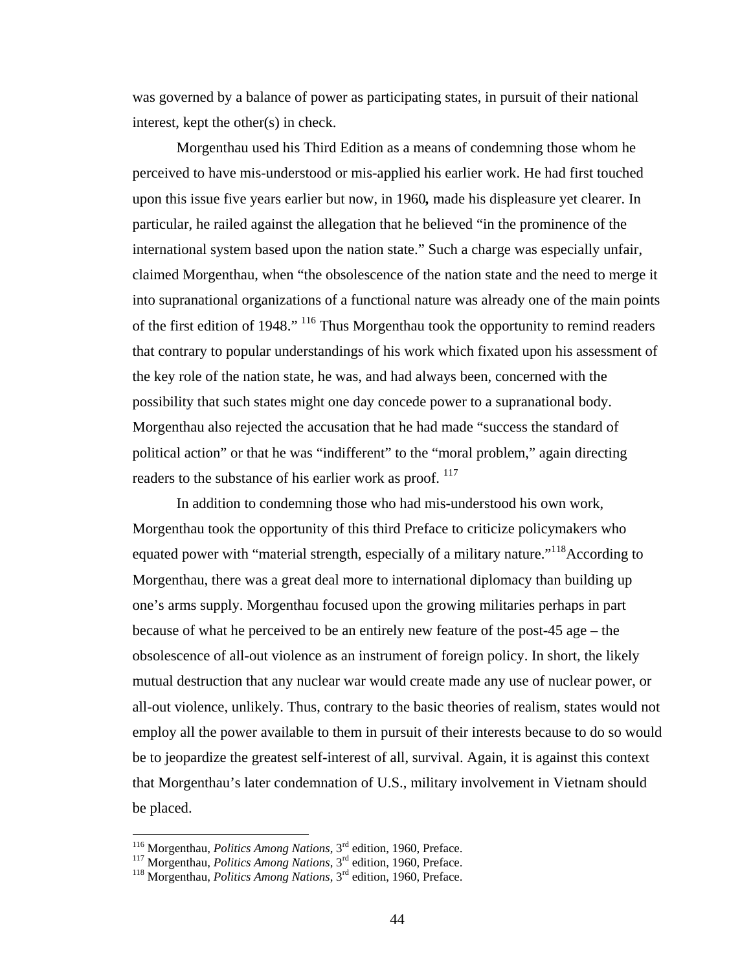was governed by a balance of power as participating states, in pursuit of their national interest, kept the other(s) in check.

Morgenthau used his Third Edition as a means of condemning those whom he perceived to have mis-understood or mis-applied his earlier work. He had first touched upon this issue five years earlier but now, in 1960*,* made his displeasure yet clearer. In particular, he railed against the allegation that he believed "in the prominence of the international system based upon the nation state." Such a charge was especially unfair, claimed Morgenthau, when "the obsolescence of the nation state and the need to merge it into supranational organizations of a functional nature was already one of the main points of the first edition of 1948." 116 Thus Morgenthau took the opportunity to remind readers that contrary to popular understandings of his work which fixated upon his assessment of the key role of the nation state, he was, and had always been, concerned with the possibility that such states might one day concede power to a supranational body. Morgenthau also rejected the accusation that he had made "success the standard of political action" or that he was "indifferent" to the "moral problem," again directing readers to the substance of his earlier work as proof. <sup>117</sup>

In addition to condemning those who had mis-understood his own work, Morgenthau took the opportunity of this third Preface to criticize policymakers who equated power with "material strength, especially of a military nature."<sup>118</sup>According to Morgenthau, there was a great deal more to international diplomacy than building up one's arms supply. Morgenthau focused upon the growing militaries perhaps in part because of what he perceived to be an entirely new feature of the post-45 age – the obsolescence of all-out violence as an instrument of foreign policy. In short, the likely mutual destruction that any nuclear war would create made any use of nuclear power, or all-out violence, unlikely. Thus, contrary to the basic theories of realism, states would not employ all the power available to them in pursuit of their interests because to do so would be to jeopardize the greatest self-interest of all, survival. Again, it is against this context that Morgenthau's later condemnation of U.S., military involvement in Vietnam should be placed.

<sup>&</sup>lt;sup>116</sup> Morgenthau, *Politics Among Nations*, 3<sup>rd</sup> edition, 1960, Preface.<br><sup>117</sup> Morgenthau, *Politics Among Nations*, 3<sup>rd</sup> edition, 1960, Preface. <sup>118</sup> Morgenthau, *Politics Among Nations*, 3<sup>rd</sup> edition, 1960, Preface.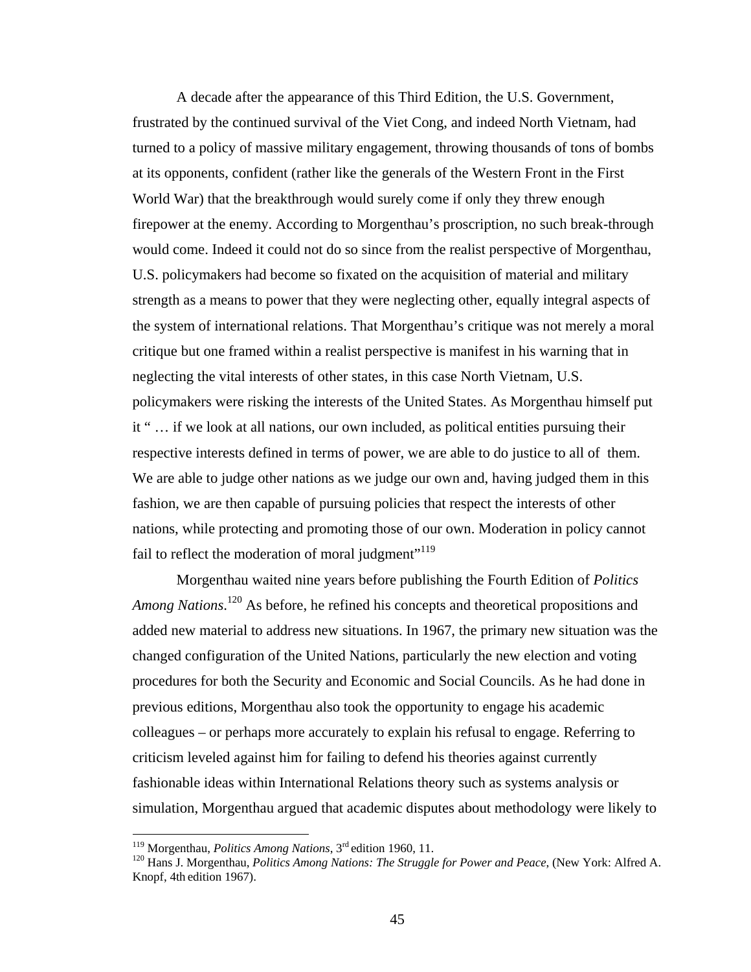A decade after the appearance of this Third Edition, the U.S. Government, frustrated by the continued survival of the Viet Cong, and indeed North Vietnam, had turned to a policy of massive military engagement, throwing thousands of tons of bombs at its opponents, confident (rather like the generals of the Western Front in the First World War) that the breakthrough would surely come if only they threw enough firepower at the enemy. According to Morgenthau's proscription, no such break-through would come. Indeed it could not do so since from the realist perspective of Morgenthau, U.S. policymakers had become so fixated on the acquisition of material and military strength as a means to power that they were neglecting other, equally integral aspects of the system of international relations. That Morgenthau's critique was not merely a moral critique but one framed within a realist perspective is manifest in his warning that in neglecting the vital interests of other states, in this case North Vietnam, U.S. policymakers were risking the interests of the United States. As Morgenthau himself put it " … if we look at all nations, our own included, as political entities pursuing their respective interests defined in terms of power, we are able to do justice to all of them. We are able to judge other nations as we judge our own and, having judged them in this fashion, we are then capable of pursuing policies that respect the interests of other nations, while protecting and promoting those of our own. Moderation in policy cannot fail to reflect the moderation of moral judgment<sup>"119</sup>

Morgenthau waited nine years before publishing the Fourth Edition of *Politics Among Nations*. 120 As before, he refined his concepts and theoretical propositions and added new material to address new situations. In 1967, the primary new situation was the changed configuration of the United Nations, particularly the new election and voting procedures for both the Security and Economic and Social Councils. As he had done in previous editions, Morgenthau also took the opportunity to engage his academic colleagues – or perhaps more accurately to explain his refusal to engage. Referring to criticism leveled against him for failing to defend his theories against currently fashionable ideas within International Relations theory such as systems analysis or simulation, Morgenthau argued that academic disputes about methodology were likely to

<sup>&</sup>lt;sup>119</sup> Morgenthau, *Politics Among Nations*,  $3<sup>rd</sup>$  edition 1960, 11.

<sup>&</sup>lt;sup>120</sup> Hans J. Morgenthau, *Politics Among Nations: The Struggle for Power and Peace*, (New York: Alfred A. Knopf, 4th edition 1967).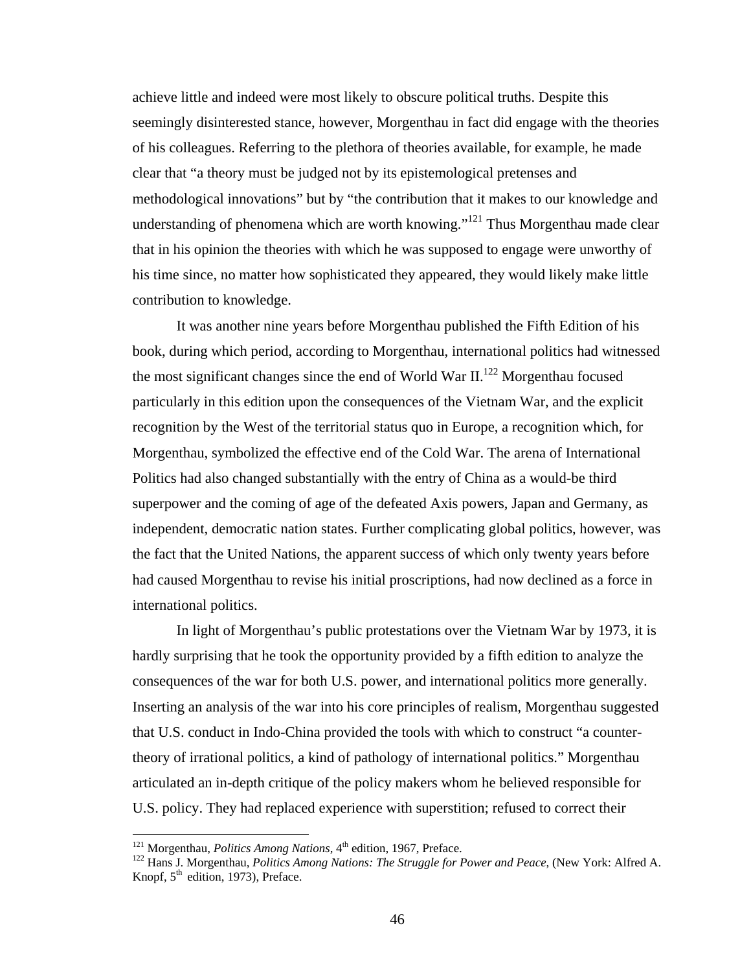achieve little and indeed were most likely to obscure political truths. Despite this seemingly disinterested stance, however, Morgenthau in fact did engage with the theories of his colleagues. Referring to the plethora of theories available, for example, he made clear that "a theory must be judged not by its epistemological pretenses and methodological innovations" but by "the contribution that it makes to our knowledge and understanding of phenomena which are worth knowing."<sup>121</sup> Thus Morgenthau made clear that in his opinion the theories with which he was supposed to engage were unworthy of his time since, no matter how sophisticated they appeared, they would likely make little contribution to knowledge.

It was another nine years before Morgenthau published the Fifth Edition of his book, during which period, according to Morgenthau, international politics had witnessed the most significant changes since the end of World War  $II^{122}$  Morgenthau focused particularly in this edition upon the consequences of the Vietnam War, and the explicit recognition by the West of the territorial status quo in Europe, a recognition which, for Morgenthau, symbolized the effective end of the Cold War. The arena of International Politics had also changed substantially with the entry of China as a would-be third superpower and the coming of age of the defeated Axis powers, Japan and Germany, as independent, democratic nation states. Further complicating global politics, however, was the fact that the United Nations, the apparent success of which only twenty years before had caused Morgenthau to revise his initial proscriptions, had now declined as a force in international politics.

In light of Morgenthau's public protestations over the Vietnam War by 1973, it is hardly surprising that he took the opportunity provided by a fifth edition to analyze the consequences of the war for both U.S. power, and international politics more generally. Inserting an analysis of the war into his core principles of realism, Morgenthau suggested that U.S. conduct in Indo-China provided the tools with which to construct "a countertheory of irrational politics, a kind of pathology of international politics." Morgenthau articulated an in-depth critique of the policy makers whom he believed responsible for U.S. policy. They had replaced experience with superstition; refused to correct their

<sup>&</sup>lt;sup>121</sup> Morgenthau, *Politics Among Nations*, 4<sup>th</sup> edition, 1967, Preface.

<sup>&</sup>lt;sup>122</sup> Hans J. Morgenthau, *Politics Among Nations: The Struggle for Power and Peace*, (New York: Alfred A. Knopf,  $5<sup>th</sup>$  edition, 1973), Preface.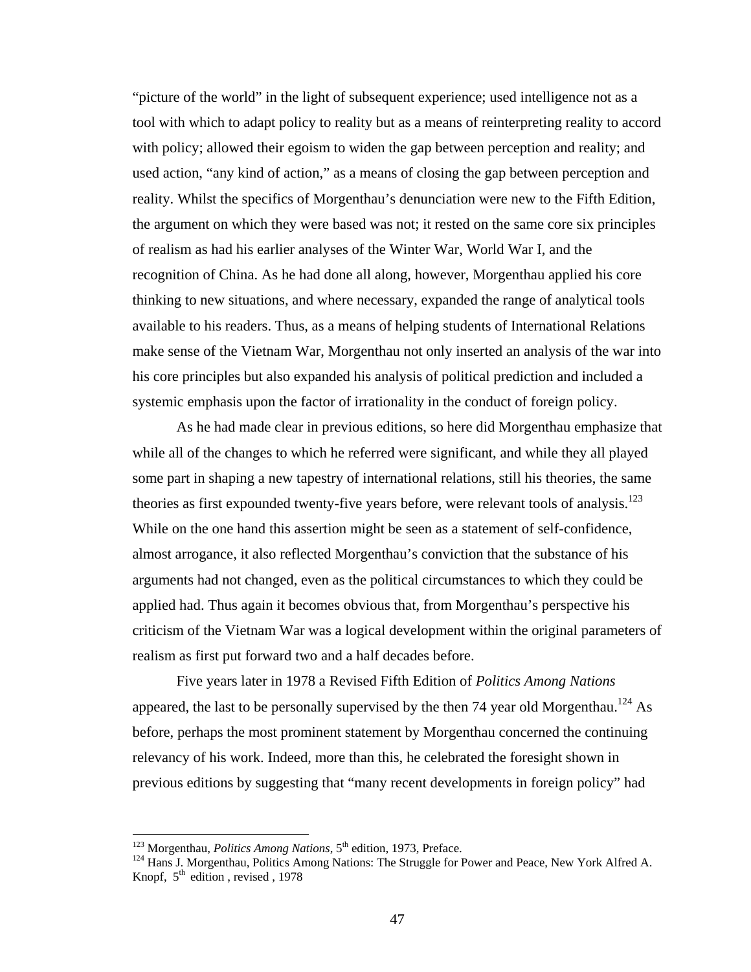"picture of the world" in the light of subsequent experience; used intelligence not as a tool with which to adapt policy to reality but as a means of reinterpreting reality to accord with policy; allowed their egoism to widen the gap between perception and reality; and used action, "any kind of action," as a means of closing the gap between perception and reality. Whilst the specifics of Morgenthau's denunciation were new to the Fifth Edition, the argument on which they were based was not; it rested on the same core six principles of realism as had his earlier analyses of the Winter War, World War I, and the recognition of China. As he had done all along, however, Morgenthau applied his core thinking to new situations, and where necessary, expanded the range of analytical tools available to his readers. Thus, as a means of helping students of International Relations make sense of the Vietnam War, Morgenthau not only inserted an analysis of the war into his core principles but also expanded his analysis of political prediction and included a systemic emphasis upon the factor of irrationality in the conduct of foreign policy.

As he had made clear in previous editions, so here did Morgenthau emphasize that while all of the changes to which he referred were significant, and while they all played some part in shaping a new tapestry of international relations, still his theories, the same theories as first expounded twenty-five years before, were relevant tools of analysis.<sup>123</sup> While on the one hand this assertion might be seen as a statement of self-confidence, almost arrogance, it also reflected Morgenthau's conviction that the substance of his arguments had not changed, even as the political circumstances to which they could be applied had. Thus again it becomes obvious that, from Morgenthau's perspective his criticism of the Vietnam War was a logical development within the original parameters of realism as first put forward two and a half decades before.

Five years later in 1978 a Revised Fifth Edition of *Politics Among Nations* appeared, the last to be personally supervised by the then 74 year old Morgenthau.<sup>124</sup> As before, perhaps the most prominent statement by Morgenthau concerned the continuing relevancy of his work. Indeed, more than this, he celebrated the foresight shown in previous editions by suggesting that "many recent developments in foreign policy" had

<sup>&</sup>lt;sup>123</sup> Morgenthau, *Politics Among Nations*, 5<sup>th</sup> edition, 1973, Preface.

<sup>&</sup>lt;sup>124</sup> Hans J. Morgenthau, Politics Among Nations: The Struggle for Power and Peace, New York Alfred A. Knopf,  $5<sup>th</sup>$  edition, revised, 1978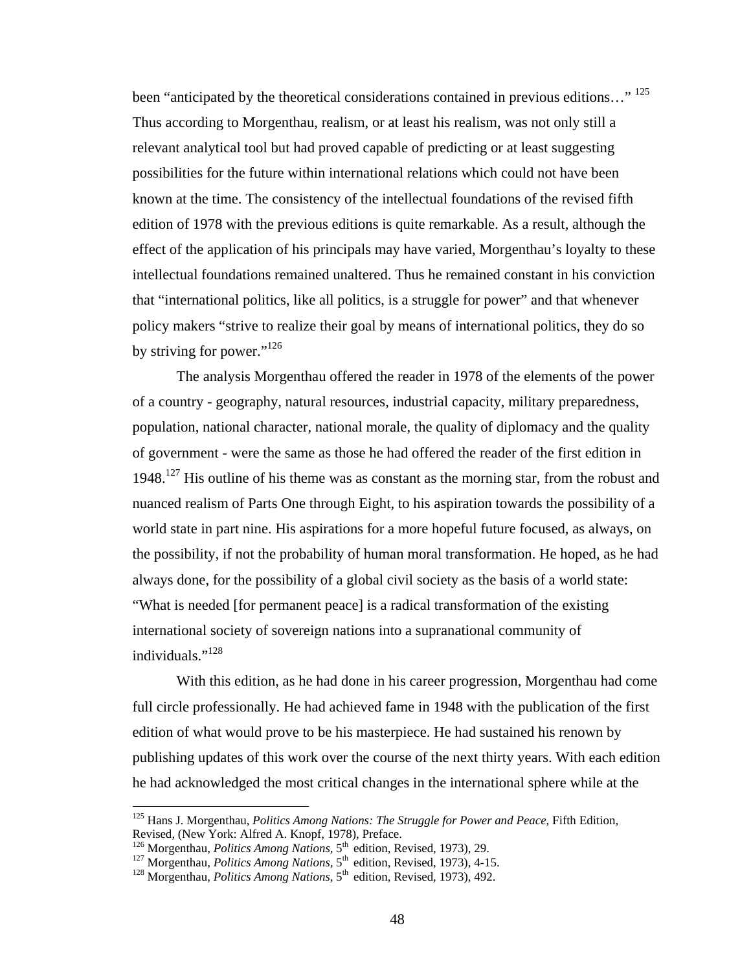been "anticipated by the theoretical considerations contained in previous editions..."<sup>125</sup> Thus according to Morgenthau, realism, or at least his realism, was not only still a relevant analytical tool but had proved capable of predicting or at least suggesting possibilities for the future within international relations which could not have been known at the time. The consistency of the intellectual foundations of the revised fifth edition of 1978 with the previous editions is quite remarkable. As a result, although the effect of the application of his principals may have varied, Morgenthau's loyalty to these intellectual foundations remained unaltered. Thus he remained constant in his conviction that "international politics, like all politics, is a struggle for power" and that whenever policy makers "strive to realize their goal by means of international politics, they do so by striving for power."126

The analysis Morgenthau offered the reader in 1978 of the elements of the power of a country - geography, natural resources, industrial capacity, military preparedness, population, national character, national morale, the quality of diplomacy and the quality of government - were the same as those he had offered the reader of the first edition in 1948.<sup>127</sup> His outline of his theme was as constant as the morning star, from the robust and nuanced realism of Parts One through Eight, to his aspiration towards the possibility of a world state in part nine. His aspirations for a more hopeful future focused, as always, on the possibility, if not the probability of human moral transformation. He hoped, as he had always done, for the possibility of a global civil society as the basis of a world state: "What is needed [for permanent peace] is a radical transformation of the existing international society of sovereign nations into a supranational community of individuals."<sup>128</sup>

With this edition, as he had done in his career progression, Morgenthau had come full circle professionally. He had achieved fame in 1948 with the publication of the first edition of what would prove to be his masterpiece. He had sustained his renown by publishing updates of this work over the course of the next thirty years. With each edition he had acknowledged the most critical changes in the international sphere while at the

<sup>125</sup> Hans J. Morgenthau, *Politics Among Nations: The Struggle for Power and Peace*, Fifth Edition, Revised, (New York: Alfred A. Knopf, 1978), Preface.

<sup>&</sup>lt;sup>126</sup> Morgenthau, *Politics Among Nations*,  $5^{th}$  edition, Revised, 1973), 29.<br><sup>127</sup> Morgenthau, *Politics Among Nations*,  $5^{th}$  edition, Revised, 1973), 29.<br><sup>127</sup> Morgenthau, *Politics Among Nations*,  $5^{th}$  edition, R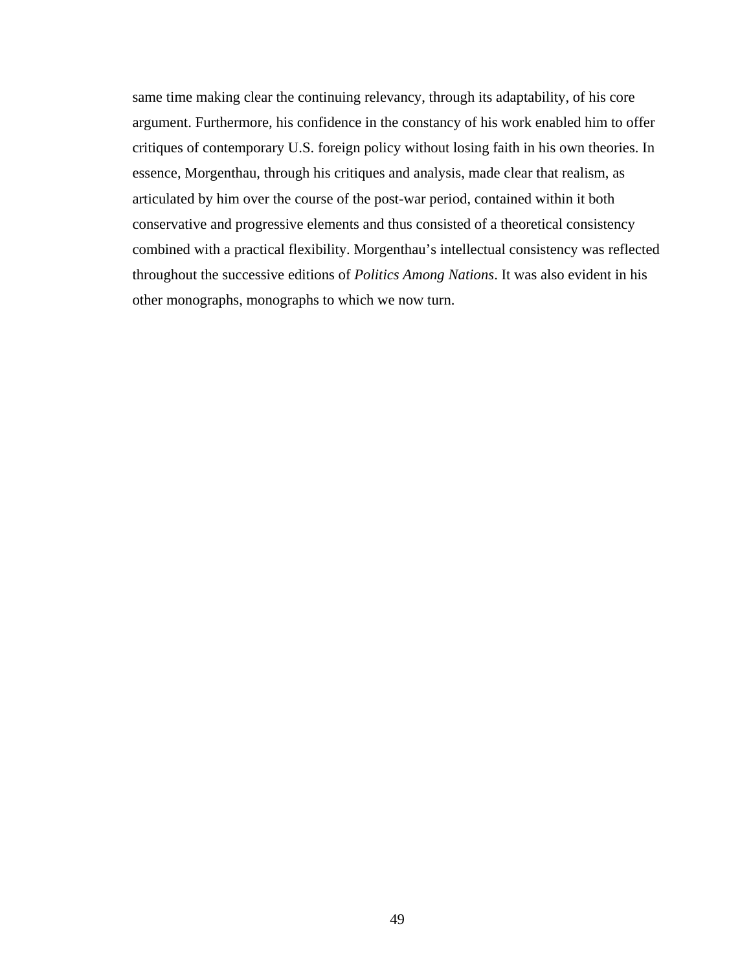same time making clear the continuing relevancy, through its adaptability, of his core argument. Furthermore, his confidence in the constancy of his work enabled him to offer critiques of contemporary U.S. foreign policy without losing faith in his own theories. In essence, Morgenthau, through his critiques and analysis, made clear that realism, as articulated by him over the course of the post-war period, contained within it both conservative and progressive elements and thus consisted of a theoretical consistency combined with a practical flexibility. Morgenthau's intellectual consistency was reflected throughout the successive editions of *Politics Among Nations*. It was also evident in his other monographs, monographs to which we now turn.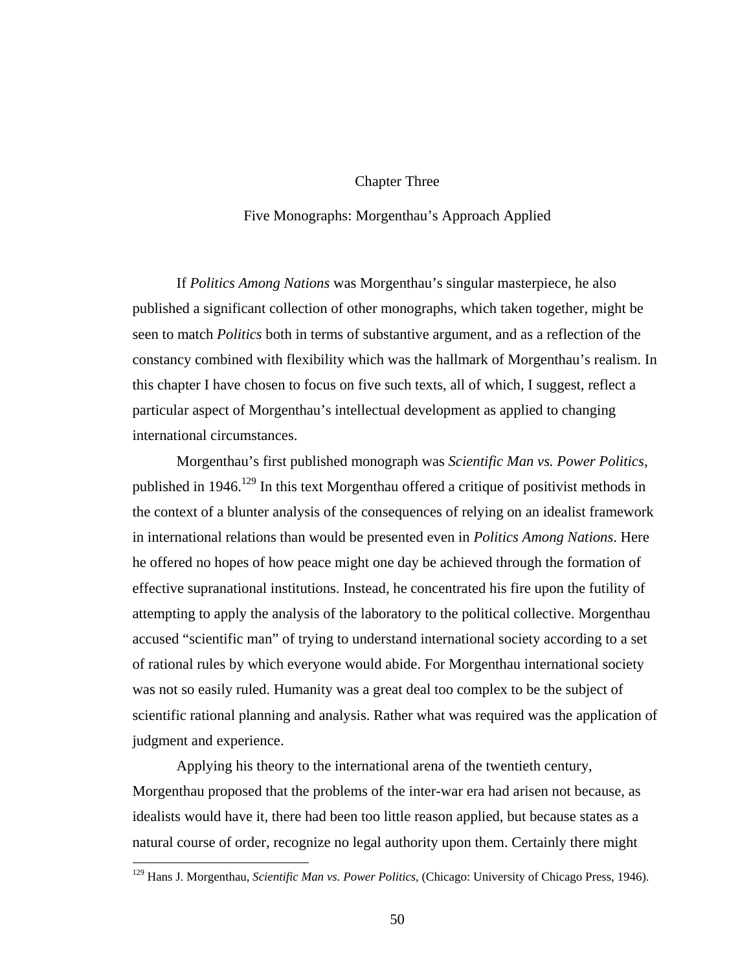## Chapter Three

Five Monographs: Morgenthau's Approach Applied

If *Politics Among Nations* was Morgenthau's singular masterpiece, he also published a significant collection of other monographs, which taken together, might be seen to match *Politics* both in terms of substantive argument, and as a reflection of the constancy combined with flexibility which was the hallmark of Morgenthau's realism. In this chapter I have chosen to focus on five such texts, all of which, I suggest, reflect a particular aspect of Morgenthau's intellectual development as applied to changing international circumstances.

Morgenthau's first published monograph was *Scientific Man vs. Power Politics*, published in  $1946$ <sup>129</sup>. In this text Morgenthau offered a critique of positivist methods in the context of a blunter analysis of the consequences of relying on an idealist framework in international relations than would be presented even in *Politics Among Nations*. Here he offered no hopes of how peace might one day be achieved through the formation of effective supranational institutions. Instead, he concentrated his fire upon the futility of attempting to apply the analysis of the laboratory to the political collective. Morgenthau accused "scientific man" of trying to understand international society according to a set of rational rules by which everyone would abide. For Morgenthau international society was not so easily ruled. Humanity was a great deal too complex to be the subject of scientific rational planning and analysis. Rather what was required was the application of judgment and experience.

Applying his theory to the international arena of the twentieth century, Morgenthau proposed that the problems of the inter-war era had arisen not because, as idealists would have it, there had been too little reason applied, but because states as a natural course of order, recognize no legal authority upon them. Certainly there might

<u>.</u>

<sup>129</sup> Hans J. Morgenthau, *Scientific Man vs. Power Politics*, (Chicago: University of Chicago Press, 1946).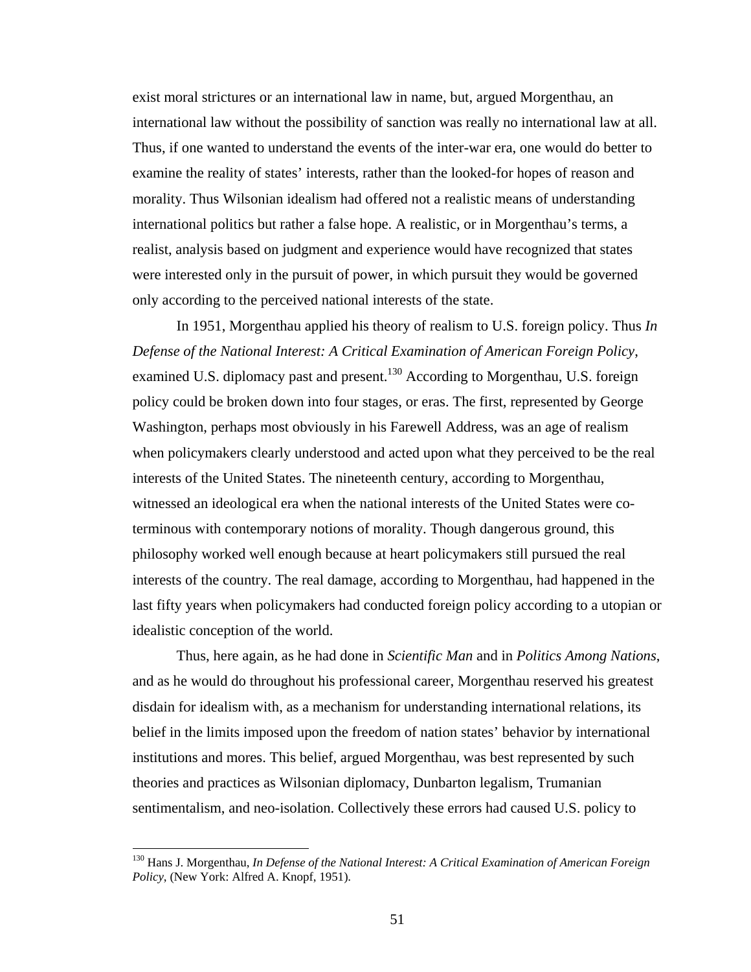exist moral strictures or an international law in name, but, argued Morgenthau, an international law without the possibility of sanction was really no international law at all. Thus, if one wanted to understand the events of the inter-war era, one would do better to examine the reality of states' interests, rather than the looked-for hopes of reason and morality. Thus Wilsonian idealism had offered not a realistic means of understanding international politics but rather a false hope. A realistic, or in Morgenthau's terms, a realist, analysis based on judgment and experience would have recognized that states were interested only in the pursuit of power, in which pursuit they would be governed only according to the perceived national interests of the state.

In 1951, Morgenthau applied his theory of realism to U.S. foreign policy. Thus *In Defense of the National Interest: A Critical Examination of American Foreign Policy*, examined U.S. diplomacy past and present.<sup>130</sup> According to Morgenthau, U.S. foreign policy could be broken down into four stages, or eras. The first, represented by George Washington, perhaps most obviously in his Farewell Address, was an age of realism when policymakers clearly understood and acted upon what they perceived to be the real interests of the United States. The nineteenth century, according to Morgenthau, witnessed an ideological era when the national interests of the United States were coterminous with contemporary notions of morality. Though dangerous ground, this philosophy worked well enough because at heart policymakers still pursued the real interests of the country. The real damage, according to Morgenthau, had happened in the last fifty years when policymakers had conducted foreign policy according to a utopian or idealistic conception of the world.

Thus, here again, as he had done in *Scientific Man* and in *Politics Among Nations*, and as he would do throughout his professional career, Morgenthau reserved his greatest disdain for idealism with, as a mechanism for understanding international relations, its belief in the limits imposed upon the freedom of nation states' behavior by international institutions and mores. This belief, argued Morgenthau, was best represented by such theories and practices as Wilsonian diplomacy, Dunbarton legalism, Trumanian sentimentalism, and neo-isolation. Collectively these errors had caused U.S. policy to

<sup>130</sup> Hans J. Morgenthau, *In Defense of the National Interest: A Critical Examination of American Foreign Policy*, (New York: Alfred A. Knopf, 1951).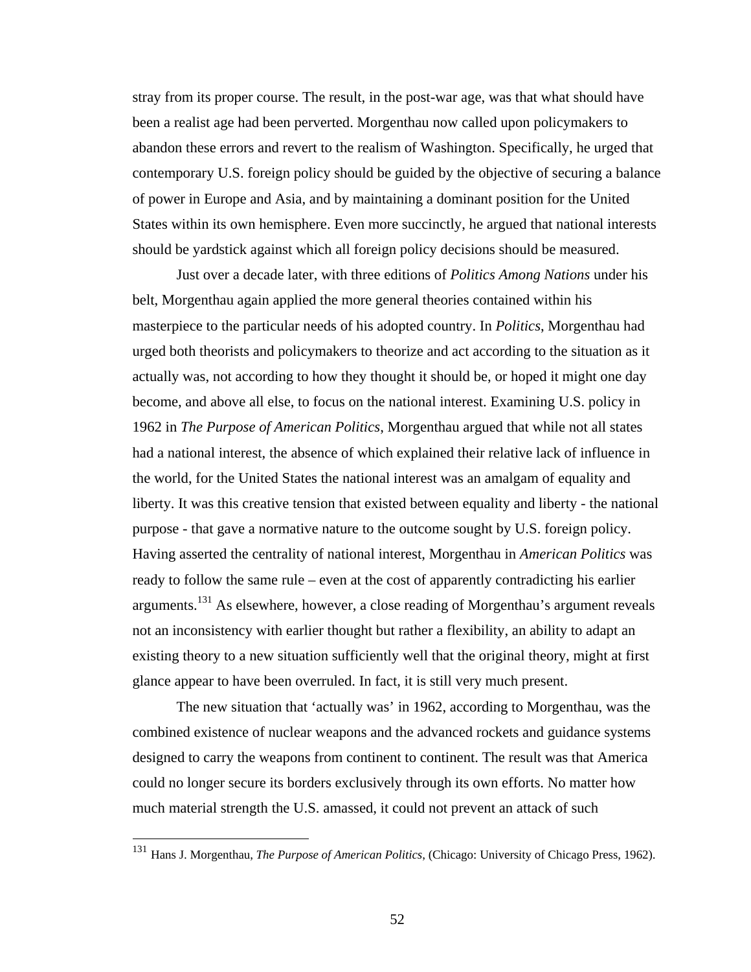stray from its proper course. The result, in the post-war age, was that what should have been a realist age had been perverted. Morgenthau now called upon policymakers to abandon these errors and revert to the realism of Washington. Specifically, he urged that contemporary U.S. foreign policy should be guided by the objective of securing a balance of power in Europe and Asia, and by maintaining a dominant position for the United States within its own hemisphere. Even more succinctly, he argued that national interests should be yardstick against which all foreign policy decisions should be measured.

Just over a decade later, with three editions of *Politics Among Nations* under his belt, Morgenthau again applied the more general theories contained within his masterpiece to the particular needs of his adopted country. In *Politics*, Morgenthau had urged both theorists and policymakers to theorize and act according to the situation as it actually was, not according to how they thought it should be, or hoped it might one day become, and above all else, to focus on the national interest. Examining U.S. policy in 1962 in *The Purpose of American Politics*, Morgenthau argued that while not all states had a national interest, the absence of which explained their relative lack of influence in the world, for the United States the national interest was an amalgam of equality and liberty. It was this creative tension that existed between equality and liberty - the national purpose - that gave a normative nature to the outcome sought by U.S. foreign policy. Having asserted the centrality of national interest, Morgenthau in *American Politics* was ready to follow the same rule – even at the cost of apparently contradicting his earlier arguments.131 As elsewhere, however, a close reading of Morgenthau's argument reveals not an inconsistency with earlier thought but rather a flexibility, an ability to adapt an existing theory to a new situation sufficiently well that the original theory, might at first glance appear to have been overruled. In fact, it is still very much present.

The new situation that 'actually was' in 1962, according to Morgenthau, was the combined existence of nuclear weapons and the advanced rockets and guidance systems designed to carry the weapons from continent to continent. The result was that America could no longer secure its borders exclusively through its own efforts. No matter how much material strength the U.S. amassed, it could not prevent an attack of such

<sup>131</sup> Hans J. Morgenthau, *The Purpose of American Politics*, (Chicago: University of Chicago Press, 1962).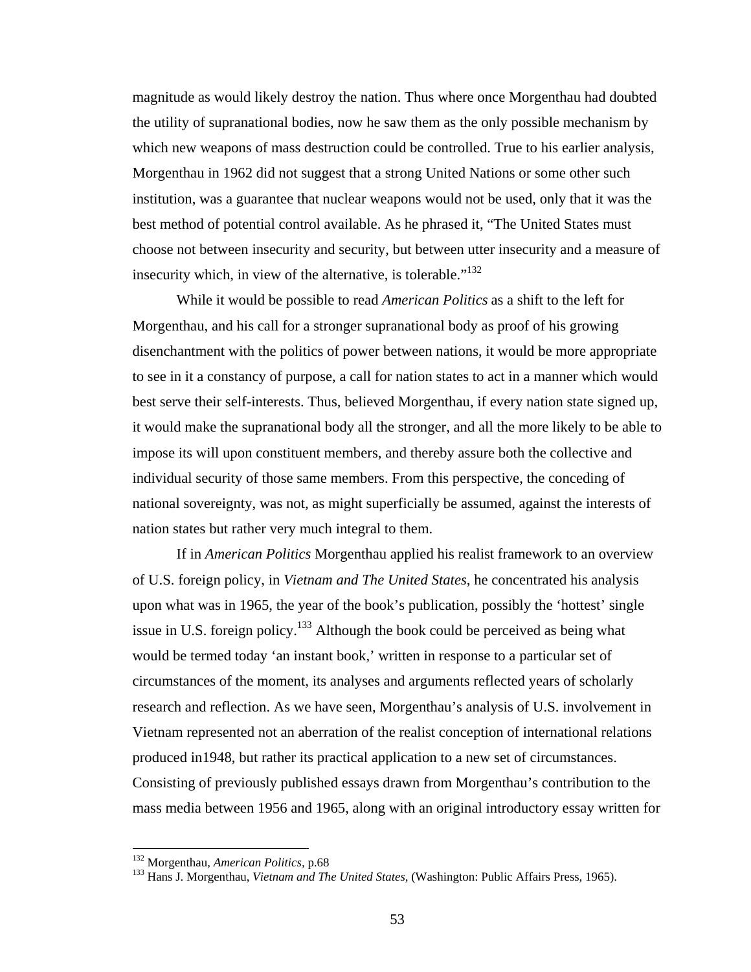magnitude as would likely destroy the nation. Thus where once Morgenthau had doubted the utility of supranational bodies, now he saw them as the only possible mechanism by which new weapons of mass destruction could be controlled. True to his earlier analysis, Morgenthau in 1962 did not suggest that a strong United Nations or some other such institution, was a guarantee that nuclear weapons would not be used, only that it was the best method of potential control available. As he phrased it, "The United States must choose not between insecurity and security, but between utter insecurity and a measure of insecurity which, in view of the alternative, is tolerable."<sup>132</sup>

While it would be possible to read *American Politics* as a shift to the left for Morgenthau, and his call for a stronger supranational body as proof of his growing disenchantment with the politics of power between nations, it would be more appropriate to see in it a constancy of purpose, a call for nation states to act in a manner which would best serve their self-interests. Thus, believed Morgenthau, if every nation state signed up, it would make the supranational body all the stronger, and all the more likely to be able to impose its will upon constituent members, and thereby assure both the collective and individual security of those same members. From this perspective, the conceding of national sovereignty, was not, as might superficially be assumed, against the interests of nation states but rather very much integral to them.

If in *American Politics* Morgenthau applied his realist framework to an overview of U.S. foreign policy, in *Vietnam and The United States*, he concentrated his analysis upon what was in 1965, the year of the book's publication, possibly the 'hottest' single issue in U.S. foreign policy.<sup>133</sup> Although the book could be perceived as being what would be termed today 'an instant book,' written in response to a particular set of circumstances of the moment, its analyses and arguments reflected years of scholarly research and reflection. As we have seen, Morgenthau's analysis of U.S. involvement in Vietnam represented not an aberration of the realist conception of international relations produced in1948, but rather its practical application to a new set of circumstances. Consisting of previously published essays drawn from Morgenthau's contribution to the mass media between 1956 and 1965, along with an original introductory essay written for

<sup>&</sup>lt;sup>132</sup> Morgenthau, American Politics, p.68

<sup>&</sup>lt;sup>133</sup> Hans J. Morgenthau, *Vietnam and The United States*, (Washington: Public Affairs Press, 1965).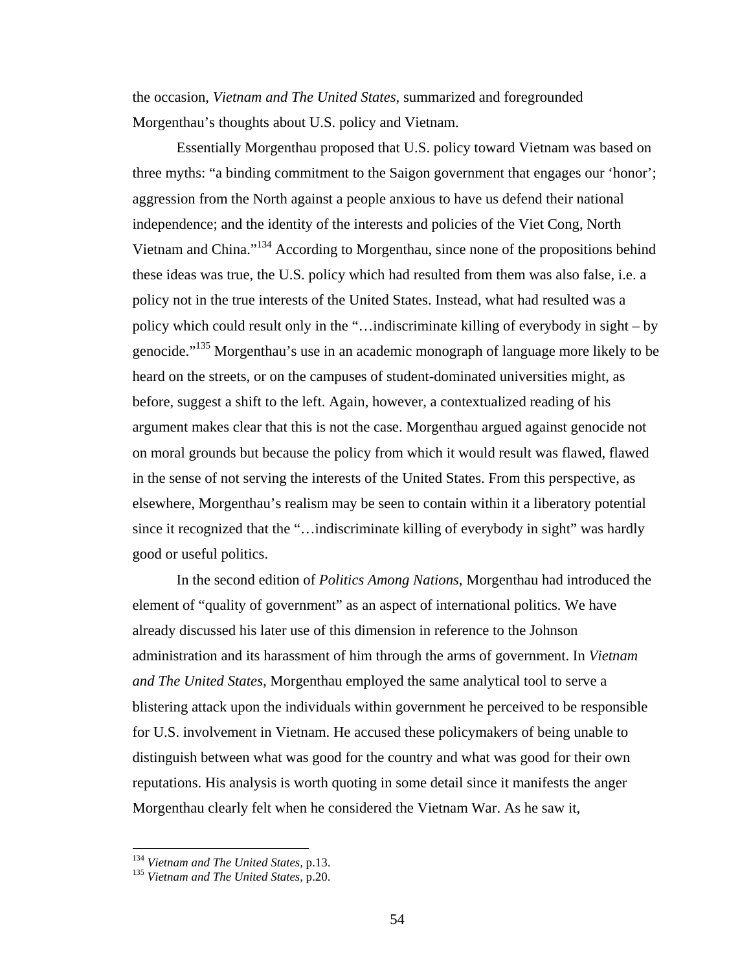the occasion, *Vietnam and The United States*, summarized and foregrounded Morgenthau's thoughts about U.S. policy and Vietnam.

Essentially Morgenthau proposed that U.S. policy toward Vietnam was based on three myths: "a binding commitment to the Saigon government that engages our 'honor'; aggression from the North against a people anxious to have us defend their national independence; and the identity of the interests and policies of the Viet Cong, North Vietnam and China."134 According to Morgenthau, since none of the propositions behind these ideas was true, the U.S. policy which had resulted from them was also false, i.e. a policy not in the true interests of the United States. Instead, what had resulted was a policy which could result only in the "…indiscriminate killing of everybody in sight – by genocide."135 Morgenthau's use in an academic monograph of language more likely to be heard on the streets, or on the campuses of student-dominated universities might, as before, suggest a shift to the left. Again, however, a contextualized reading of his argument makes clear that this is not the case. Morgenthau argued against genocide not on moral grounds but because the policy from which it would result was flawed, flawed in the sense of not serving the interests of the United States. From this perspective, as elsewhere, Morgenthau's realism may be seen to contain within it a liberatory potential since it recognized that the "…indiscriminate killing of everybody in sight" was hardly good or useful politics.

In the second edition of *Politics Among Nations*, Morgenthau had introduced the element of "quality of government" as an aspect of international politics. We have already discussed his later use of this dimension in reference to the Johnson administration and its harassment of him through the arms of government. In *Vietnam and The United States*, Morgenthau employed the same analytical tool to serve a blistering attack upon the individuals within government he perceived to be responsible for U.S. involvement in Vietnam. He accused these policymakers of being unable to distinguish between what was good for the country and what was good for their own reputations. His analysis is worth quoting in some detail since it manifests the anger Morgenthau clearly felt when he considered the Vietnam War. As he saw it,

<sup>&</sup>lt;sup>134</sup> Vietnam and The United States, p.13.

<sup>&</sup>lt;sup>135</sup> Vietnam and The United States, p.20.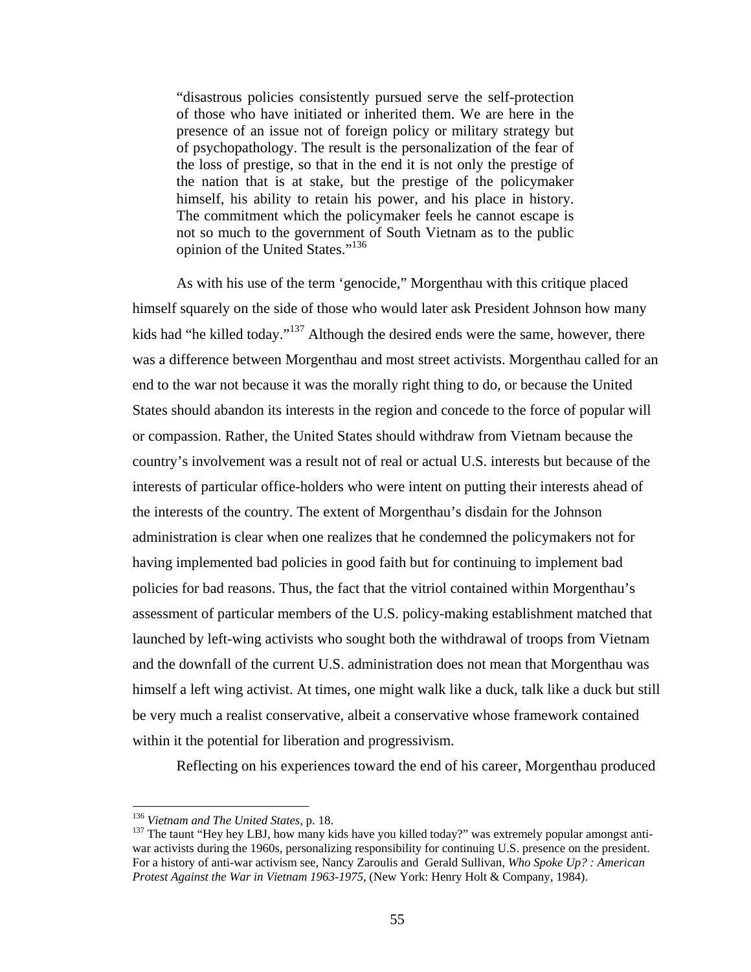"disastrous policies consistently pursued serve the self-protection of those who have initiated or inherited them. We are here in the presence of an issue not of foreign policy or military strategy but of psychopathology. The result is the personalization of the fear of the loss of prestige, so that in the end it is not only the prestige of the nation that is at stake, but the prestige of the policymaker himself, his ability to retain his power, and his place in history. The commitment which the policymaker feels he cannot escape is not so much to the government of South Vietnam as to the public opinion of the United States."136

As with his use of the term 'genocide," Morgenthau with this critique placed himself squarely on the side of those who would later ask President Johnson how many kids had "he killed today."<sup>137</sup> Although the desired ends were the same, however, there was a difference between Morgenthau and most street activists. Morgenthau called for an end to the war not because it was the morally right thing to do, or because the United States should abandon its interests in the region and concede to the force of popular will or compassion. Rather, the United States should withdraw from Vietnam because the country's involvement was a result not of real or actual U.S. interests but because of the interests of particular office-holders who were intent on putting their interests ahead of the interests of the country. The extent of Morgenthau's disdain for the Johnson administration is clear when one realizes that he condemned the policymakers not for having implemented bad policies in good faith but for continuing to implement bad policies for bad reasons. Thus, the fact that the vitriol contained within Morgenthau's assessment of particular members of the U.S. policy-making establishment matched that launched by left-wing activists who sought both the withdrawal of troops from Vietnam and the downfall of the current U.S. administration does not mean that Morgenthau was himself a left wing activist. At times, one might walk like a duck, talk like a duck but still be very much a realist conservative, albeit a conservative whose framework contained within it the potential for liberation and progressivism.

Reflecting on his experiences toward the end of his career, Morgenthau produced

<sup>&</sup>lt;sup>136</sup> Vietnam and The United States, p. 18.

<sup>&</sup>lt;sup>137</sup> The taunt "Hey hey LBJ, how many kids have you killed today?" was extremely popular amongst antiwar activists during the 1960s, personalizing responsibility for continuing U.S. presence on the president. For a history of anti-war activism see, Nancy Zaroulis and Gerald Sullivan, *Who Spoke Up? : American Protest Against the War in Vietnam 1963-1975*, (New York: Henry Holt & Company, 1984).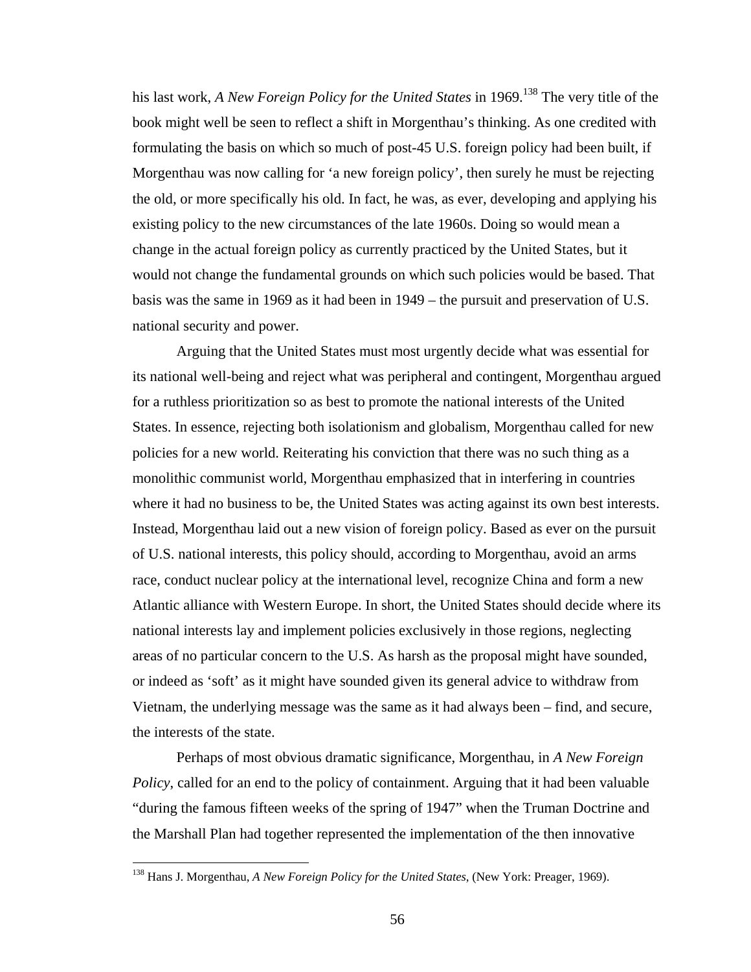his last work, *A New Foreign Policy for the United States* in 1969.<sup>138</sup> The very title of the book might well be seen to reflect a shift in Morgenthau's thinking. As one credited with formulating the basis on which so much of post-45 U.S. foreign policy had been built, if Morgenthau was now calling for 'a new foreign policy', then surely he must be rejecting the old, or more specifically his old. In fact, he was, as ever, developing and applying his existing policy to the new circumstances of the late 1960s. Doing so would mean a change in the actual foreign policy as currently practiced by the United States, but it would not change the fundamental grounds on which such policies would be based. That basis was the same in 1969 as it had been in 1949 – the pursuit and preservation of U.S. national security and power.

Arguing that the United States must most urgently decide what was essential for its national well-being and reject what was peripheral and contingent, Morgenthau argued for a ruthless prioritization so as best to promote the national interests of the United States. In essence, rejecting both isolationism and globalism, Morgenthau called for new policies for a new world. Reiterating his conviction that there was no such thing as a monolithic communist world, Morgenthau emphasized that in interfering in countries where it had no business to be, the United States was acting against its own best interests. Instead, Morgenthau laid out a new vision of foreign policy. Based as ever on the pursuit of U.S. national interests, this policy should, according to Morgenthau, avoid an arms race, conduct nuclear policy at the international level, recognize China and form a new Atlantic alliance with Western Europe. In short, the United States should decide where its national interests lay and implement policies exclusively in those regions, neglecting areas of no particular concern to the U.S. As harsh as the proposal might have sounded, or indeed as 'soft' as it might have sounded given its general advice to withdraw from Vietnam, the underlying message was the same as it had always been – find, and secure, the interests of the state.

Perhaps of most obvious dramatic significance, Morgenthau, in *A New Foreign Policy*, called for an end to the policy of containment. Arguing that it had been valuable "during the famous fifteen weeks of the spring of 1947" when the Truman Doctrine and the Marshall Plan had together represented the implementation of the then innovative

<sup>138</sup> Hans J. Morgenthau, *A New Foreign Policy for the United States*, (New York: Preager, 1969).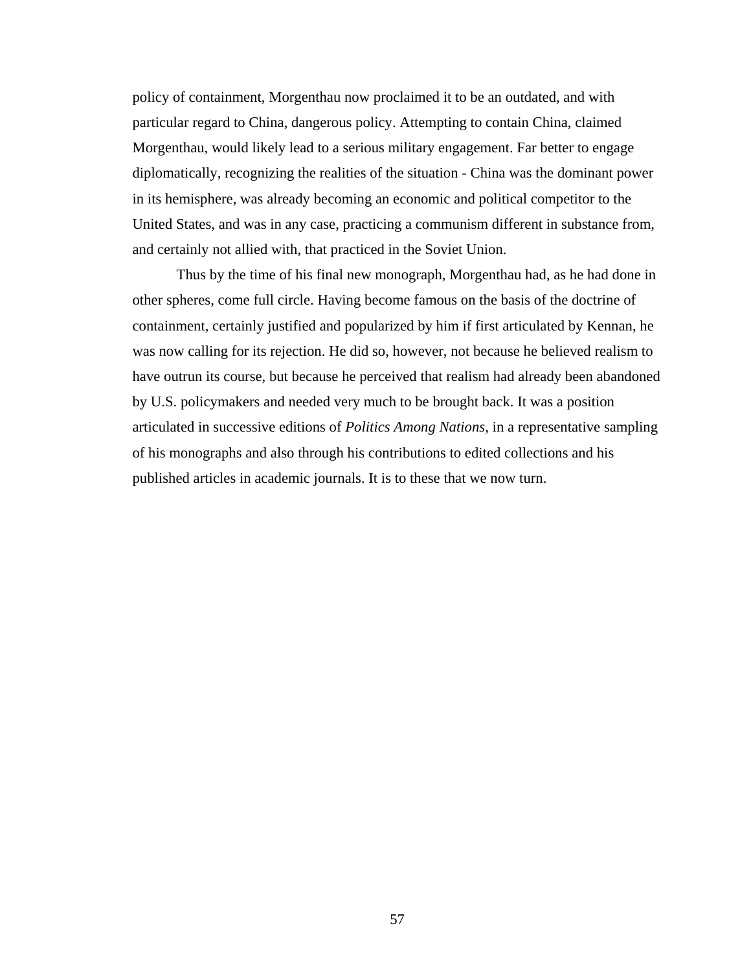policy of containment, Morgenthau now proclaimed it to be an outdated, and with particular regard to China, dangerous policy. Attempting to contain China, claimed Morgenthau, would likely lead to a serious military engagement. Far better to engage diplomatically, recognizing the realities of the situation - China was the dominant power in its hemisphere, was already becoming an economic and political competitor to the United States, and was in any case, practicing a communism different in substance from, and certainly not allied with, that practiced in the Soviet Union.

Thus by the time of his final new monograph, Morgenthau had, as he had done in other spheres, come full circle. Having become famous on the basis of the doctrine of containment, certainly justified and popularized by him if first articulated by Kennan, he was now calling for its rejection. He did so, however, not because he believed realism to have outrun its course, but because he perceived that realism had already been abandoned by U.S. policymakers and needed very much to be brought back. It was a position articulated in successive editions of *Politics Among Nations*, in a representative sampling of his monographs and also through his contributions to edited collections and his published articles in academic journals. It is to these that we now turn.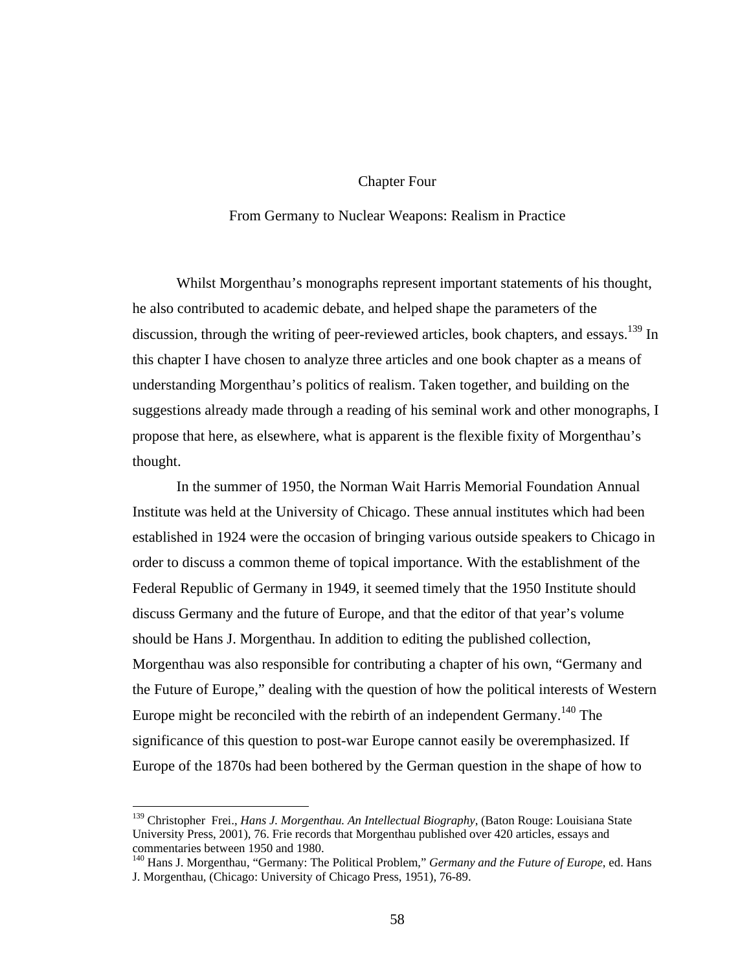# Chapter Four

### From Germany to Nuclear Weapons: Realism in Practice

Whilst Morgenthau's monographs represent important statements of his thought, he also contributed to academic debate, and helped shape the parameters of the discussion, through the writing of peer-reviewed articles, book chapters, and essays.<sup>139</sup> In this chapter I have chosen to analyze three articles and one book chapter as a means of understanding Morgenthau's politics of realism. Taken together, and building on the suggestions already made through a reading of his seminal work and other monographs, I propose that here, as elsewhere, what is apparent is the flexible fixity of Morgenthau's thought.

In the summer of 1950, the Norman Wait Harris Memorial Foundation Annual Institute was held at the University of Chicago. These annual institutes which had been established in 1924 were the occasion of bringing various outside speakers to Chicago in order to discuss a common theme of topical importance. With the establishment of the Federal Republic of Germany in 1949, it seemed timely that the 1950 Institute should discuss Germany and the future of Europe, and that the editor of that year's volume should be Hans J. Morgenthau. In addition to editing the published collection, Morgenthau was also responsible for contributing a chapter of his own, "Germany and the Future of Europe," dealing with the question of how the political interests of Western Europe might be reconciled with the rebirth of an independent Germany.<sup>140</sup> The significance of this question to post-war Europe cannot easily be overemphasized. If Europe of the 1870s had been bothered by the German question in the shape of how to

<sup>139</sup> Christopher Frei., *Hans J. Morgenthau. An Intellectual Biography*, (Baton Rouge: Louisiana State University Press, 2001), 76. Frie records that Morgenthau published over 420 articles, essays and commentaries between 1950 and 1980.

<sup>140</sup> Hans J. Morgenthau, "Germany: The Political Problem," *Germany and the Future of Europe*, ed. Hans J. Morgenthau, (Chicago: University of Chicago Press, 1951), 76-89.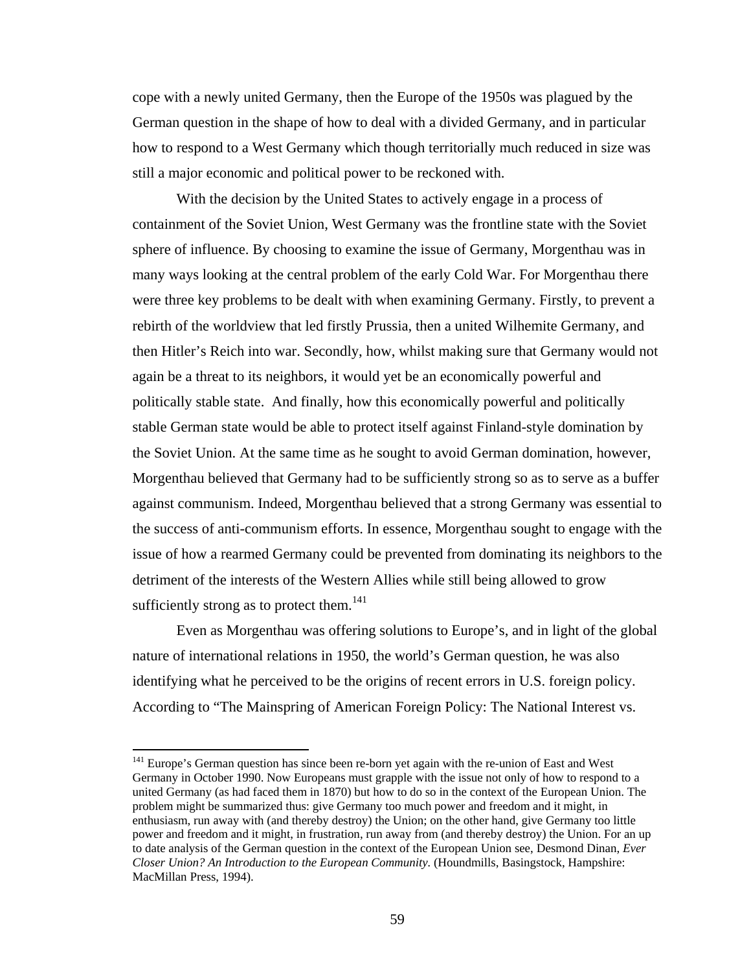cope with a newly united Germany, then the Europe of the 1950s was plagued by the German question in the shape of how to deal with a divided Germany, and in particular how to respond to a West Germany which though territorially much reduced in size was still a major economic and political power to be reckoned with.

With the decision by the United States to actively engage in a process of containment of the Soviet Union, West Germany was the frontline state with the Soviet sphere of influence. By choosing to examine the issue of Germany, Morgenthau was in many ways looking at the central problem of the early Cold War. For Morgenthau there were three key problems to be dealt with when examining Germany. Firstly, to prevent a rebirth of the worldview that led firstly Prussia, then a united Wilhemite Germany, and then Hitler's Reich into war. Secondly, how, whilst making sure that Germany would not again be a threat to its neighbors, it would yet be an economically powerful and politically stable state. And finally, how this economically powerful and politically stable German state would be able to protect itself against Finland-style domination by the Soviet Union. At the same time as he sought to avoid German domination, however, Morgenthau believed that Germany had to be sufficiently strong so as to serve as a buffer against communism. Indeed, Morgenthau believed that a strong Germany was essential to the success of anti-communism efforts. In essence, Morgenthau sought to engage with the issue of how a rearmed Germany could be prevented from dominating its neighbors to the detriment of the interests of the Western Allies while still being allowed to grow sufficiently strong as to protect them.<sup>141</sup>

Even as Morgenthau was offering solutions to Europe's, and in light of the global nature of international relations in 1950, the world's German question, he was also identifying what he perceived to be the origins of recent errors in U.S. foreign policy. According to "The Mainspring of American Foreign Policy: The National Interest vs.

<sup>&</sup>lt;sup>141</sup> Europe's German question has since been re-born yet again with the re-union of East and West Germany in October 1990. Now Europeans must grapple with the issue not only of how to respond to a united Germany (as had faced them in 1870) but how to do so in the context of the European Union. The problem might be summarized thus: give Germany too much power and freedom and it might, in enthusiasm, run away with (and thereby destroy) the Union; on the other hand, give Germany too little power and freedom and it might, in frustration, run away from (and thereby destroy) the Union. For an up to date analysis of the German question in the context of the European Union see, Desmond Dinan, *Ever Closer Union? An Introduction to the European Community.* (Houndmills, Basingstock, Hampshire: MacMillan Press, 1994).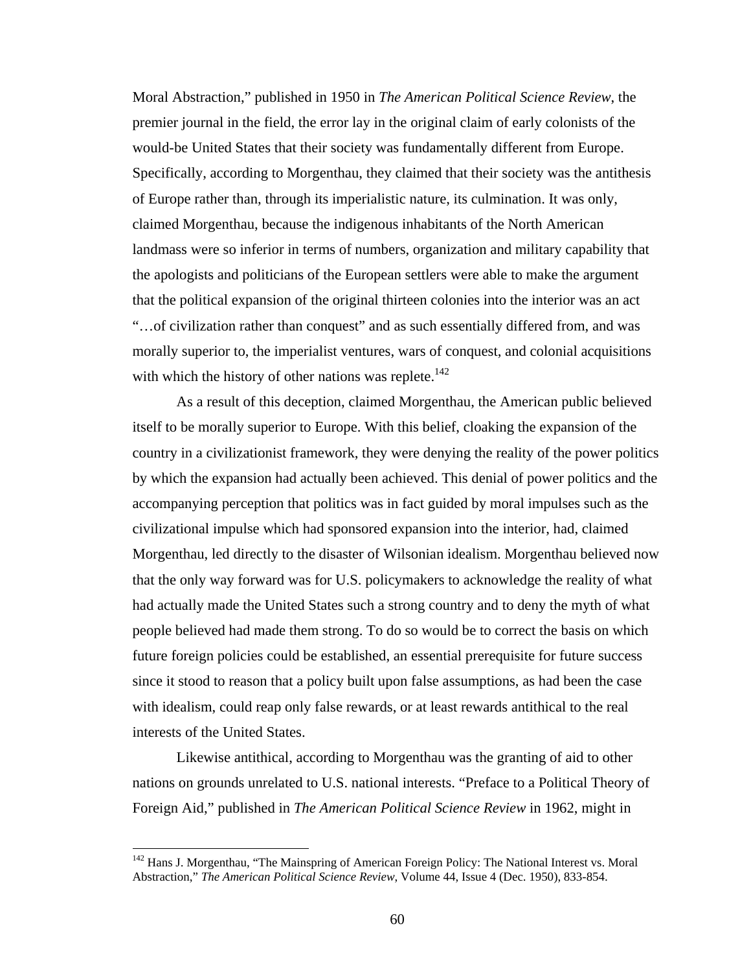Moral Abstraction," published in 1950 in *The American Political Science Review*, the premier journal in the field, the error lay in the original claim of early colonists of the would-be United States that their society was fundamentally different from Europe. Specifically, according to Morgenthau, they claimed that their society was the antithesis of Europe rather than, through its imperialistic nature, its culmination. It was only, claimed Morgenthau, because the indigenous inhabitants of the North American landmass were so inferior in terms of numbers, organization and military capability that the apologists and politicians of the European settlers were able to make the argument that the political expansion of the original thirteen colonies into the interior was an act "…of civilization rather than conquest" and as such essentially differed from, and was morally superior to, the imperialist ventures, wars of conquest, and colonial acquisitions with which the history of other nations was replete. $142$ 

As a result of this deception, claimed Morgenthau, the American public believed itself to be morally superior to Europe. With this belief, cloaking the expansion of the country in a civilizationist framework, they were denying the reality of the power politics by which the expansion had actually been achieved. This denial of power politics and the accompanying perception that politics was in fact guided by moral impulses such as the civilizational impulse which had sponsored expansion into the interior, had, claimed Morgenthau, led directly to the disaster of Wilsonian idealism. Morgenthau believed now that the only way forward was for U.S. policymakers to acknowledge the reality of what had actually made the United States such a strong country and to deny the myth of what people believed had made them strong. To do so would be to correct the basis on which future foreign policies could be established, an essential prerequisite for future success since it stood to reason that a policy built upon false assumptions, as had been the case with idealism, could reap only false rewards, or at least rewards antithical to the real interests of the United States.

Likewise antithical, according to Morgenthau was the granting of aid to other nations on grounds unrelated to U.S. national interests. "Preface to a Political Theory of Foreign Aid," published in *The American Political Science Review* in 1962, might in

1

<sup>&</sup>lt;sup>142</sup> Hans J. Morgenthau, "The Mainspring of American Foreign Policy: The National Interest vs. Moral Abstraction," *The American Political Science Review*, Volume 44, Issue 4 (Dec. 1950), 833-854.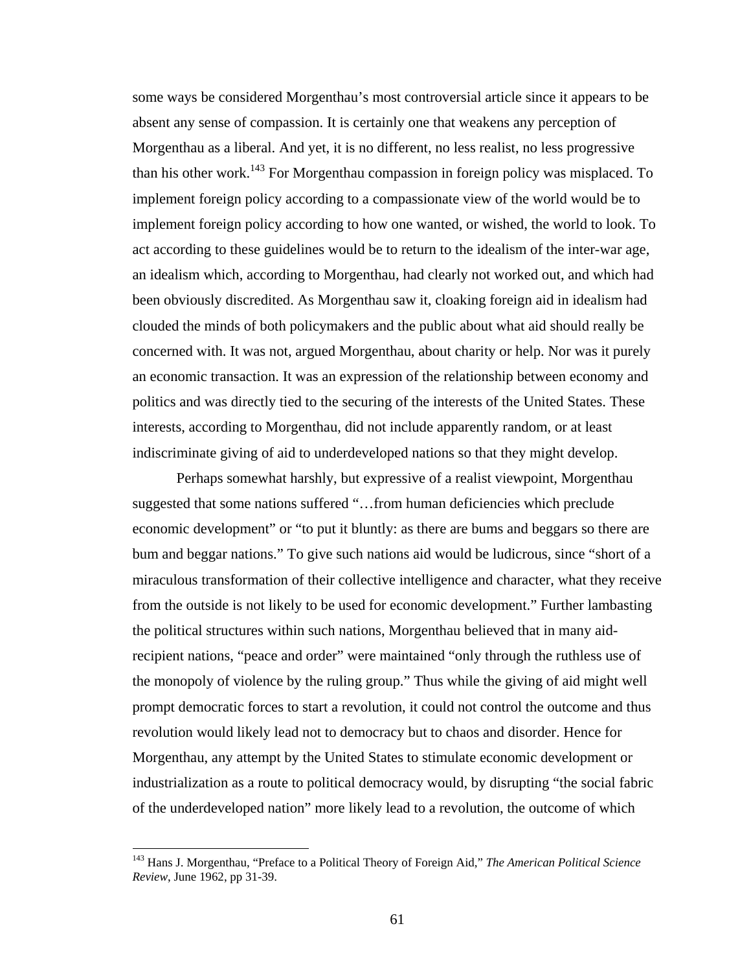some ways be considered Morgenthau's most controversial article since it appears to be absent any sense of compassion. It is certainly one that weakens any perception of Morgenthau as a liberal. And yet, it is no different, no less realist, no less progressive than his other work.<sup>143</sup> For Morgenthau compassion in foreign policy was misplaced. To implement foreign policy according to a compassionate view of the world would be to implement foreign policy according to how one wanted, or wished, the world to look. To act according to these guidelines would be to return to the idealism of the inter-war age, an idealism which, according to Morgenthau, had clearly not worked out, and which had been obviously discredited. As Morgenthau saw it, cloaking foreign aid in idealism had clouded the minds of both policymakers and the public about what aid should really be concerned with. It was not, argued Morgenthau, about charity or help. Nor was it purely an economic transaction. It was an expression of the relationship between economy and politics and was directly tied to the securing of the interests of the United States. These interests, according to Morgenthau, did not include apparently random, or at least indiscriminate giving of aid to underdeveloped nations so that they might develop.

Perhaps somewhat harshly, but expressive of a realist viewpoint, Morgenthau suggested that some nations suffered "…from human deficiencies which preclude economic development" or "to put it bluntly: as there are bums and beggars so there are bum and beggar nations." To give such nations aid would be ludicrous, since "short of a miraculous transformation of their collective intelligence and character, what they receive from the outside is not likely to be used for economic development." Further lambasting the political structures within such nations, Morgenthau believed that in many aidrecipient nations, "peace and order" were maintained "only through the ruthless use of the monopoly of violence by the ruling group." Thus while the giving of aid might well prompt democratic forces to start a revolution, it could not control the outcome and thus revolution would likely lead not to democracy but to chaos and disorder. Hence for Morgenthau, any attempt by the United States to stimulate economic development or industrialization as a route to political democracy would, by disrupting "the social fabric of the underdeveloped nation" more likely lead to a revolution, the outcome of which

<sup>143</sup> Hans J. Morgenthau, "Preface to a Political Theory of Foreign Aid," *The American Political Science Review*, June 1962, pp 31-39.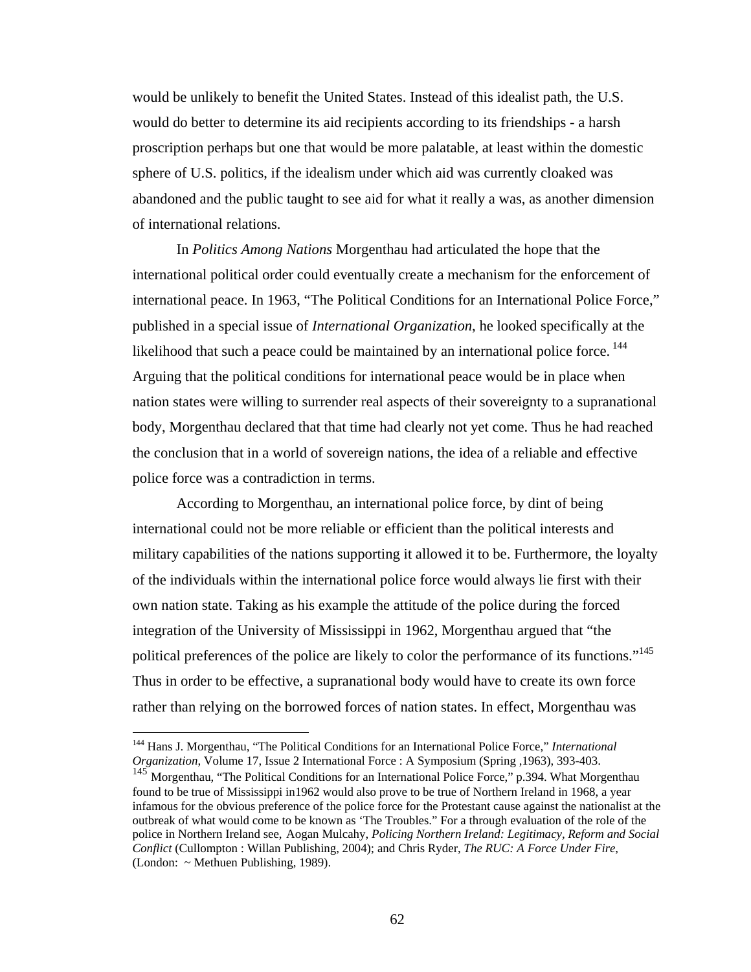would be unlikely to benefit the United States. Instead of this idealist path, the U.S. would do better to determine its aid recipients according to its friendships - a harsh proscription perhaps but one that would be more palatable, at least within the domestic sphere of U.S. politics, if the idealism under which aid was currently cloaked was abandoned and the public taught to see aid for what it really a was, as another dimension of international relations.

In *Politics Among Nations* Morgenthau had articulated the hope that the international political order could eventually create a mechanism for the enforcement of international peace. In 1963, "The Political Conditions for an International Police Force," published in a special issue of *International Organization*, he looked specifically at the likelihood that such a peace could be maintained by an international police force.<sup>144</sup> Arguing that the political conditions for international peace would be in place when nation states were willing to surrender real aspects of their sovereignty to a supranational body, Morgenthau declared that that time had clearly not yet come. Thus he had reached the conclusion that in a world of sovereign nations, the idea of a reliable and effective police force was a contradiction in terms.

According to Morgenthau, an international police force, by dint of being international could not be more reliable or efficient than the political interests and military capabilities of the nations supporting it allowed it to be. Furthermore, the loyalty of the individuals within the international police force would always lie first with their own nation state. Taking as his example the attitude of the police during the forced integration of the University of Mississippi in 1962, Morgenthau argued that "the political preferences of the police are likely to color the performance of its functions."<sup>145</sup> Thus in order to be effective, a supranational body would have to create its own force rather than relying on the borrowed forces of nation states. In effect, Morgenthau was

<u>.</u>

<sup>144</sup> Hans J. Morgenthau, "The Political Conditions for an International Police Force," *International Organization*, Volume 17, Issue 2 International Force : A Symposium (Spring ,1963), 393-403.

<sup>&</sup>lt;sup>145</sup> Morgenthau, "The Political Conditions for an International Police Force," p.394. What Morgenthau found to be true of Mississippi in1962 would also prove to be true of Northern Ireland in 1968, a year infamous for the obvious preference of the police force for the Protestant cause against the nationalist at the outbreak of what would come to be known as 'The Troubles." For a through evaluation of the role of the police in Northern Ireland see, Aogan Mulcahy, *Policing Northern Ireland: Legitimacy, Reform and Social Conflict* (Cullompton : Willan Publishing, 2004); and Chris Ryder, *The RUC: A Force Under Fire*, (London: ~ Methuen Publishing, 1989).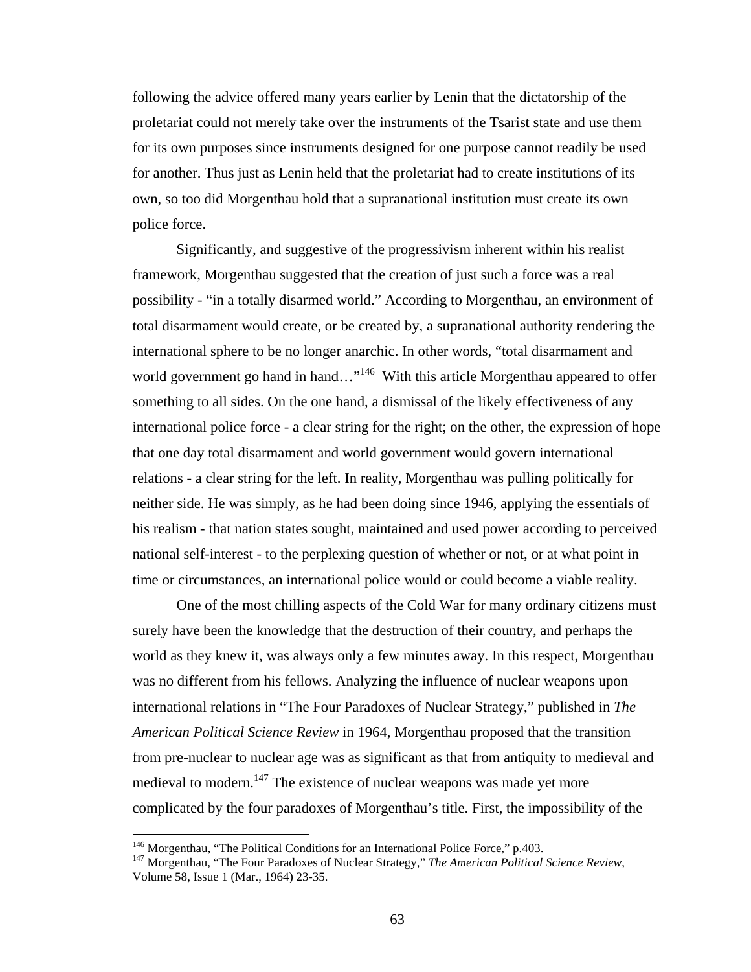following the advice offered many years earlier by Lenin that the dictatorship of the proletariat could not merely take over the instruments of the Tsarist state and use them for its own purposes since instruments designed for one purpose cannot readily be used for another. Thus just as Lenin held that the proletariat had to create institutions of its own, so too did Morgenthau hold that a supranational institution must create its own police force.

Significantly, and suggestive of the progressivism inherent within his realist framework, Morgenthau suggested that the creation of just such a force was a real possibility - "in a totally disarmed world." According to Morgenthau, an environment of total disarmament would create, or be created by, a supranational authority rendering the international sphere to be no longer anarchic. In other words, "total disarmament and world government go hand in hand…"<sup>146</sup> With this article Morgenthau appeared to offer something to all sides. On the one hand, a dismissal of the likely effectiveness of any international police force - a clear string for the right; on the other, the expression of hope that one day total disarmament and world government would govern international relations - a clear string for the left. In reality, Morgenthau was pulling politically for neither side. He was simply, as he had been doing since 1946, applying the essentials of his realism - that nation states sought, maintained and used power according to perceived national self-interest - to the perplexing question of whether or not, or at what point in time or circumstances, an international police would or could become a viable reality.

One of the most chilling aspects of the Cold War for many ordinary citizens must surely have been the knowledge that the destruction of their country, and perhaps the world as they knew it, was always only a few minutes away. In this respect, Morgenthau was no different from his fellows. Analyzing the influence of nuclear weapons upon international relations in "The Four Paradoxes of Nuclear Strategy," published in *The American Political Science Review* in 1964, Morgenthau proposed that the transition from pre-nuclear to nuclear age was as significant as that from antiquity to medieval and medieval to modern.<sup>147</sup> The existence of nuclear weapons was made yet more complicated by the four paradoxes of Morgenthau's title. First, the impossibility of the

<sup>&</sup>lt;sup>146</sup> Morgenthau, "The Political Conditions for an International Police Force," p.403.<br><sup>147</sup> Morgenthau, "The Four Paradoxes of Nuclear Strategy," *The American Political Science Review*, Volume 58, Issue 1 (Mar., 1964) 23-35.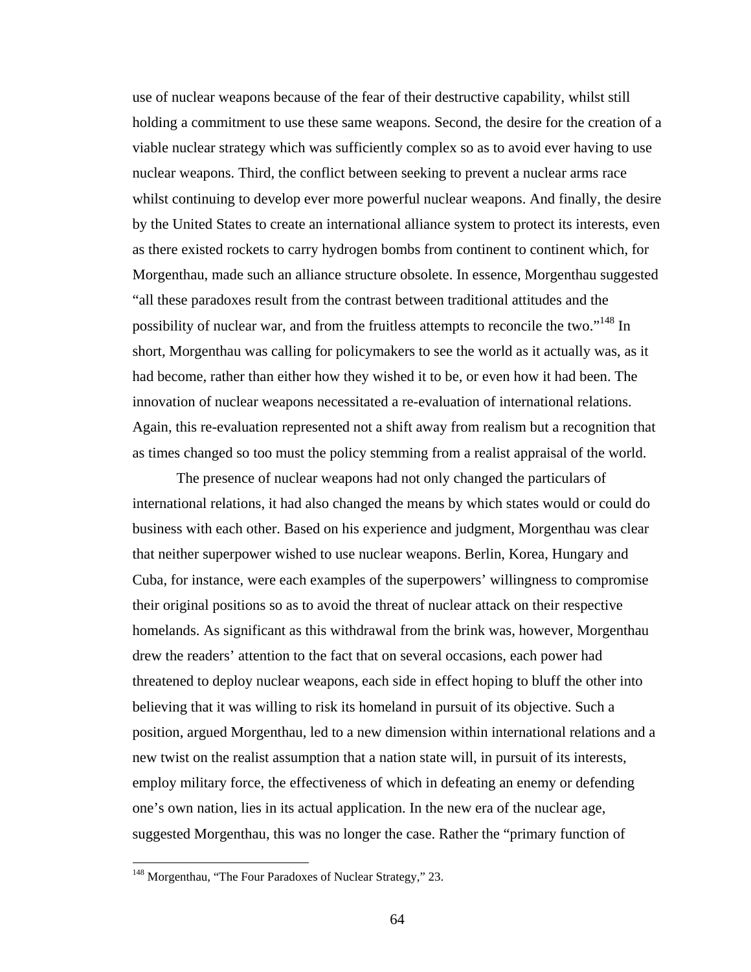use of nuclear weapons because of the fear of their destructive capability, whilst still holding a commitment to use these same weapons. Second, the desire for the creation of a viable nuclear strategy which was sufficiently complex so as to avoid ever having to use nuclear weapons. Third, the conflict between seeking to prevent a nuclear arms race whilst continuing to develop ever more powerful nuclear weapons. And finally, the desire by the United States to create an international alliance system to protect its interests, even as there existed rockets to carry hydrogen bombs from continent to continent which, for Morgenthau, made such an alliance structure obsolete. In essence, Morgenthau suggested "all these paradoxes result from the contrast between traditional attitudes and the possibility of nuclear war, and from the fruitless attempts to reconcile the two."148 In short, Morgenthau was calling for policymakers to see the world as it actually was, as it had become, rather than either how they wished it to be, or even how it had been. The innovation of nuclear weapons necessitated a re-evaluation of international relations. Again, this re-evaluation represented not a shift away from realism but a recognition that as times changed so too must the policy stemming from a realist appraisal of the world.

The presence of nuclear weapons had not only changed the particulars of international relations, it had also changed the means by which states would or could do business with each other. Based on his experience and judgment, Morgenthau was clear that neither superpower wished to use nuclear weapons. Berlin, Korea, Hungary and Cuba, for instance, were each examples of the superpowers' willingness to compromise their original positions so as to avoid the threat of nuclear attack on their respective homelands. As significant as this withdrawal from the brink was, however, Morgenthau drew the readers' attention to the fact that on several occasions, each power had threatened to deploy nuclear weapons, each side in effect hoping to bluff the other into believing that it was willing to risk its homeland in pursuit of its objective. Such a position, argued Morgenthau, led to a new dimension within international relations and a new twist on the realist assumption that a nation state will, in pursuit of its interests, employ military force, the effectiveness of which in defeating an enemy or defending one's own nation, lies in its actual application. In the new era of the nuclear age, suggested Morgenthau, this was no longer the case. Rather the "primary function of

<u>.</u>

<sup>&</sup>lt;sup>148</sup> Morgenthau, "The Four Paradoxes of Nuclear Strategy," 23.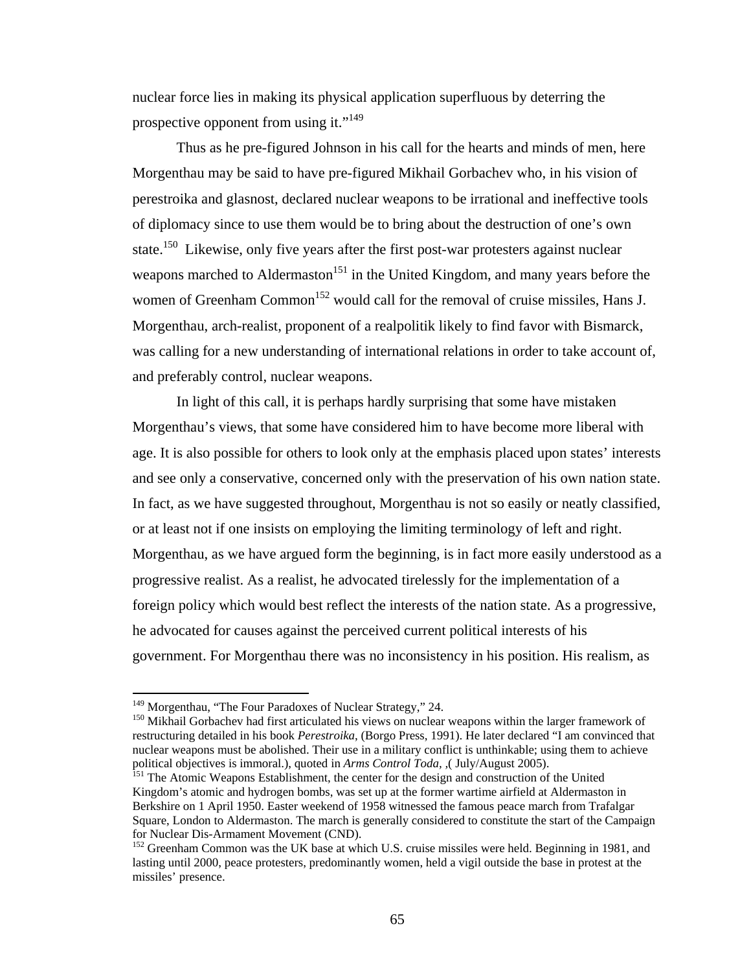nuclear force lies in making its physical application superfluous by deterring the prospective opponent from using it."<sup>149</sup>

Thus as he pre-figured Johnson in his call for the hearts and minds of men, here Morgenthau may be said to have pre-figured Mikhail Gorbachev who, in his vision of perestroika and glasnost, declared nuclear weapons to be irrational and ineffective tools of diplomacy since to use them would be to bring about the destruction of one's own state.<sup>150</sup> Likewise, only five years after the first post-war protesters against nuclear weapons marched to Aldermaston<sup>151</sup> in the United Kingdom, and many years before the women of Greenham Common<sup>152</sup> would call for the removal of cruise missiles, Hans J. Morgenthau, arch-realist, proponent of a realpolitik likely to find favor with Bismarck, was calling for a new understanding of international relations in order to take account of, and preferably control, nuclear weapons.

In light of this call, it is perhaps hardly surprising that some have mistaken Morgenthau's views, that some have considered him to have become more liberal with age. It is also possible for others to look only at the emphasis placed upon states' interests and see only a conservative, concerned only with the preservation of his own nation state. In fact, as we have suggested throughout, Morgenthau is not so easily or neatly classified, or at least not if one insists on employing the limiting terminology of left and right. Morgenthau, as we have argued form the beginning, is in fact more easily understood as a progressive realist. As a realist, he advocated tirelessly for the implementation of a foreign policy which would best reflect the interests of the nation state. As a progressive, he advocated for causes against the perceived current political interests of his government. For Morgenthau there was no inconsistency in his position. His realism, as

<sup>&</sup>lt;sup>149</sup> Morgenthau, "The Four Paradoxes of Nuclear Strategy," 24.<br><sup>150</sup> Mikhail Gorbachev had first articulated his views on nuclear weapons within the larger framework of restructuring detailed in his book *Perestroika*, (Borgo Press, 1991). He later declared "I am convinced that nuclear weapons must be abolished. Their use in a military conflict is unthinkable; using them to achieve political objectives is immoral.), quoted in *Arms Control Toda*, , (July/August 2005).

<sup>&</sup>lt;sup>151</sup> The Atomic Weapons Establishment, the center for the design and construction of the United Kingdom's atomic and hydrogen bombs, was set up at the former wartime airfield at Aldermaston in Berkshire on 1 April 1950. Easter weekend of 1958 witnessed the famous peace march from Trafalgar Square, London to Aldermaston. The march is generally considered to constitute the start of the Campaign for Nuclear Dis-Armament Movement (CND).

<sup>&</sup>lt;sup>152</sup> Greenham Common was the UK base at which U.S. cruise missiles were held. Beginning in 1981, and lasting until 2000, peace protesters, predominantly women, held a vigil outside the base in protest at the missiles' presence.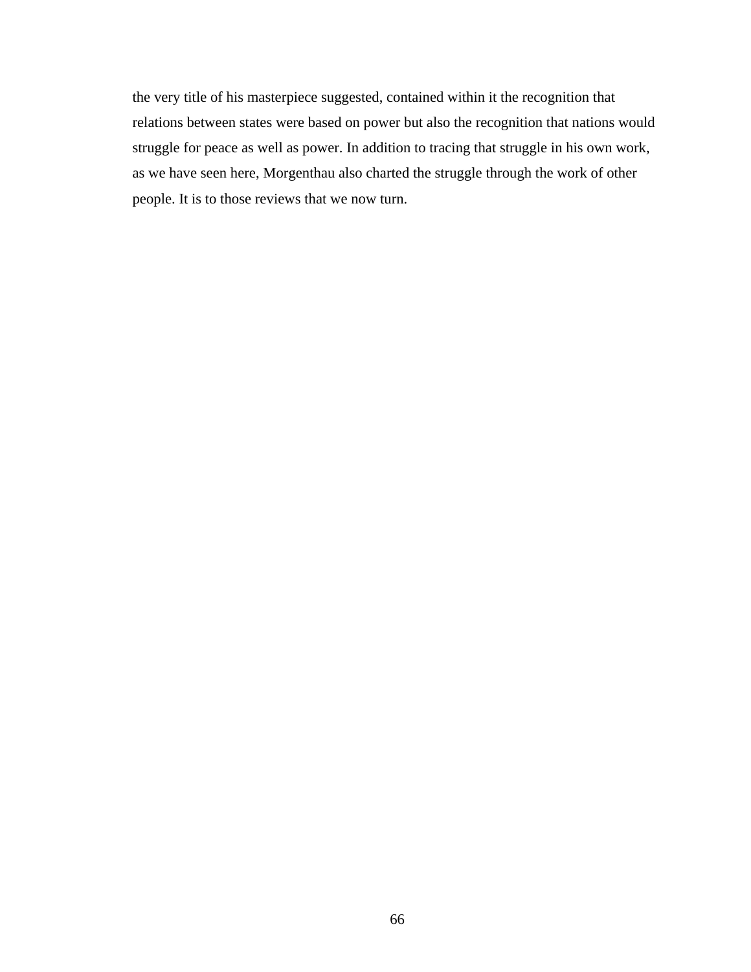the very title of his masterpiece suggested, contained within it the recognition that relations between states were based on power but also the recognition that nations would struggle for peace as well as power. In addition to tracing that struggle in his own work, as we have seen here, Morgenthau also charted the struggle through the work of other people. It is to those reviews that we now turn.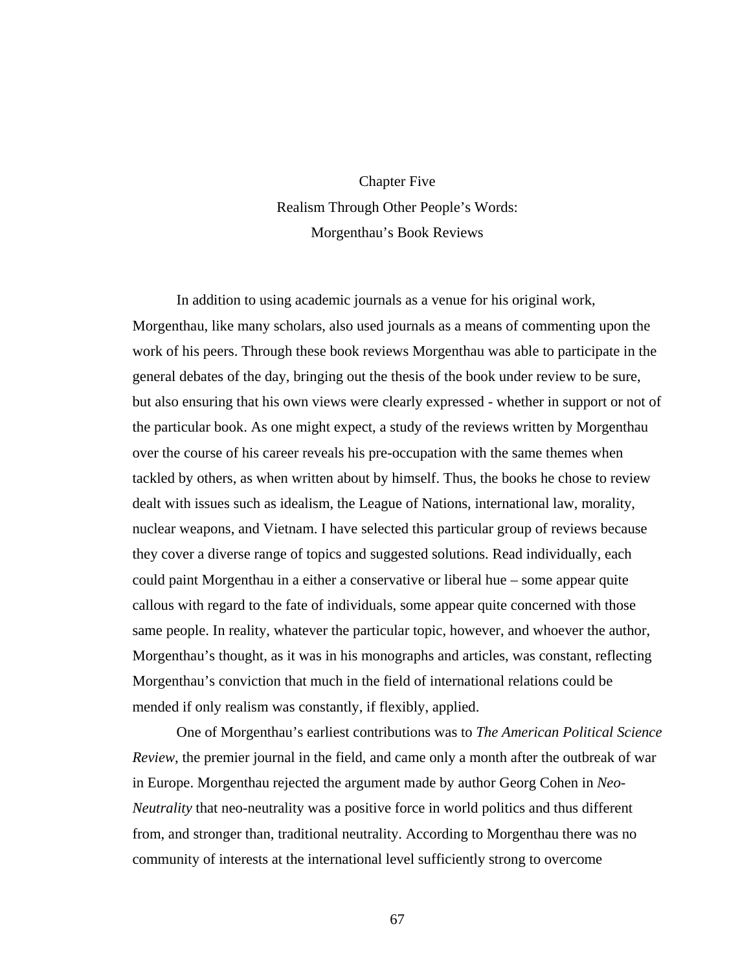Chapter Five Realism Through Other People's Words: Morgenthau's Book Reviews

In addition to using academic journals as a venue for his original work, Morgenthau, like many scholars, also used journals as a means of commenting upon the work of his peers. Through these book reviews Morgenthau was able to participate in the general debates of the day, bringing out the thesis of the book under review to be sure, but also ensuring that his own views were clearly expressed - whether in support or not of the particular book. As one might expect, a study of the reviews written by Morgenthau over the course of his career reveals his pre-occupation with the same themes when tackled by others, as when written about by himself. Thus, the books he chose to review dealt with issues such as idealism, the League of Nations, international law, morality, nuclear weapons, and Vietnam. I have selected this particular group of reviews because they cover a diverse range of topics and suggested solutions. Read individually, each could paint Morgenthau in a either a conservative or liberal hue – some appear quite callous with regard to the fate of individuals, some appear quite concerned with those same people. In reality, whatever the particular topic, however, and whoever the author, Morgenthau's thought, as it was in his monographs and articles, was constant, reflecting Morgenthau's conviction that much in the field of international relations could be mended if only realism was constantly, if flexibly, applied.

One of Morgenthau's earliest contributions was to *The American Political Science Review*, the premier journal in the field, and came only a month after the outbreak of war in Europe. Morgenthau rejected the argument made by author Georg Cohen in *Neo-Neutrality* that neo-neutrality was a positive force in world politics and thus different from, and stronger than, traditional neutrality. According to Morgenthau there was no community of interests at the international level sufficiently strong to overcome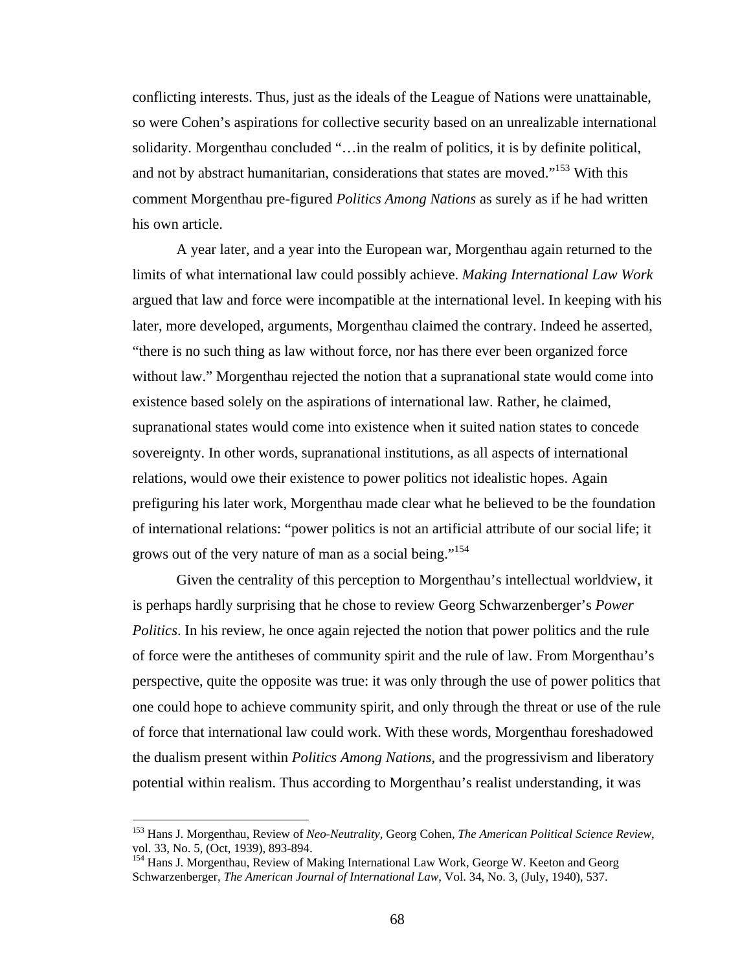conflicting interests. Thus, just as the ideals of the League of Nations were unattainable, so were Cohen's aspirations for collective security based on an unrealizable international solidarity. Morgenthau concluded "...in the realm of politics, it is by definite political, and not by abstract humanitarian, considerations that states are moved."<sup>153</sup> With this comment Morgenthau pre-figured *Politics Among Nations* as surely as if he had written his own article.

 A year later, and a year into the European war, Morgenthau again returned to the limits of what international law could possibly achieve. *Making International Law Work* argued that law and force were incompatible at the international level. In keeping with his later, more developed, arguments, Morgenthau claimed the contrary. Indeed he asserted, "there is no such thing as law without force, nor has there ever been organized force without law." Morgenthau rejected the notion that a supranational state would come into existence based solely on the aspirations of international law. Rather, he claimed, supranational states would come into existence when it suited nation states to concede sovereignty. In other words, supranational institutions, as all aspects of international relations, would owe their existence to power politics not idealistic hopes. Again prefiguring his later work, Morgenthau made clear what he believed to be the foundation of international relations: "power politics is not an artificial attribute of our social life; it grows out of the very nature of man as a social being."<sup>154</sup>

 Given the centrality of this perception to Morgenthau's intellectual worldview, it is perhaps hardly surprising that he chose to review Georg Schwarzenberger's *Power Politics*. In his review, he once again rejected the notion that power politics and the rule of force were the antitheses of community spirit and the rule of law. From Morgenthau's perspective, quite the opposite was true: it was only through the use of power politics that one could hope to achieve community spirit, and only through the threat or use of the rule of force that international law could work. With these words, Morgenthau foreshadowed the dualism present within *Politics Among Nations*, and the progressivism and liberatory potential within realism. Thus according to Morgenthau's realist understanding, it was

 $\overline{a}$ 

<sup>153</sup> Hans J. Morgenthau, Review of *Neo-Neutrality*, Georg Cohen, *The American Political Science Review*, vol. 33, No. 5, (Oct, 1939), 893-894.

<sup>&</sup>lt;sup>154</sup> Hans J. Morgenthau, Review of Making International Law Work, George W. Keeton and Georg Schwarzenberger, *The American Journal of International Law*, Vol. 34, No. 3, (July, 1940), 537.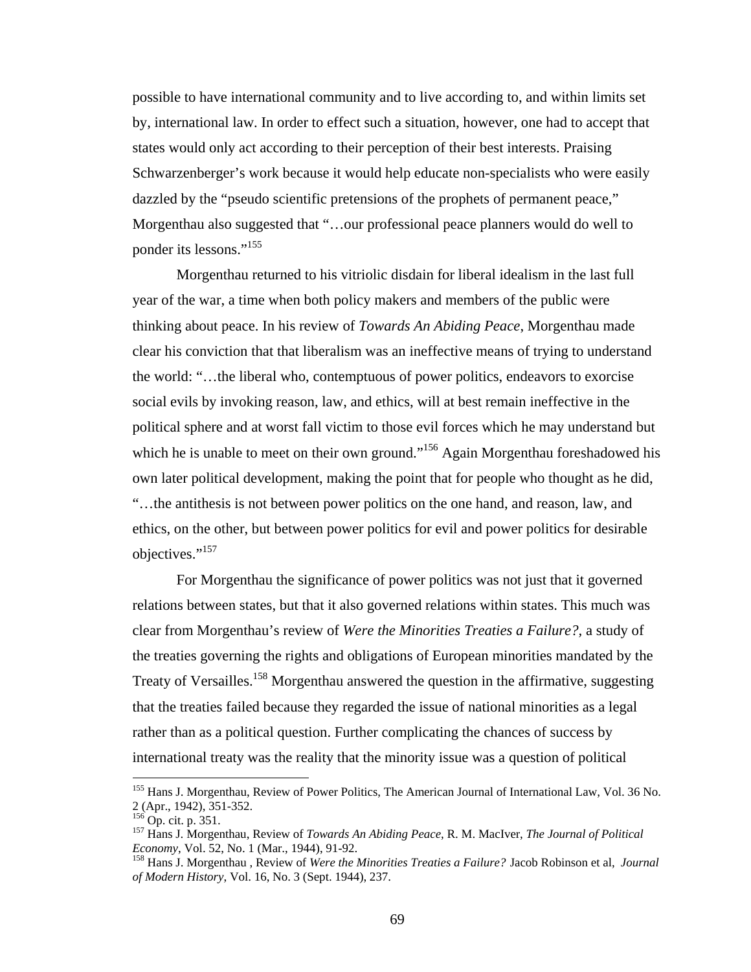possible to have international community and to live according to, and within limits set by, international law. In order to effect such a situation, however, one had to accept that states would only act according to their perception of their best interests. Praising Schwarzenberger's work because it would help educate non-specialists who were easily dazzled by the "pseudo scientific pretensions of the prophets of permanent peace," Morgenthau also suggested that "…our professional peace planners would do well to ponder its lessons."<sup>155</sup>

Morgenthau returned to his vitriolic disdain for liberal idealism in the last full year of the war, a time when both policy makers and members of the public were thinking about peace. In his review of *Towards An Abiding Peace*, Morgenthau made clear his conviction that that liberalism was an ineffective means of trying to understand the world: "…the liberal who, contemptuous of power politics, endeavors to exorcise social evils by invoking reason, law, and ethics, will at best remain ineffective in the political sphere and at worst fall victim to those evil forces which he may understand but which he is unable to meet on their own ground."<sup>156</sup> Again Morgenthau foreshadowed his own later political development, making the point that for people who thought as he did, "…the antithesis is not between power politics on the one hand, and reason, law, and ethics, on the other, but between power politics for evil and power politics for desirable objectives."157

 For Morgenthau the significance of power politics was not just that it governed relations between states, but that it also governed relations within states. This much was clear from Morgenthau's review of *Were the Minorities Treaties a Failure?,* a study of the treaties governing the rights and obligations of European minorities mandated by the Treaty of Versailles.<sup>158</sup> Morgenthau answered the question in the affirmative, suggesting that the treaties failed because they regarded the issue of national minorities as a legal rather than as a political question. Further complicating the chances of success by international treaty was the reality that the minority issue was a question of political

<u>.</u>

<sup>&</sup>lt;sup>155</sup> Hans J. Morgenthau, Review of Power Politics, The American Journal of International Law, Vol. 36 No. 2 (Apr., 1942), 351-352.<br><sup>156</sup> Op. cit. p. 351.

<sup>&</sup>lt;sup>157</sup> Hans J. Morgenthau, Review of *Towards An Abiding Peace*, R. M. MacIver, *The Journal of Political Economy*, Vol. 52, No. 1 (Mar., 1944), 91-92.

<sup>&</sup>lt;sup>158</sup> Hans J. Morgenthau , Review of *Were the Minorities Treaties a Failure?* Jacob Robinson et al, *Journal of Modern History*, Vol. 16, No. 3 (Sept. 1944), 237.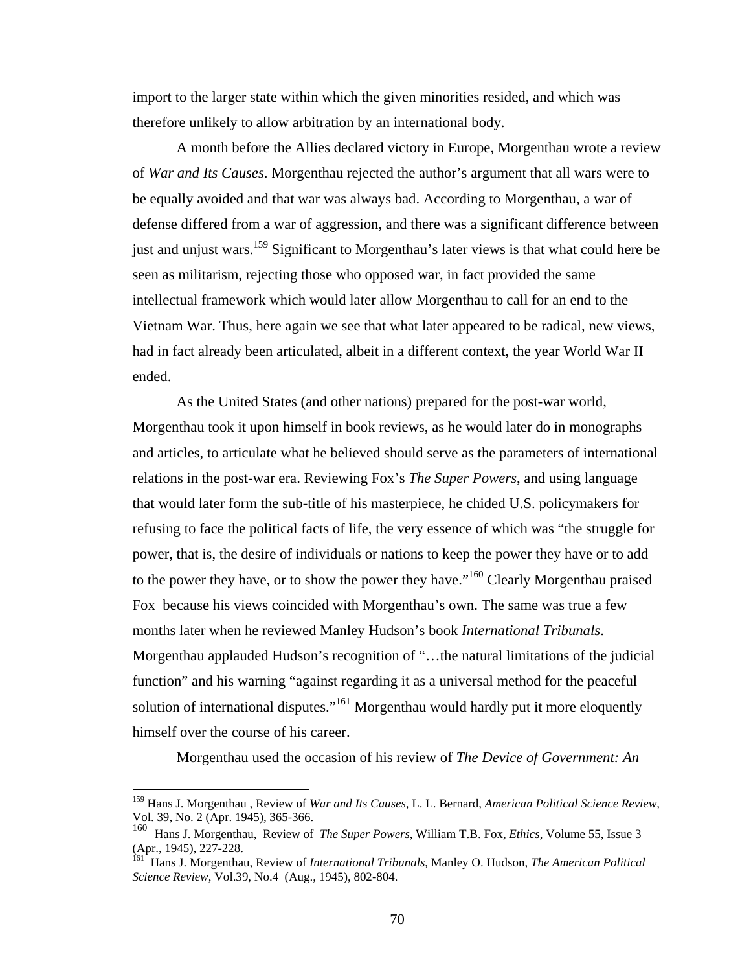import to the larger state within which the given minorities resided, and which was therefore unlikely to allow arbitration by an international body.

 A month before the Allies declared victory in Europe, Morgenthau wrote a review of *War and Its Causes*. Morgenthau rejected the author's argument that all wars were to be equally avoided and that war was always bad. According to Morgenthau, a war of defense differed from a war of aggression, and there was a significant difference between just and unjust wars.159 Significant to Morgenthau's later views is that what could here be seen as militarism, rejecting those who opposed war, in fact provided the same intellectual framework which would later allow Morgenthau to call for an end to the Vietnam War. Thus, here again we see that what later appeared to be radical, new views, had in fact already been articulated, albeit in a different context, the year World War II ended.

As the United States (and other nations) prepared for the post-war world, Morgenthau took it upon himself in book reviews, as he would later do in monographs and articles, to articulate what he believed should serve as the parameters of international relations in the post-war era. Reviewing Fox's *The Super Powers*, and using language that would later form the sub-title of his masterpiece, he chided U.S. policymakers for refusing to face the political facts of life, the very essence of which was "the struggle for power, that is, the desire of individuals or nations to keep the power they have or to add to the power they have, or to show the power they have."<sup>160</sup> Clearly Morgenthau praised Fox because his views coincided with Morgenthau's own. The same was true a few months later when he reviewed Manley Hudson's book *International Tribunals*. Morgenthau applauded Hudson's recognition of "…the natural limitations of the judicial function" and his warning "against regarding it as a universal method for the peaceful solution of international disputes."<sup>161</sup> Morgenthau would hardly put it more eloquently himself over the course of his career.

Morgenthau used the occasion of his review of *The Device of Government: An* 

<sup>159</sup> Hans J. Morgenthau , Review of *War and Its Causes*, L. L. Bernard, *American Political Science Review,* Vol. 39, No. 2 (Apr. 1945), 365-366.

<sup>160</sup> Hans J. Morgenthau, Review of *The Super Powers*, William T.B. Fox, *Ethics*, Volume 55, Issue 3 (Apr., 1945), 227-228.

<sup>161</sup> Hans J. Morgenthau, Review of *International Tribunals*, Manley O. Hudson, *The American Political Science Review*, Vol.39, No.4 (Aug., 1945), 802-804.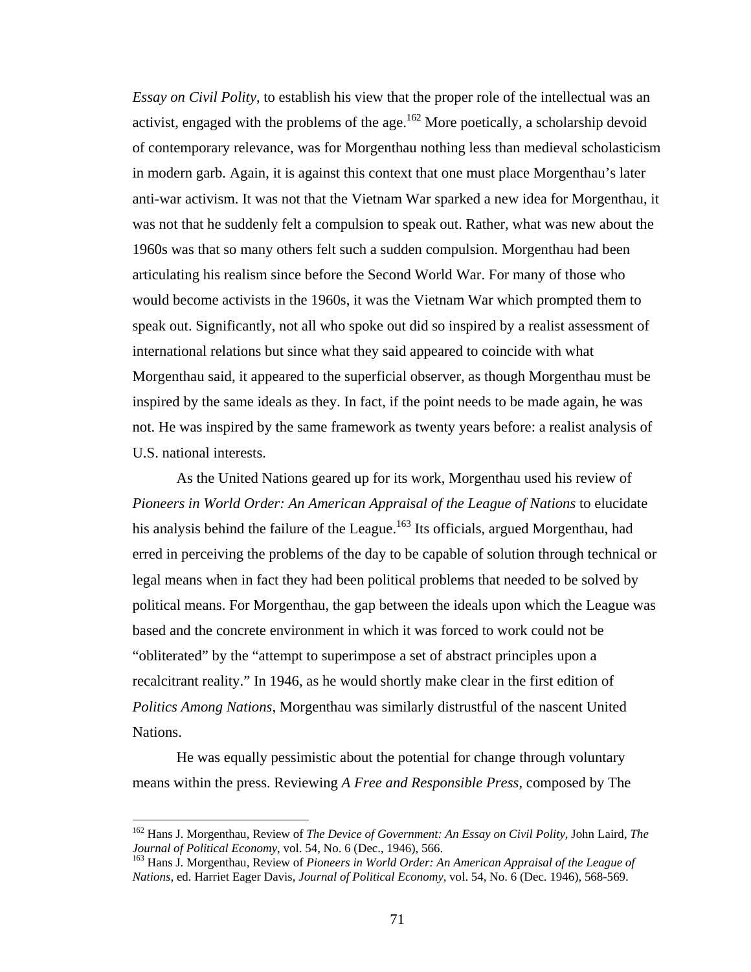*Essay on Civil Polity*, to establish his view that the proper role of the intellectual was an activist, engaged with the problems of the age.<sup>162</sup> More poetically, a scholarship devoid of contemporary relevance, was for Morgenthau nothing less than medieval scholasticism in modern garb. Again, it is against this context that one must place Morgenthau's later anti-war activism. It was not that the Vietnam War sparked a new idea for Morgenthau, it was not that he suddenly felt a compulsion to speak out. Rather, what was new about the 1960s was that so many others felt such a sudden compulsion. Morgenthau had been articulating his realism since before the Second World War. For many of those who would become activists in the 1960s, it was the Vietnam War which prompted them to speak out. Significantly, not all who spoke out did so inspired by a realist assessment of international relations but since what they said appeared to coincide with what Morgenthau said, it appeared to the superficial observer, as though Morgenthau must be inspired by the same ideals as they. In fact, if the point needs to be made again, he was not. He was inspired by the same framework as twenty years before: a realist analysis of U.S. national interests.

As the United Nations geared up for its work, Morgenthau used his review of *Pioneers in World Order: An American Appraisal of the League of Nations* to elucidate his analysis behind the failure of the League.<sup>163</sup> Its officials, argued Morgenthau, had erred in perceiving the problems of the day to be capable of solution through technical or legal means when in fact they had been political problems that needed to be solved by political means. For Morgenthau, the gap between the ideals upon which the League was based and the concrete environment in which it was forced to work could not be "obliterated" by the "attempt to superimpose a set of abstract principles upon a recalcitrant reality." In 1946, as he would shortly make clear in the first edition of *Politics Among Nations*, Morgenthau was similarly distrustful of the nascent United Nations.

He was equally pessimistic about the potential for change through voluntary means within the press. Reviewing *A Free and Responsible Press*, composed by The

 $\overline{a}$ 

<sup>162</sup> Hans J. Morgenthau, Review of *The Device of Government: An Essay on Civil Polity*, John Laird, *The* 

<sup>&</sup>lt;sup>163</sup> Hans J. Morgenthau, Review of Pioneers in World Order: An American Appraisal of the League of *Nations,* ed. Harriet Eager Davis, *Journal of Political Economy*, vol. 54, No. 6 (Dec. 1946), 568-569.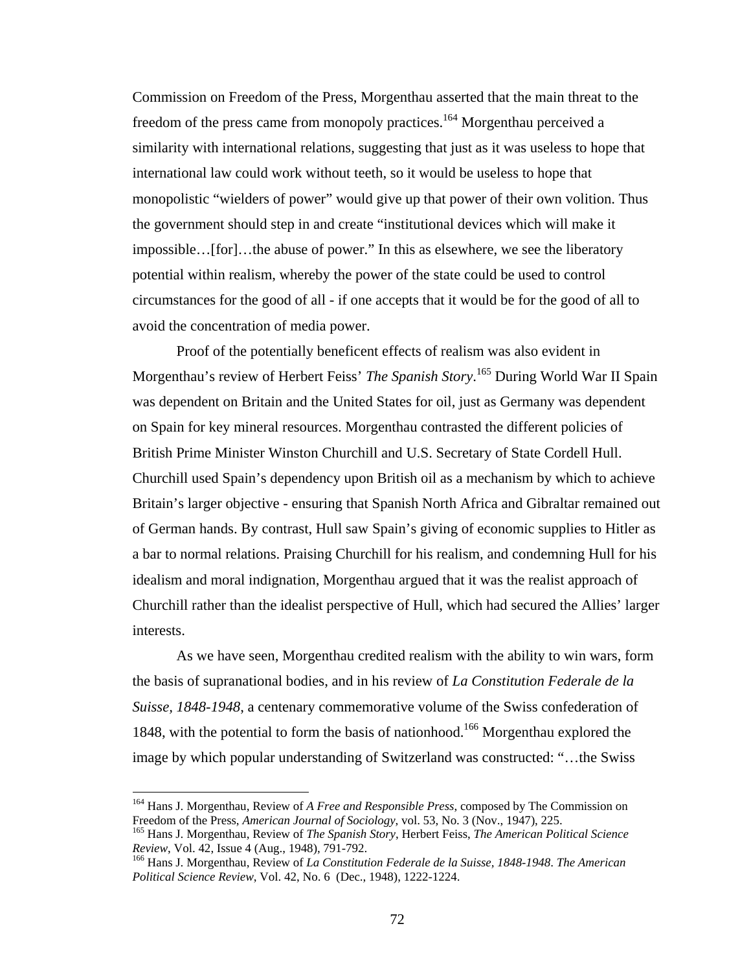Commission on Freedom of the Press, Morgenthau asserted that the main threat to the freedom of the press came from monopoly practices.<sup>164</sup> Morgenthau perceived a similarity with international relations, suggesting that just as it was useless to hope that international law could work without teeth, so it would be useless to hope that monopolistic "wielders of power" would give up that power of their own volition. Thus the government should step in and create "institutional devices which will make it impossible…[for]…the abuse of power." In this as elsewhere, we see the liberatory potential within realism, whereby the power of the state could be used to control circumstances for the good of all - if one accepts that it would be for the good of all to avoid the concentration of media power.

Proof of the potentially beneficent effects of realism was also evident in Morgenthau's review of Herbert Feiss' *The Spanish Story*. 165 During World War II Spain was dependent on Britain and the United States for oil, just as Germany was dependent on Spain for key mineral resources. Morgenthau contrasted the different policies of British Prime Minister Winston Churchill and U.S. Secretary of State Cordell Hull. Churchill used Spain's dependency upon British oil as a mechanism by which to achieve Britain's larger objective - ensuring that Spanish North Africa and Gibraltar remained out of German hands. By contrast, Hull saw Spain's giving of economic supplies to Hitler as a bar to normal relations. Praising Churchill for his realism, and condemning Hull for his idealism and moral indignation, Morgenthau argued that it was the realist approach of Churchill rather than the idealist perspective of Hull, which had secured the Allies' larger interests.

As we have seen, Morgenthau credited realism with the ability to win wars, form the basis of supranational bodies, and in his review of *La Constitution Federale de la Suisse, 1848-1948*, a centenary commemorative volume of the Swiss confederation of 1848, with the potential to form the basis of nationhood.166 Morgenthau explored the image by which popular understanding of Switzerland was constructed: "…the Swiss

<sup>164</sup> Hans J. Morgenthau, Review of *A Free and Responsible Press*, composed by The Commission on

Freedom of the Press, *American Journal of Sociology*, vol. 53, No. 3 (Nov., 1947), 225.<br><sup>165</sup> Hans J. Morgenthau, Review of *The Spanish Story*, Herbert Feiss, *The American Political Science Review*, Vol. 42, Issue 4 (Au

<sup>&</sup>lt;sup>166</sup> Hans J. Morgenthau, Review of *La Constitution Federale de la Suisse, 1848-1948. The American Political Science Review*, Vol. 42, No. 6 (Dec., 1948), 1222-1224.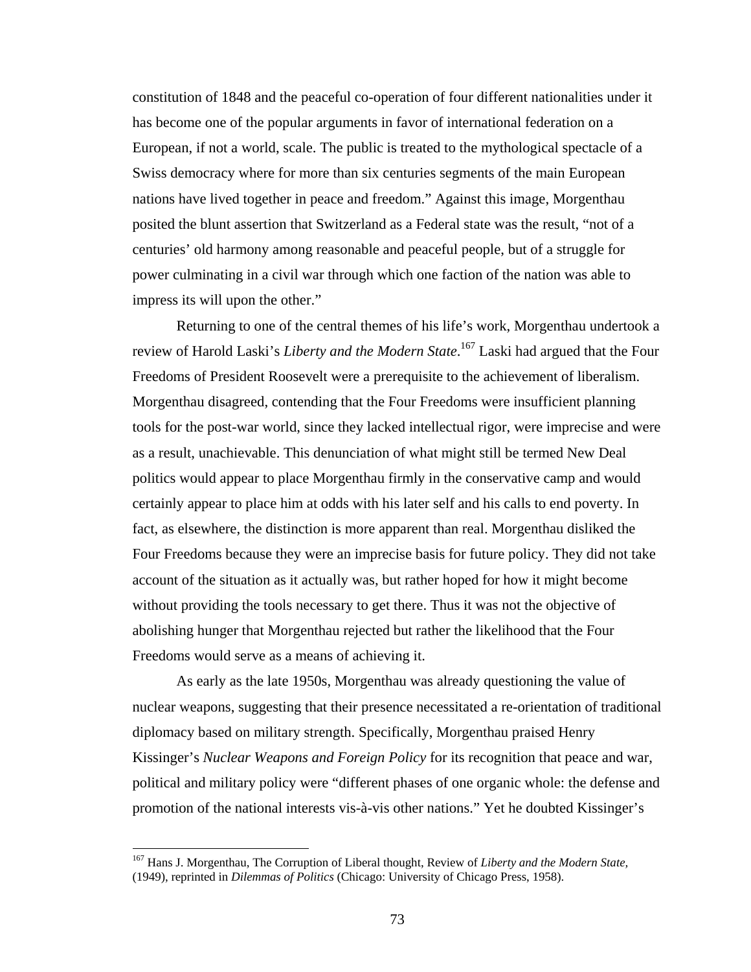constitution of 1848 and the peaceful co-operation of four different nationalities under it has become one of the popular arguments in favor of international federation on a European, if not a world, scale. The public is treated to the mythological spectacle of a Swiss democracy where for more than six centuries segments of the main European nations have lived together in peace and freedom." Against this image, Morgenthau posited the blunt assertion that Switzerland as a Federal state was the result, "not of a centuries' old harmony among reasonable and peaceful people, but of a struggle for power culminating in a civil war through which one faction of the nation was able to impress its will upon the other."

Returning to one of the central themes of his life's work, Morgenthau undertook a review of Harold Laski's *Liberty and the Modern State*. 167 Laski had argued that the Four Freedoms of President Roosevelt were a prerequisite to the achievement of liberalism. Morgenthau disagreed, contending that the Four Freedoms were insufficient planning tools for the post-war world, since they lacked intellectual rigor, were imprecise and were as a result, unachievable. This denunciation of what might still be termed New Deal politics would appear to place Morgenthau firmly in the conservative camp and would certainly appear to place him at odds with his later self and his calls to end poverty. In fact, as elsewhere, the distinction is more apparent than real. Morgenthau disliked the Four Freedoms because they were an imprecise basis for future policy. They did not take account of the situation as it actually was, but rather hoped for how it might become without providing the tools necessary to get there. Thus it was not the objective of abolishing hunger that Morgenthau rejected but rather the likelihood that the Four Freedoms would serve as a means of achieving it.

As early as the late 1950s, Morgenthau was already questioning the value of nuclear weapons, suggesting that their presence necessitated a re-orientation of traditional diplomacy based on military strength. Specifically, Morgenthau praised Henry Kissinger's *Nuclear Weapons and Foreign Policy* for its recognition that peace and war, political and military policy were "different phases of one organic whole: the defense and promotion of the national interests vis-à-vis other nations." Yet he doubted Kissinger's

 $\overline{a}$ 

<sup>167</sup> Hans J. Morgenthau, The Corruption of Liberal thought, Review of *Liberty and the Modern State,*  (1949), reprinted in *Dilemmas of Politics* (Chicago: University of Chicago Press, 1958).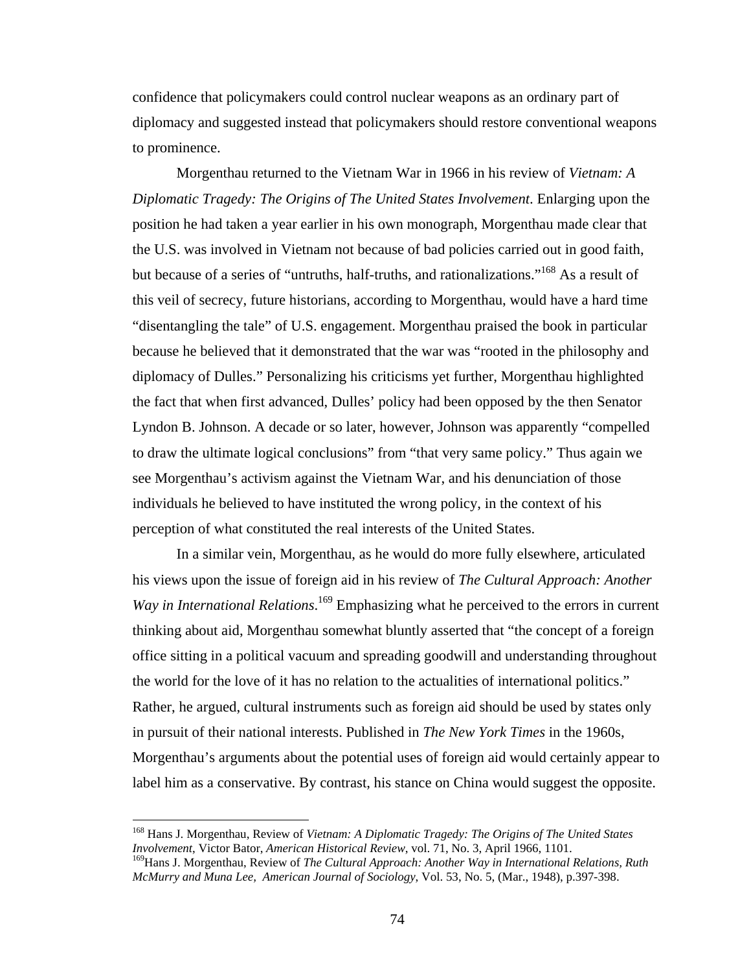confidence that policymakers could control nuclear weapons as an ordinary part of diplomacy and suggested instead that policymakers should restore conventional weapons to prominence.

Morgenthau returned to the Vietnam War in 1966 in his review of *Vietnam: A Diplomatic Tragedy: The Origins of The United States Involvement*. Enlarging upon the position he had taken a year earlier in his own monograph, Morgenthau made clear that the U.S. was involved in Vietnam not because of bad policies carried out in good faith, but because of a series of "untruths, half-truths, and rationalizations."<sup>168</sup> As a result of this veil of secrecy, future historians, according to Morgenthau, would have a hard time "disentangling the tale" of U.S. engagement. Morgenthau praised the book in particular because he believed that it demonstrated that the war was "rooted in the philosophy and diplomacy of Dulles." Personalizing his criticisms yet further, Morgenthau highlighted the fact that when first advanced, Dulles' policy had been opposed by the then Senator Lyndon B. Johnson. A decade or so later, however, Johnson was apparently "compelled to draw the ultimate logical conclusions" from "that very same policy." Thus again we see Morgenthau's activism against the Vietnam War, and his denunciation of those individuals he believed to have instituted the wrong policy, in the context of his perception of what constituted the real interests of the United States.

In a similar vein, Morgenthau, as he would do more fully elsewhere, articulated his views upon the issue of foreign aid in his review of *The Cultural Approach: Another Way in International Relations*. 169 Emphasizing what he perceived to the errors in current thinking about aid, Morgenthau somewhat bluntly asserted that "the concept of a foreign office sitting in a political vacuum and spreading goodwill and understanding throughout the world for the love of it has no relation to the actualities of international politics." Rather, he argued, cultural instruments such as foreign aid should be used by states only in pursuit of their national interests. Published in *The New York Times* in the 1960s, Morgenthau's arguments about the potential uses of foreign aid would certainly appear to label him as a conservative. By contrast, his stance on China would suggest the opposite.

 $\overline{a}$ 

<sup>168</sup> Hans J. Morgenthau, Review of *Vietnam: A Diplomatic Tragedy: The Origins of The United States Involvement*, Victor Bator, *American Historical Review*, vol. 71, No. 3, April 1966, 1101.

<sup>169</sup>Hans J. Morgenthau, Review of *The Cultural Approach: Another Way in International Relations, Ruth McMurry and Muna Lee, American Journal of Sociology*, Vol. 53, No. 5, (Mar., 1948), p.397-398.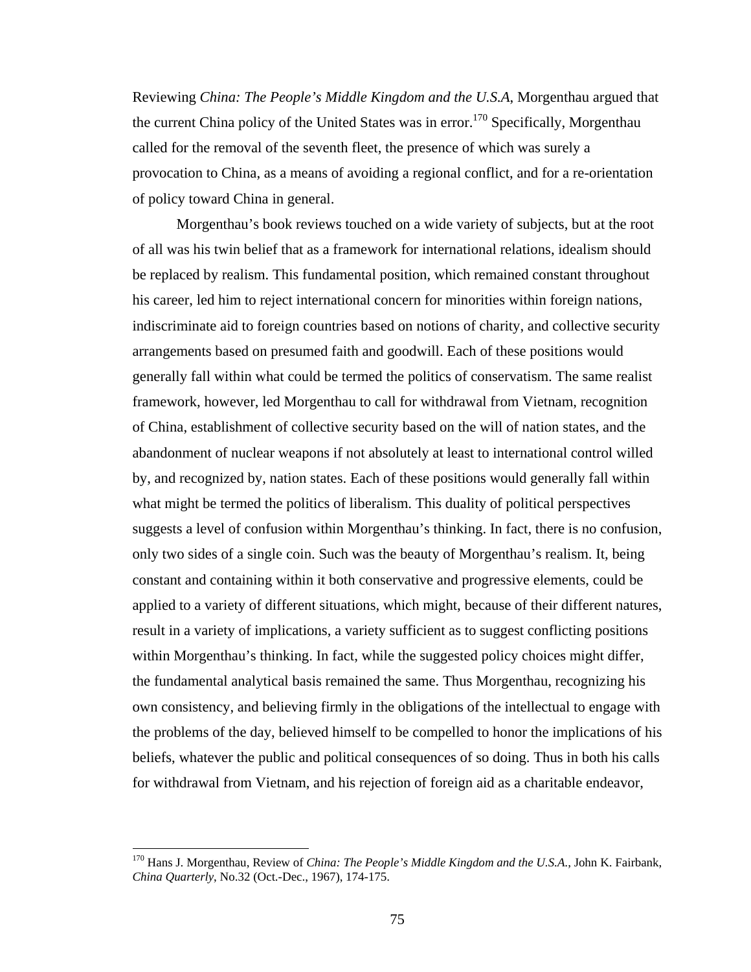Reviewing *China: The People's Middle Kingdom and the U.S.A*, Morgenthau argued that the current China policy of the United States was in error.<sup>170</sup> Specifically, Morgenthau called for the removal of the seventh fleet, the presence of which was surely a provocation to China, as a means of avoiding a regional conflict, and for a re-orientation of policy toward China in general.

Morgenthau's book reviews touched on a wide variety of subjects, but at the root of all was his twin belief that as a framework for international relations, idealism should be replaced by realism. This fundamental position, which remained constant throughout his career, led him to reject international concern for minorities within foreign nations, indiscriminate aid to foreign countries based on notions of charity, and collective security arrangements based on presumed faith and goodwill. Each of these positions would generally fall within what could be termed the politics of conservatism. The same realist framework, however, led Morgenthau to call for withdrawal from Vietnam, recognition of China, establishment of collective security based on the will of nation states, and the abandonment of nuclear weapons if not absolutely at least to international control willed by, and recognized by, nation states. Each of these positions would generally fall within what might be termed the politics of liberalism. This duality of political perspectives suggests a level of confusion within Morgenthau's thinking. In fact, there is no confusion, only two sides of a single coin. Such was the beauty of Morgenthau's realism. It, being constant and containing within it both conservative and progressive elements, could be applied to a variety of different situations, which might, because of their different natures, result in a variety of implications, a variety sufficient as to suggest conflicting positions within Morgenthau's thinking. In fact, while the suggested policy choices might differ, the fundamental analytical basis remained the same. Thus Morgenthau, recognizing his own consistency, and believing firmly in the obligations of the intellectual to engage with the problems of the day, believed himself to be compelled to honor the implications of his beliefs, whatever the public and political consequences of so doing. Thus in both his calls for withdrawal from Vietnam, and his rejection of foreign aid as a charitable endeavor,

<sup>170</sup> Hans J. Morgenthau, Review of *China: The People's Middle Kingdom and the U.S.A*., John K. Fairbank, *China Quarterly*, No.32 (Oct.-Dec., 1967), 174-175.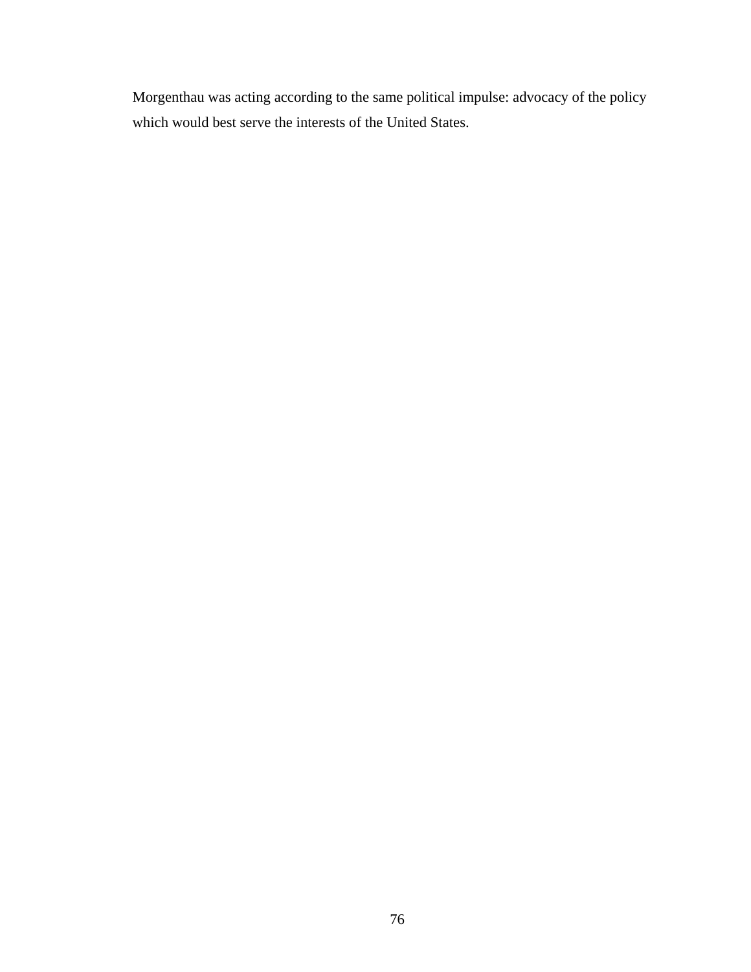Morgenthau was acting according to the same political impulse: advocacy of the policy which would best serve the interests of the United States.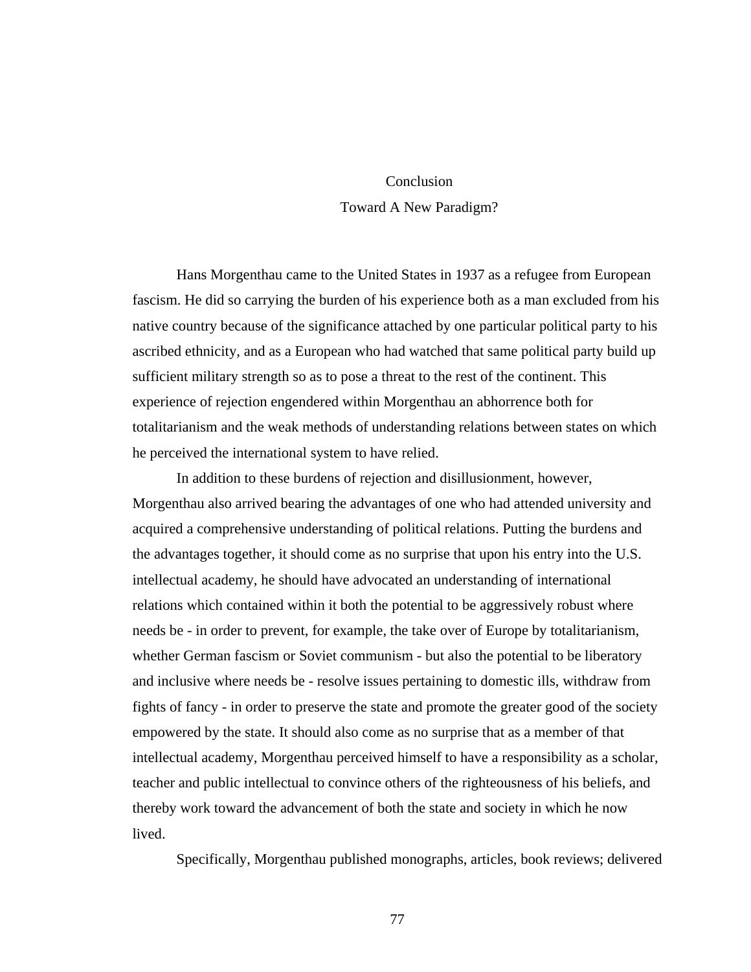# Conclusion Toward A New Paradigm?

Hans Morgenthau came to the United States in 1937 as a refugee from European fascism. He did so carrying the burden of his experience both as a man excluded from his native country because of the significance attached by one particular political party to his ascribed ethnicity, and as a European who had watched that same political party build up sufficient military strength so as to pose a threat to the rest of the continent. This experience of rejection engendered within Morgenthau an abhorrence both for totalitarianism and the weak methods of understanding relations between states on which he perceived the international system to have relied.

In addition to these burdens of rejection and disillusionment, however, Morgenthau also arrived bearing the advantages of one who had attended university and acquired a comprehensive understanding of political relations. Putting the burdens and the advantages together, it should come as no surprise that upon his entry into the U.S. intellectual academy, he should have advocated an understanding of international relations which contained within it both the potential to be aggressively robust where needs be - in order to prevent, for example, the take over of Europe by totalitarianism, whether German fascism or Soviet communism - but also the potential to be liberatory and inclusive where needs be - resolve issues pertaining to domestic ills, withdraw from fights of fancy - in order to preserve the state and promote the greater good of the society empowered by the state. It should also come as no surprise that as a member of that intellectual academy, Morgenthau perceived himself to have a responsibility as a scholar, teacher and public intellectual to convince others of the righteousness of his beliefs, and thereby work toward the advancement of both the state and society in which he now lived.

Specifically, Morgenthau published monographs, articles, book reviews; delivered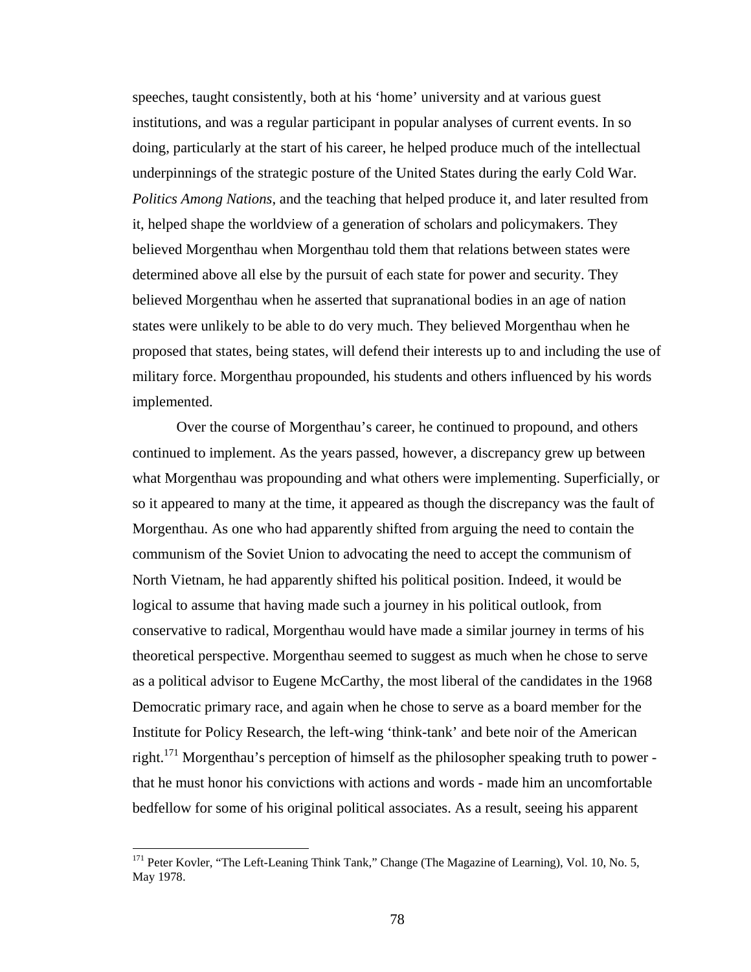speeches, taught consistently, both at his 'home' university and at various guest institutions, and was a regular participant in popular analyses of current events. In so doing, particularly at the start of his career, he helped produce much of the intellectual underpinnings of the strategic posture of the United States during the early Cold War. *Politics Among Nations*, and the teaching that helped produce it, and later resulted from it, helped shape the worldview of a generation of scholars and policymakers. They believed Morgenthau when Morgenthau told them that relations between states were determined above all else by the pursuit of each state for power and security. They believed Morgenthau when he asserted that supranational bodies in an age of nation states were unlikely to be able to do very much. They believed Morgenthau when he proposed that states, being states, will defend their interests up to and including the use of military force. Morgenthau propounded, his students and others influenced by his words implemented.

Over the course of Morgenthau's career, he continued to propound, and others continued to implement. As the years passed, however, a discrepancy grew up between what Morgenthau was propounding and what others were implementing. Superficially, or so it appeared to many at the time, it appeared as though the discrepancy was the fault of Morgenthau. As one who had apparently shifted from arguing the need to contain the communism of the Soviet Union to advocating the need to accept the communism of North Vietnam, he had apparently shifted his political position. Indeed, it would be logical to assume that having made such a journey in his political outlook, from conservative to radical, Morgenthau would have made a similar journey in terms of his theoretical perspective. Morgenthau seemed to suggest as much when he chose to serve as a political advisor to Eugene McCarthy, the most liberal of the candidates in the 1968 Democratic primary race, and again when he chose to serve as a board member for the Institute for Policy Research, the left-wing 'think-tank' and bete noir of the American right.<sup>171</sup> Morgenthau's perception of himself as the philosopher speaking truth to power that he must honor his convictions with actions and words - made him an uncomfortable bedfellow for some of his original political associates. As a result, seeing his apparent

<sup>&</sup>lt;sup>171</sup> Peter Kovler, "The Left-Leaning Think Tank," Change (The Magazine of Learning), Vol. 10, No. 5, May 1978.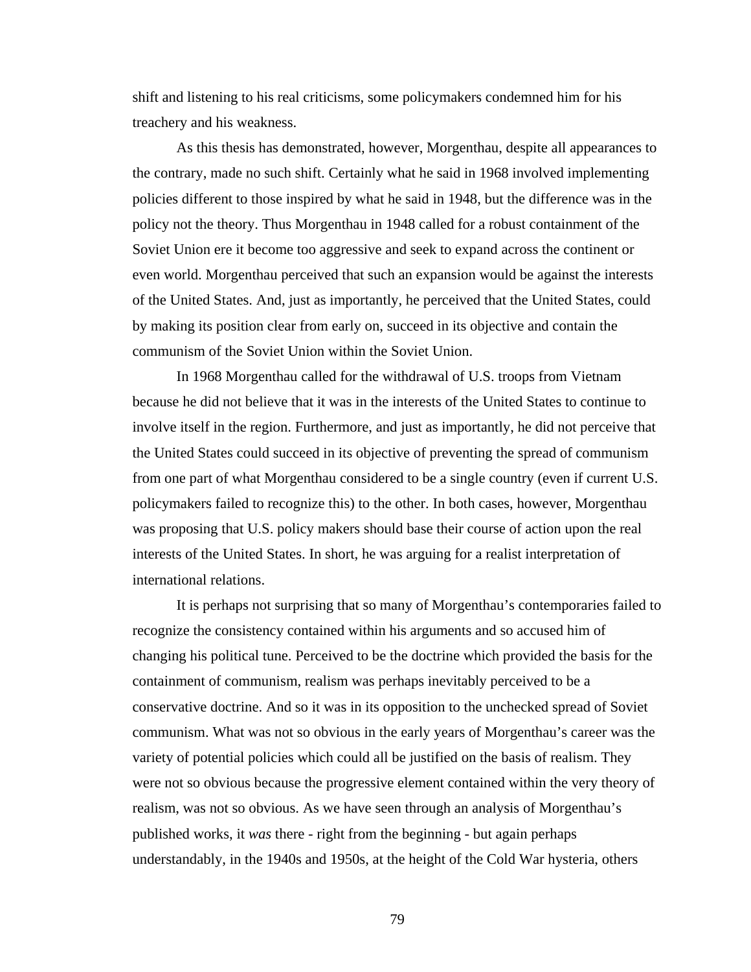shift and listening to his real criticisms, some policymakers condemned him for his treachery and his weakness.

As this thesis has demonstrated, however, Morgenthau, despite all appearances to the contrary, made no such shift. Certainly what he said in 1968 involved implementing policies different to those inspired by what he said in 1948, but the difference was in the policy not the theory. Thus Morgenthau in 1948 called for a robust containment of the Soviet Union ere it become too aggressive and seek to expand across the continent or even world. Morgenthau perceived that such an expansion would be against the interests of the United States. And, just as importantly, he perceived that the United States, could by making its position clear from early on, succeed in its objective and contain the communism of the Soviet Union within the Soviet Union.

In 1968 Morgenthau called for the withdrawal of U.S. troops from Vietnam because he did not believe that it was in the interests of the United States to continue to involve itself in the region. Furthermore, and just as importantly, he did not perceive that the United States could succeed in its objective of preventing the spread of communism from one part of what Morgenthau considered to be a single country (even if current U.S. policymakers failed to recognize this) to the other. In both cases, however, Morgenthau was proposing that U.S. policy makers should base their course of action upon the real interests of the United States. In short, he was arguing for a realist interpretation of international relations.

It is perhaps not surprising that so many of Morgenthau's contemporaries failed to recognize the consistency contained within his arguments and so accused him of changing his political tune. Perceived to be the doctrine which provided the basis for the containment of communism, realism was perhaps inevitably perceived to be a conservative doctrine. And so it was in its opposition to the unchecked spread of Soviet communism. What was not so obvious in the early years of Morgenthau's career was the variety of potential policies which could all be justified on the basis of realism. They were not so obvious because the progressive element contained within the very theory of realism, was not so obvious. As we have seen through an analysis of Morgenthau's published works, it *was* there - right from the beginning - but again perhaps understandably, in the 1940s and 1950s, at the height of the Cold War hysteria, others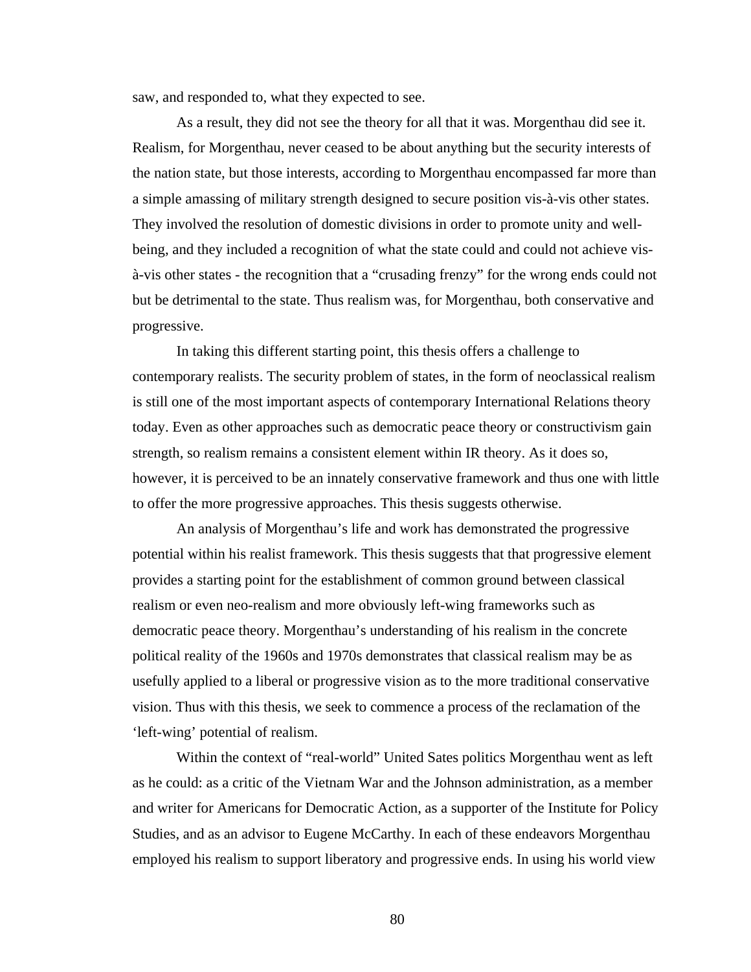saw, and responded to, what they expected to see.

As a result, they did not see the theory for all that it was. Morgenthau did see it. Realism, for Morgenthau, never ceased to be about anything but the security interests of the nation state, but those interests, according to Morgenthau encompassed far more than a simple amassing of military strength designed to secure position vis-à-vis other states. They involved the resolution of domestic divisions in order to promote unity and wellbeing, and they included a recognition of what the state could and could not achieve visà-vis other states - the recognition that a "crusading frenzy" for the wrong ends could not but be detrimental to the state. Thus realism was, for Morgenthau, both conservative and progressive.

In taking this different starting point, this thesis offers a challenge to contemporary realists. The security problem of states, in the form of neoclassical realism is still one of the most important aspects of contemporary International Relations theory today. Even as other approaches such as democratic peace theory or constructivism gain strength, so realism remains a consistent element within IR theory. As it does so, however, it is perceived to be an innately conservative framework and thus one with little to offer the more progressive approaches. This thesis suggests otherwise.

An analysis of Morgenthau's life and work has demonstrated the progressive potential within his realist framework. This thesis suggests that that progressive element provides a starting point for the establishment of common ground between classical realism or even neo-realism and more obviously left-wing frameworks such as democratic peace theory. Morgenthau's understanding of his realism in the concrete political reality of the 1960s and 1970s demonstrates that classical realism may be as usefully applied to a liberal or progressive vision as to the more traditional conservative vision. Thus with this thesis, we seek to commence a process of the reclamation of the 'left-wing' potential of realism.

Within the context of "real-world" United Sates politics Morgenthau went as left as he could: as a critic of the Vietnam War and the Johnson administration, as a member and writer for Americans for Democratic Action, as a supporter of the Institute for Policy Studies, and as an advisor to Eugene McCarthy. In each of these endeavors Morgenthau employed his realism to support liberatory and progressive ends. In using his world view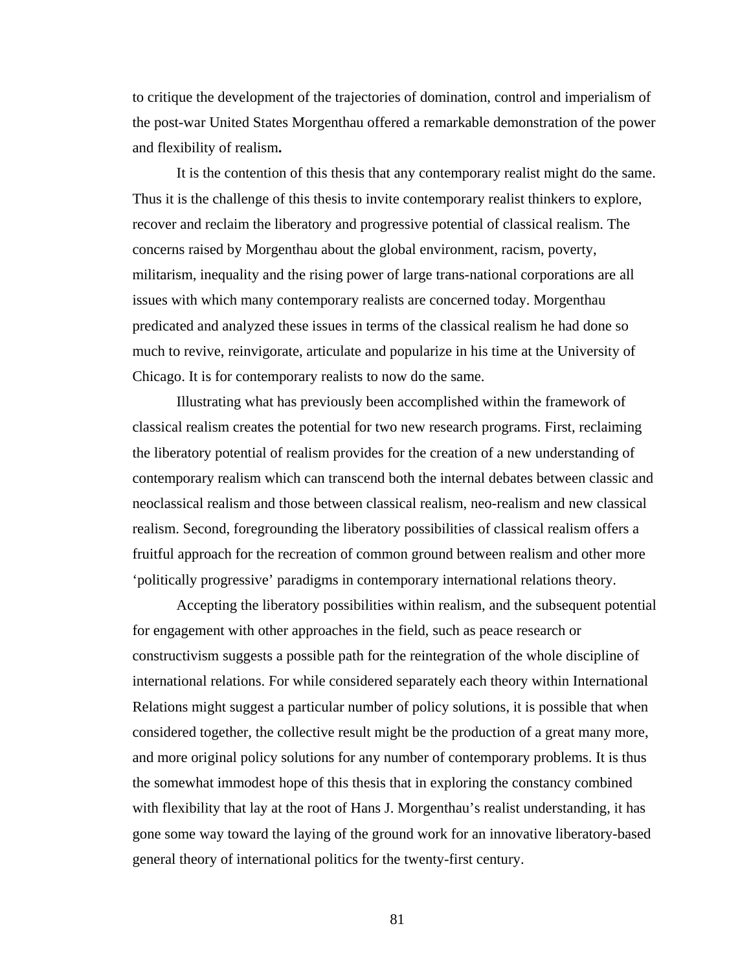to critique the development of the trajectories of domination, control and imperialism of the post-war United States Morgenthau offered a remarkable demonstration of the power and flexibility of realism**.** 

It is the contention of this thesis that any contemporary realist might do the same. Thus it is the challenge of this thesis to invite contemporary realist thinkers to explore, recover and reclaim the liberatory and progressive potential of classical realism. The concerns raised by Morgenthau about the global environment, racism, poverty, militarism, inequality and the rising power of large trans-national corporations are all issues with which many contemporary realists are concerned today. Morgenthau predicated and analyzed these issues in terms of the classical realism he had done so much to revive, reinvigorate, articulate and popularize in his time at the University of Chicago. It is for contemporary realists to now do the same.

Illustrating what has previously been accomplished within the framework of classical realism creates the potential for two new research programs. First, reclaiming the liberatory potential of realism provides for the creation of a new understanding of contemporary realism which can transcend both the internal debates between classic and neoclassical realism and those between classical realism, neo-realism and new classical realism. Second, foregrounding the liberatory possibilities of classical realism offers a fruitful approach for the recreation of common ground between realism and other more 'politically progressive' paradigms in contemporary international relations theory.

Accepting the liberatory possibilities within realism, and the subsequent potential for engagement with other approaches in the field, such as peace research or constructivism suggests a possible path for the reintegration of the whole discipline of international relations. For while considered separately each theory within International Relations might suggest a particular number of policy solutions, it is possible that when considered together, the collective result might be the production of a great many more, and more original policy solutions for any number of contemporary problems. It is thus the somewhat immodest hope of this thesis that in exploring the constancy combined with flexibility that lay at the root of Hans J. Morgenthau's realist understanding, it has gone some way toward the laying of the ground work for an innovative liberatory-based general theory of international politics for the twenty-first century.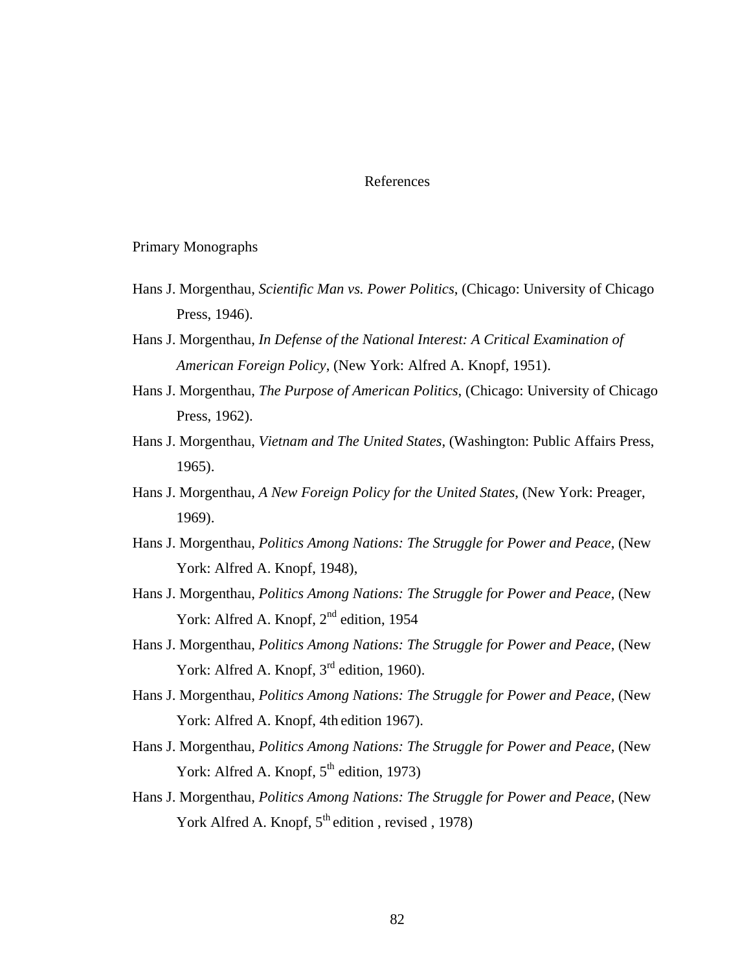#### References

## Primary Monographs

- Hans J. Morgenthau, *Scientific Man vs. Power Politics*, (Chicago: University of Chicago Press, 1946).
- Hans J. Morgenthau, *In Defense of the National Interest: A Critical Examination of American Foreign Policy*, (New York: Alfred A. Knopf, 1951).
- Hans J. Morgenthau, *The Purpose of American Politics*, (Chicago: University of Chicago Press, 1962).
- Hans J. Morgenthau, *Vietnam and The United States*, (Washington: Public Affairs Press, 1965).
- Hans J. Morgenthau, *A New Foreign Policy for the United States*, (New York: Preager, 1969).
- Hans J. Morgenthau, *Politics Among Nations: The Struggle for Power and Peace*, (New York: Alfred A. Knopf, 1948),
- Hans J. Morgenthau, *Politics Among Nations: The Struggle for Power and Peace*, (New York: Alfred A. Knopf,  $2<sup>nd</sup>$  edition, 1954
- Hans J. Morgenthau, *Politics Among Nations: The Struggle for Power and Peace*, (New York: Alfred A. Knopf, 3<sup>rd</sup> edition, 1960).
- Hans J. Morgenthau, *Politics Among Nations: The Struggle for Power and Peace*, (New York: Alfred A. Knopf, 4th edition 1967).
- Hans J. Morgenthau, *Politics Among Nations: The Struggle for Power and Peace*, (New York: Alfred A. Knopf,  $5^{th}$  edition, 1973)
- Hans J. Morgenthau, *Politics Among Nations: The Struggle for Power and Peace*, (New York Alfred A. Knopf,  $5<sup>th</sup>$  edition, revised, 1978)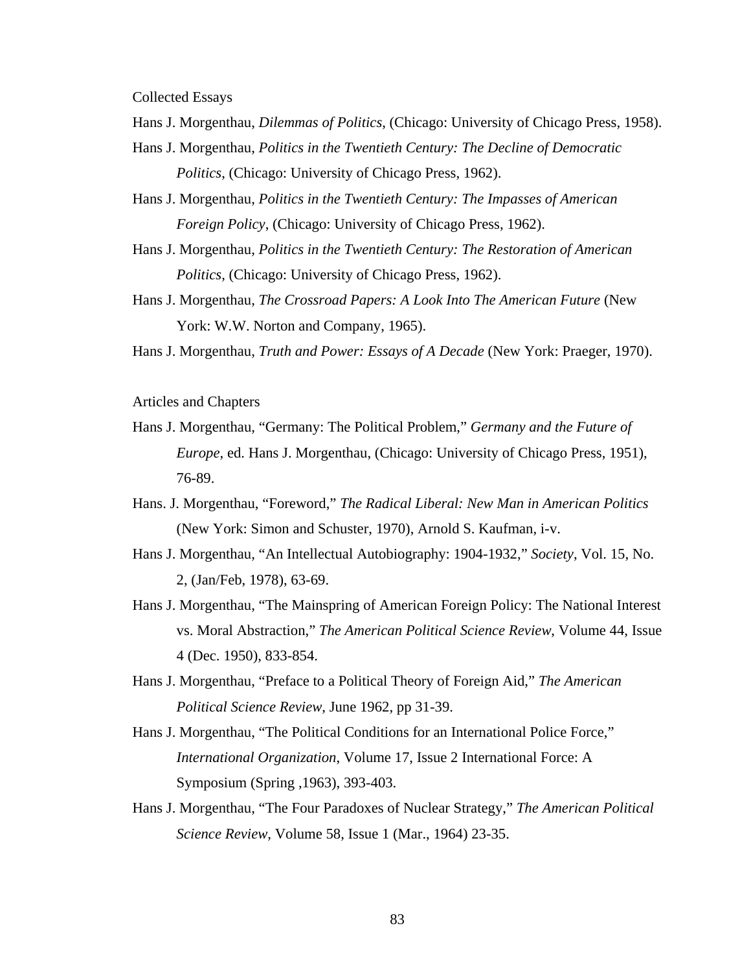Collected Essays

Hans J. Morgenthau, *Dilemmas of Politics*, (Chicago: University of Chicago Press, 1958).

- Hans J. Morgenthau, *Politics in the Twentieth Century: The Decline of Democratic Politics*, (Chicago: University of Chicago Press, 1962).
- Hans J. Morgenthau, *Politics in the Twentieth Century: The Impasses of American Foreign Policy*, (Chicago: University of Chicago Press, 1962).
- Hans J. Morgenthau, *Politics in the Twentieth Century: The Restoration of American Politics*, (Chicago: University of Chicago Press, 1962).
- Hans J. Morgenthau, *The Crossroad Papers: A Look Into The American Future* (New York: W.W. Norton and Company, 1965).
- Hans J. Morgenthau, *Truth and Power: Essays of A Decade* (New York: Praeger, 1970).
- Articles and Chapters
- Hans J. Morgenthau, "Germany: The Political Problem," *Germany and the Future of Europe*, ed. Hans J. Morgenthau, (Chicago: University of Chicago Press, 1951), 76-89.
- Hans. J. Morgenthau, "Foreword," *The Radical Liberal: New Man in American Politics* (New York: Simon and Schuster, 1970), Arnold S. Kaufman, i-v.
- Hans J. Morgenthau, "An Intellectual Autobiography: 1904-1932," *Society*, Vol. 15, No. 2, (Jan/Feb, 1978), 63-69.
- Hans J. Morgenthau, "The Mainspring of American Foreign Policy: The National Interest vs. Moral Abstraction," *The American Political Science Review*, Volume 44, Issue 4 (Dec. 1950), 833-854.
- Hans J. Morgenthau, "Preface to a Political Theory of Foreign Aid," *The American Political Science Review*, June 1962, pp 31-39.
- Hans J. Morgenthau, "The Political Conditions for an International Police Force," *International Organization*, Volume 17, Issue 2 International Force: A Symposium (Spring ,1963), 393-403.
- Hans J. Morgenthau, "The Four Paradoxes of Nuclear Strategy," *The American Political Science Review*, Volume 58, Issue 1 (Mar., 1964) 23-35.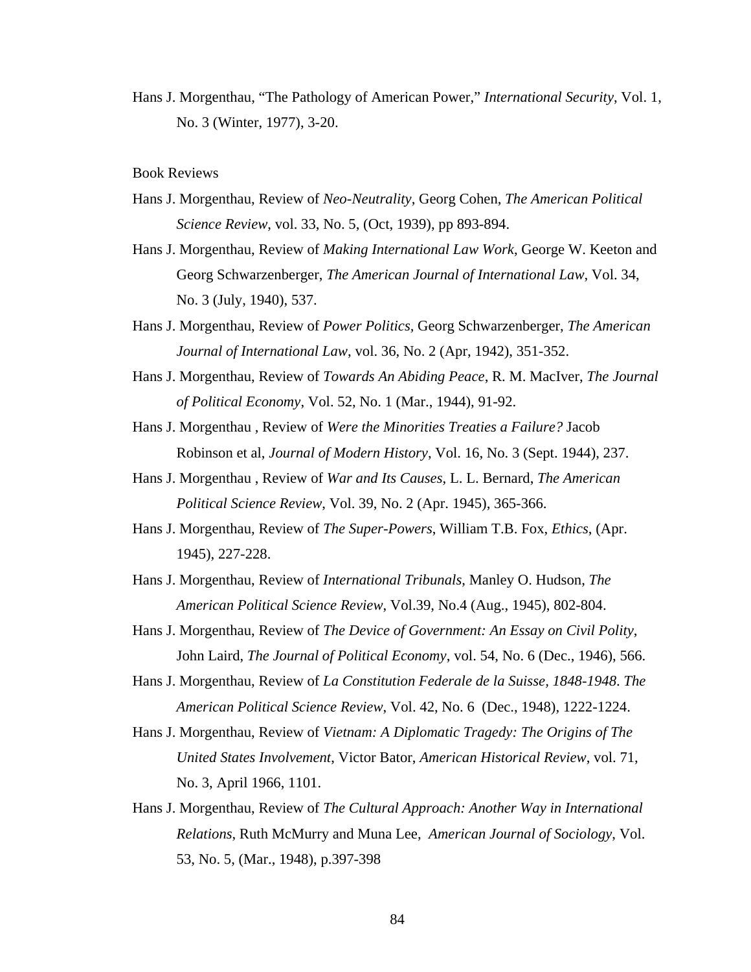Hans J. Morgenthau, "The Pathology of American Power," *International Security*, Vol. 1, No. 3 (Winter, 1977), 3-20.

#### Book Reviews

- Hans J. Morgenthau, Review of *Neo-Neutrality*, Georg Cohen, *The American Political Science Review*, vol. 33, No. 5, (Oct, 1939), pp 893-894.
- Hans J. Morgenthau, Review of *Making International Law Work*, George W. Keeton and Georg Schwarzenberger, *The American Journal of International Law*, Vol. 34, No. 3 (July, 1940), 537.
- Hans J. Morgenthau, Review of *Power Politics,* Georg Schwarzenberger, *The American Journal of International Law*, vol. 36, No. 2 (Apr, 1942), 351-352.
- Hans J. Morgenthau, Review of *Towards An Abiding Peace*, R. M. MacIver, *The Journal of Political Economy*, Vol. 52, No. 1 (Mar., 1944), 91-92.
- Hans J. Morgenthau , Review of *Were the Minorities Treaties a Failure?* Jacob Robinson et al, *Journal of Modern History*, Vol. 16, No. 3 (Sept. 1944), 237.
- Hans J. Morgenthau , Review of *War and Its Causes*, L. L. Bernard, *The American Political Science Review*, Vol. 39, No. 2 (Apr. 1945), 365-366.
- Hans J. Morgenthau, Review of *The Super-Powers*, William T.B. Fox, *Ethics*, (Apr. 1945), 227-228.
- Hans J. Morgenthau, Review of *International Tribunals*, Manley O. Hudson, *The American Political Science Review*, Vol.39, No.4 (Aug., 1945), 802-804.
- Hans J. Morgenthau, Review of *The Device of Government: An Essay on Civil Polity*, John Laird, *The Journal of Political Economy*, vol. 54, No. 6 (Dec., 1946), 566.
- Hans J. Morgenthau, Review of *La Constitution Federale de la Suisse, 1848-1948*. *The American Political Science Review*, Vol. 42, No. 6 (Dec., 1948), 1222-1224.
- Hans J. Morgenthau, Review of *Vietnam: A Diplomatic Tragedy: The Origins of The United States Involvement*, Victor Bator, *American Historical Review*, vol. 71, No. 3, April 1966, 1101.
- Hans J. Morgenthau, Review of *The Cultural Approach: Another Way in International Relations*, Ruth McMurry and Muna Lee, *American Journal of Sociology*, Vol. 53, No. 5, (Mar., 1948), p.397-398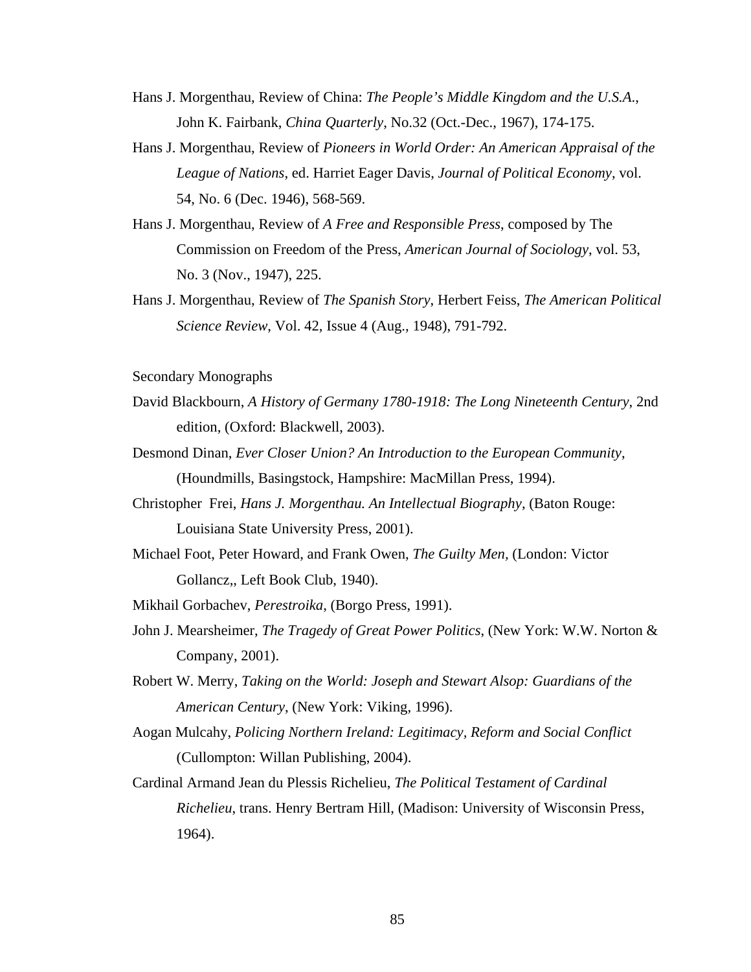- Hans J. Morgenthau, Review of China: *The People's Middle Kingdom and the U.S.A*., John K. Fairbank, *China Quarterly*, No.32 (Oct.-Dec., 1967), 174-175.
- Hans J. Morgenthau, Review of *Pioneers in World Order: An American Appraisal of the League of Nations*, ed. Harriet Eager Davis, *Journal of Political Economy*, vol. 54, No. 6 (Dec. 1946), 568-569.
- Hans J. Morgenthau, Review of *A Free and Responsible Press*, composed by The Commission on Freedom of the Press, *American Journal of Sociology*, vol. 53, No. 3 (Nov., 1947), 225.
- Hans J. Morgenthau, Review of *The Spanish Story*, Herbert Feiss, *The American Political Science Review*, Vol. 42, Issue 4 (Aug., 1948), 791-792.
- Secondary Monographs
- David Blackbourn, *A History of Germany 1780-1918: The Long Nineteenth Century*, 2nd edition, (Oxford: Blackwell, 2003).
- Desmond Dinan, *Ever Closer Union? An Introduction to the European Community*, (Houndmills, Basingstock, Hampshire: MacMillan Press, 1994).
- Christopher Frei, *Hans J. Morgenthau. An Intellectual Biography*, (Baton Rouge: Louisiana State University Press, 2001).
- Michael Foot, Peter Howard, and Frank Owen, *The Guilty Men,* (London: Victor Gollancz,, Left Book Club, 1940).
- Mikhail Gorbachev, *Perestroika*, (Borgo Press, 1991).
- John J. Mearsheimer, *The Tragedy of Great Power Politics*, (New York: W.W. Norton & Company, 2001).
- Robert W. Merry, *Taking on the World: Joseph and Stewart Alsop: Guardians of the American Century*, (New York: Viking, 1996).
- Aogan Mulcahy, *Policing Northern Ireland: Legitimacy, Reform and Social Conflict* (Cullompton: Willan Publishing, 2004).
- Cardinal Armand Jean du Plessis Richelieu, *The Political Testament of Cardinal Richelieu*, trans. Henry Bertram Hill, (Madison: University of Wisconsin Press, 1964).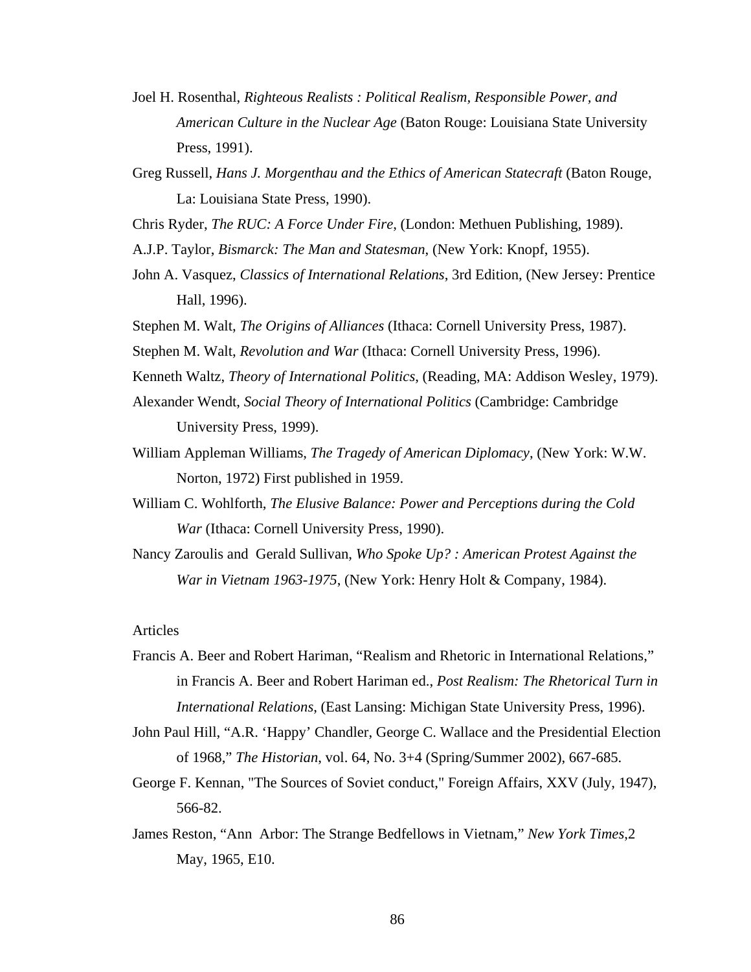- Joel H. Rosenthal, *Righteous Realists : Political Realism, Responsible Power, and American Culture in the Nuclear Age* (Baton Rouge: Louisiana State University Press, 1991).
- Greg Russell, *Hans J. Morgenthau and the Ethics of American Statecraft* (Baton Rouge, La: Louisiana State Press, 1990).
- Chris Ryder, *The RUC: A Force Under Fire*, (London: Methuen Publishing, 1989).
- A.J.P. Taylor, *Bismarck: The Man and Statesman*, (New York: Knopf, 1955).
- John A. Vasquez, *Classics of International Relations*, 3rd Edition, (New Jersey: Prentice Hall, 1996).
- Stephen M. Walt, *The Origins of Alliances* (Ithaca: Cornell University Press, 1987).
- Stephen M. Walt, *Revolution and War* (Ithaca: Cornell University Press, 1996).
- Kenneth Waltz, *Theory of International Politics*, (Reading, MA: Addison Wesley, 1979).
- Alexander Wendt, *Social Theory of International Politics* (Cambridge: Cambridge University Press, 1999).
- William Appleman Williams, *The Tragedy of American Diplomacy*, (New York: W.W. Norton, 1972) First published in 1959.
- William C. Wohlforth, *The Elusive Balance: Power and Perceptions during the Cold War* (Ithaca: Cornell University Press, 1990).
- Nancy Zaroulis and Gerald Sullivan, *Who Spoke Up? : American Protest Against the War in Vietnam 1963-1975*, (New York: Henry Holt & Company, 1984).

## Articles

- Francis A. Beer and Robert Hariman, "Realism and Rhetoric in International Relations," in Francis A. Beer and Robert Hariman ed., *Post Realism: The Rhetorical Turn in International Relations*, (East Lansing: Michigan State University Press, 1996).
- John Paul Hill, "A.R. 'Happy' Chandler, George C. Wallace and the Presidential Election of 1968," *The Historian*, vol. 64, No. 3+4 (Spring/Summer 2002), 667-685.
- George F. Kennan, "The Sources of Soviet conduct," Foreign Affairs, XXV (July, 1947), 566-82.
- James Reston, "Ann Arbor: The Strange Bedfellows in Vietnam," *New York Times*,2 May, 1965, E10.